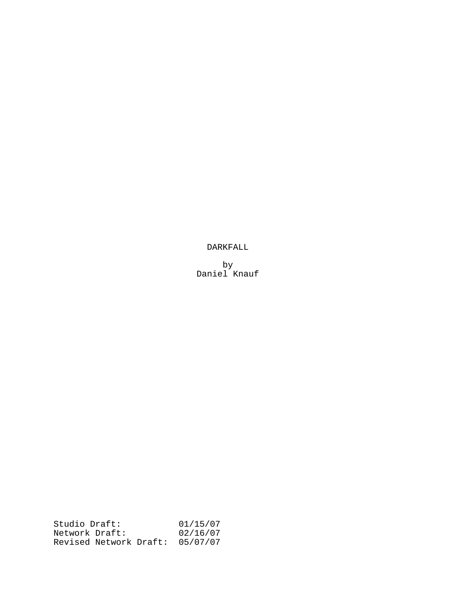DARKFALL

by Daniel Knauf

Studio Draft: 01/15/07 Network Draft: 02/16/07 Revised Network Draft: 05/07/07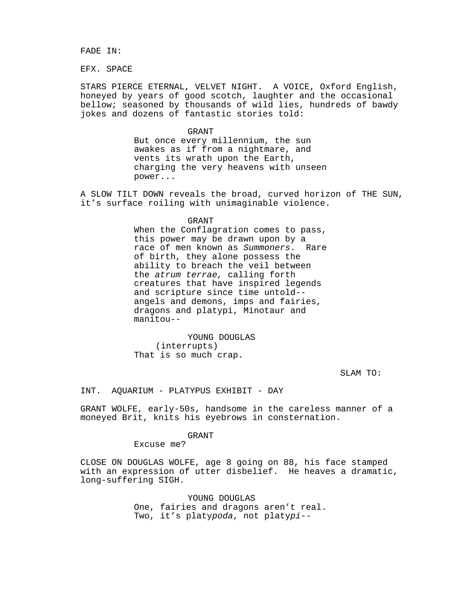FADE IN:

EFX. SPACE

STARS PIERCE ETERNAL, VELVET NIGHT. A VOICE, Oxford English, honeyed by years of good scotch, laughter and the occasional bellow; seasoned by thousands of wild lies, hundreds of bawdy jokes and dozens of fantastic stories told:

#### GRANT

But once every millennium, the sun awakes as if from a nightmare, and vents its wrath upon the Earth, charging the very heavens with unseen power...

A SLOW TILT DOWN reveals the broad, curved horizon of THE SUN, it's surface roiling with unimaginable violence.

#### GRANT

When the Conflagration comes to pass, this power may be drawn upon by a race of men known as Summoners. Rare of birth, they alone possess the ability to breach the veil between the atrum terrae, calling forth creatures that have inspired legends and scripture since time untold- angels and demons, imps and fairies, dragons and platypi, Minotaur and manitou--

YOUNG DOUGLAS (interrupts) That is so much crap.

SLAM TO:

INT. AQUARIUM - PLATYPUS EXHIBIT - DAY

GRANT WOLFE, early-50s, handsome in the careless manner of a moneyed Brit, knits his eyebrows in consternation.

# GRANT

Excuse me?

CLOSE ON DOUGLAS WOLFE, age 8 going on 88, his face stamped with an expression of utter disbelief. He heaves a dramatic, long-suffering SIGH.

> YOUNG DOUGLAS One, fairies and dragons aren't real. Two, it's platypoda, not platypi--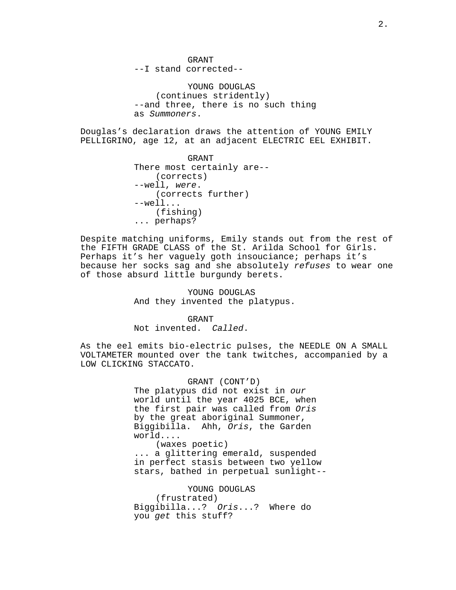GRANT --I stand corrected--

YOUNG DOUGLAS (continues stridently) --and three, there is no such thing as Summoners.

Douglas's declaration draws the attention of YOUNG EMILY PELLIGRINO, age 12, at an adjacent ELECTRIC EEL EXHIBIT.

> GRANT There most certainly are-- (corrects) --well, were. (corrects further) --well... (fishing) ... perhaps?

Despite matching uniforms, Emily stands out from the rest of the FIFTH GRADE CLASS of the St. Arilda School for Girls. Perhaps it's her vaguely goth insouciance; perhaps it's because her socks sag and she absolutely refuses to wear one of those absurd little burgundy berets.

> YOUNG DOUGLAS And they invented the platypus.

GRANT Not invented. Called.

As the eel emits bio-electric pulses, the NEEDLE ON A SMALL VOLTAMETER mounted over the tank twitches, accompanied by a LOW CLICKING STACCATO.

> GRANT (CONT'D) The platypus did not exist in our world until the year 4025 BCE, when the first pair was called from Oris by the great aboriginal Summoner, Biggibilla. Ahh, Oris, the Garden world.... (waxes poetic) ... a glittering emerald, suspended in perfect stasis between two yellow stars, bathed in perpetual sunlight--

YOUNG DOUGLAS (frustrated) Biggibilla...? Oris...? Where do you get this stuff?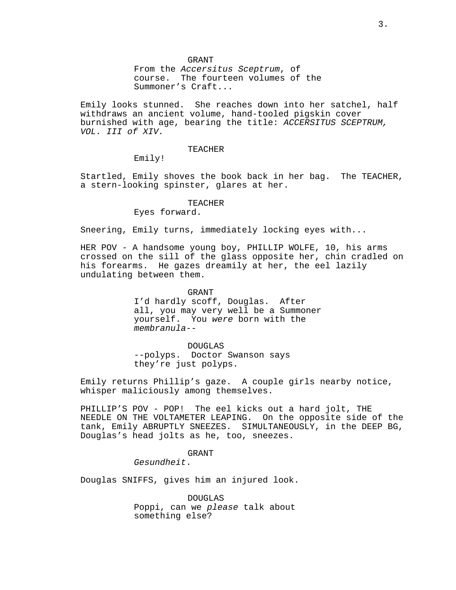GRANT From the Accersitus Sceptrum, of course. The fourteen volumes of the Summoner's Craft...

Emily looks stunned. She reaches down into her satchel, half withdraws an ancient volume, hand-tooled pigskin cover burnished with age, bearing the title: ACCERSITUS SCEPTRUM, VOL. III of XIV.

#### TEACHER

Emily!

Startled, Emily shoves the book back in her bag. The TEACHER, a stern-looking spinster, glares at her.

# TEACHER

Eyes forward.

Sneering, Emily turns, immediately locking eyes with...

HER POV - A handsome young boy, PHILLIP WOLFE, 10, his arms crossed on the sill of the glass opposite her, chin cradled on his forearms. He gazes dreamily at her, the eel lazily undulating between them.

#### GRANT

I'd hardly scoff, Douglas. After all, you may very well be a Summoner yourself. You were born with the membranula--

DOUGLAS --polyps. Doctor Swanson says they're just polyps.

Emily returns Phillip's gaze. A couple girls nearby notice, whisper maliciously among themselves.

PHILLIP'S POV - POP! The eel kicks out a hard jolt, THE NEEDLE ON THE VOLTAMETER LEAPING. On the opposite side of the tank, Emily ABRUPTLY SNEEZES. SIMULTANEOUSLY, in the DEEP BG, Douglas's head jolts as he, too, sneezes.

# GRANT

Gesundheit.

Douglas SNIFFS, gives him an injured look.

DOUGLAS Poppi, can we please talk about something else?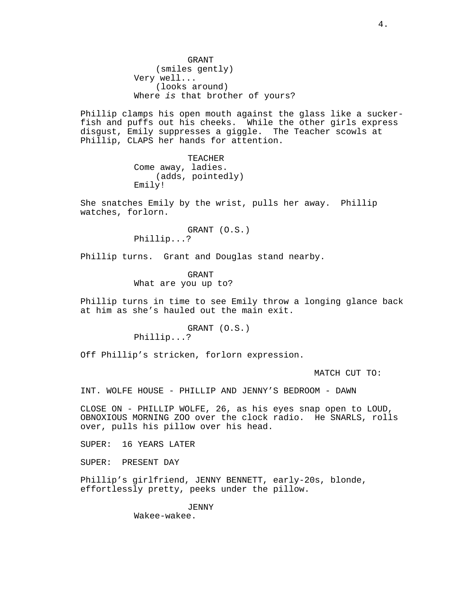GRANT (smiles gently) Very well... (looks around) Where is that brother of yours?

Phillip clamps his open mouth against the glass like a suckerfish and puffs out his cheeks. While the other girls express disgust, Emily suppresses a giggle. The Teacher scowls at Phillip, CLAPS her hands for attention.

> TEACHER Come away, ladies. (adds, pointedly) Emily!

She snatches Emily by the wrist, pulls her away. Phillip watches, forlorn.

> GRANT (O.S.) Phillip...?

Phillip turns. Grant and Douglas stand nearby.

GRANT What are you up to?

Phillip turns in time to see Emily throw a longing glance back at him as she's hauled out the main exit.

> GRANT (O.S.) Phillip...?

Off Phillip's stricken, forlorn expression.

MATCH CUT TO:

INT. WOLFE HOUSE - PHILLIP AND JENNY'S BEDROOM - DAWN

CLOSE ON - PHILLIP WOLFE, 26, as his eyes snap open to LOUD, OBNOXIOUS MORNING ZOO over the clock radio. He SNARLS, rolls over, pulls his pillow over his head.

SUPER: 16 YEARS LATER

SUPER: PRESENT DAY

Phillip's girlfriend, JENNY BENNETT, early-20s, blonde, effortlessly pretty, peeks under the pillow.

> JENNY Wakee-wakee.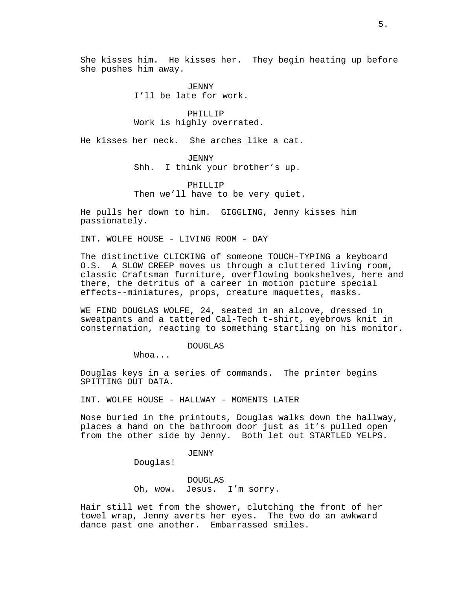She kisses him. He kisses her. They begin heating up before she pushes him away.

> *JENNY* I'll be late for work.

PHILLIP Work is highly overrated.

He kisses her neck. She arches like a cat.

JENNY

Shh. I think your brother's up.

PHILLIP Then we'll have to be very quiet.

He pulls her down to him. GIGGLING, Jenny kisses him passionately.

INT. WOLFE HOUSE - LIVING ROOM - DAY

The distinctive CLICKING of someone TOUCH-TYPING a keyboard O.S. A SLOW CREEP moves us through a cluttered living room, classic Craftsman furniture, overflowing bookshelves, here and there, the detritus of a career in motion picture special effects--miniatures, props, creature maquettes, masks.

WE FIND DOUGLAS WOLFE, 24, seated in an alcove, dressed in sweatpants and a tattered Cal-Tech t-shirt, eyebrows knit in consternation, reacting to something startling on his monitor.

# DOUGLAS

Whoa...

Douglas keys in a series of commands. The printer begins SPITTING OUT DATA.

INT. WOLFE HOUSE - HALLWAY - MOMENTS LATER

Nose buried in the printouts, Douglas walks down the hallway, places a hand on the bathroom door just as it's pulled open from the other side by Jenny. Both let out STARTLED YELPS.

JENNY

Douglas!

DOUGLAS Oh, wow. Jesus. I'm sorry.

Hair still wet from the shower, clutching the front of her towel wrap, Jenny averts her eyes. The two do an awkward dance past one another. Embarrassed smiles.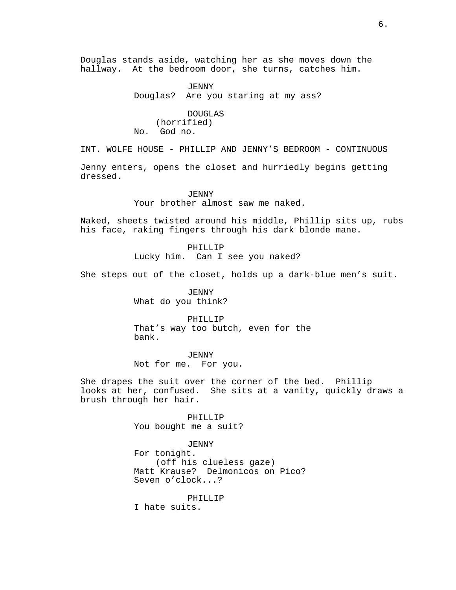Douglas stands aside, watching her as she moves down the hallway. At the bedroom door, she turns, catches him.

> *JENNY* Douglas? Are you staring at my ass?

DOUGLAS (horrified) No. God no.

INT. WOLFE HOUSE - PHILLIP AND JENNY'S BEDROOM - CONTINUOUS

Jenny enters, opens the closet and hurriedly begins getting dressed.

JENNY

Your brother almost saw me naked.

Naked, sheets twisted around his middle, Phillip sits up, rubs his face, raking fingers through his dark blonde mane.

> PHILLIP Lucky him. Can I see you naked?

She steps out of the closet, holds up a dark-blue men's suit.

JENNY What do you think?

PHILLIP That's way too butch, even for the bank.

JENNY Not for me. For you.

She drapes the suit over the corner of the bed. Phillip looks at her, confused. She sits at a vanity, quickly draws a brush through her hair.

> PHILLIP You bought me a suit?

JENNY For tonight.

(off his clueless gaze) Matt Krause? Delmonicos on Pico? Seven o'clock...?

PHILLIP

I hate suits.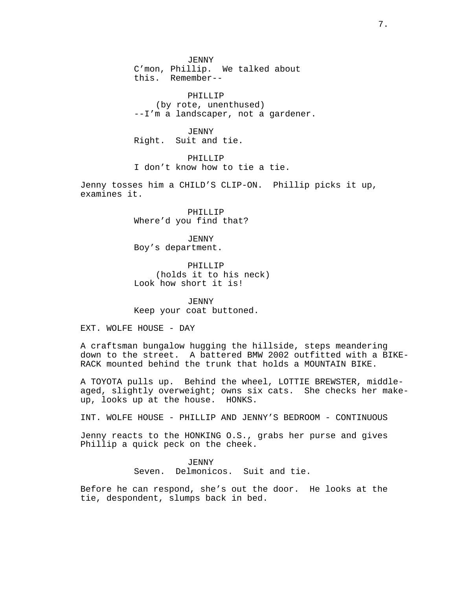JENNY C'mon, Phillip. We talked about this. Remember--

PHILLIP (by rote, unenthused) --I'm a landscaper, not a gardener.

JENNY Right. Suit and tie.

PHILLIP I don't know how to tie a tie.

Jenny tosses him a CHILD'S CLIP-ON. Phillip picks it up, examines it.

> PHILLIP Where'd you find that?

*JENNY* Boy's department.

PHILLIP (holds it to his neck) Look how short it is!

JENNY Keep your coat buttoned.

EXT. WOLFE HOUSE - DAY

A craftsman bungalow hugging the hillside, steps meandering down to the street. A battered BMW 2002 outfitted with a BIKE-RACK mounted behind the trunk that holds a MOUNTAIN BIKE.

A TOYOTA pulls up. Behind the wheel, LOTTIE BREWSTER, middleaged, slightly overweight; owns six cats. She checks her makeup, looks up at the house. HONKS.

INT. WOLFE HOUSE - PHILLIP AND JENNY'S BEDROOM - CONTINUOUS

Jenny reacts to the HONKING O.S., grabs her purse and gives Phillip a quick peck on the cheek.

> *JENNY* Seven. Delmonicos. Suit and tie.

Before he can respond, she's out the door. He looks at the tie, despondent, slumps back in bed.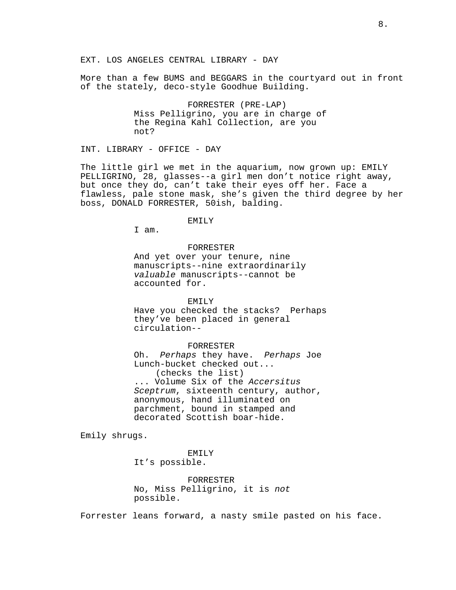EXT. LOS ANGELES CENTRAL LIBRARY - DAY

More than a few BUMS and BEGGARS in the courtyard out in front of the stately, deco-style Goodhue Building.

> FORRESTER (PRE-LAP) Miss Pelligrino, you are in charge of the Regina Kahl Collection, are you not?

INT. LIBRARY - OFFICE - DAY

The little girl we met in the aquarium, now grown up: EMILY PELLIGRINO, 28, glasses--a girl men don't notice right away, but once they do, can't take their eyes off her. Face a flawless, pale stone mask, she's given the third degree by her boss, DONALD FORRESTER, 50ish, balding.

EMTI<sub>Y</sub>

I am.

# FORRESTER

And yet over your tenure, nine manuscripts--nine extraordinarily valuable manuscripts--cannot be accounted for.

### EMILY

Have you checked the stacks? Perhaps they've been placed in general circulation--

#### FORRESTER

Oh. Perhaps they have. Perhaps Joe Lunch-bucket checked out... (checks the list) ... Volume Six of the Accersitus Sceptrum, sixteenth century, author, anonymous, hand illuminated on parchment, bound in stamped and decorated Scottish boar-hide.

Emily shrugs.

EMILY It's possible.

FORRESTER No, Miss Pelligrino, it is not possible.

Forrester leans forward, a nasty smile pasted on his face.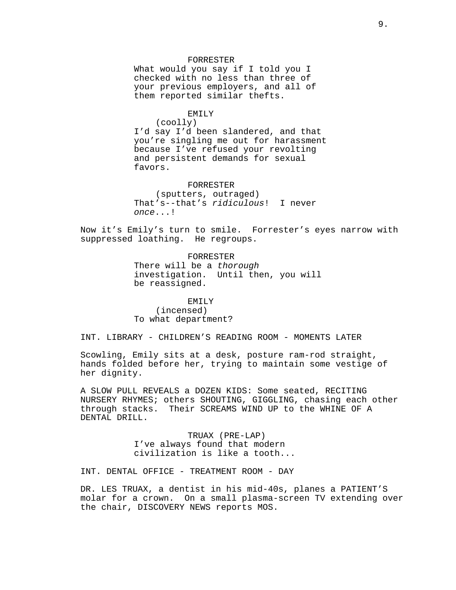#### FORRESTER

What would you say if I told you I checked with no less than three of your previous employers, and all of them reported similar thefts.

### EMILY

(coolly)

I'd say I'd been slandered, and that you're singling me out for harassment because I've refused your revolting and persistent demands for sexual favors.

#### FORRESTER

(sputters, outraged) That's--that's ridiculous! I never once...!

Now it's Emily's turn to smile. Forrester's eyes narrow with suppressed loathing. He regroups.

> FORRESTER There will be a thorough investigation. Until then, you will be reassigned.

EMILY (incensed) To what department?

INT. LIBRARY - CHILDREN'S READING ROOM - MOMENTS LATER

Scowling, Emily sits at a desk, posture ram-rod straight, hands folded before her, trying to maintain some vestige of her dignity.

A SLOW PULL REVEALS a DOZEN KIDS: Some seated, RECITING NURSERY RHYMES; others SHOUTING, GIGGLING, chasing each other through stacks. Their SCREAMS WIND UP to the WHINE OF A DENTAL DRILL.

> TRUAX (PRE-LAP) I've always found that modern civilization is like a tooth...

INT. DENTAL OFFICE - TREATMENT ROOM - DAY

DR. LES TRUAX, a dentist in his mid-40s, planes a PATIENT'S molar for a crown. On a small plasma-screen TV extending over the chair, DISCOVERY NEWS reports MOS.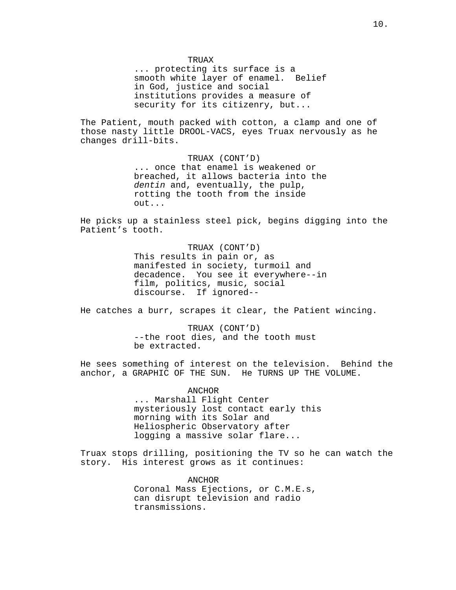TRUAX

... protecting its surface is a smooth white layer of enamel. Belief in God, justice and social institutions provides a measure of security for its citizenry, but...

The Patient, mouth packed with cotton, a clamp and one of those nasty little DROOL-VACS, eyes Truax nervously as he changes drill-bits.

> TRUAX (CONT'D) ... once that enamel is weakened or breached, it allows bacteria into the dentin and, eventually, the pulp, rotting the tooth from the inside out...

He picks up a stainless steel pick, begins digging into the Patient's tooth.

> TRUAX (CONT'D) This results in pain or, as manifested in society, turmoil and decadence. You see it everywhere--in film, politics, music, social discourse. If ignored--

He catches a burr, scrapes it clear, the Patient wincing.

TRUAX (CONT'D) --the root dies, and the tooth must be extracted.

He sees something of interest on the television. Behind the anchor, a GRAPHIC OF THE SUN. He TURNS UP THE VOLUME.

> ANCHOR ... Marshall Flight Center mysteriously lost contact early this morning with its Solar and Heliospheric Observatory after logging a massive solar flare...

Truax stops drilling, positioning the TV so he can watch the story. His interest grows as it continues:

> ANCHOR Coronal Mass Ejections, or C.M.E.s, can disrupt television and radio transmissions.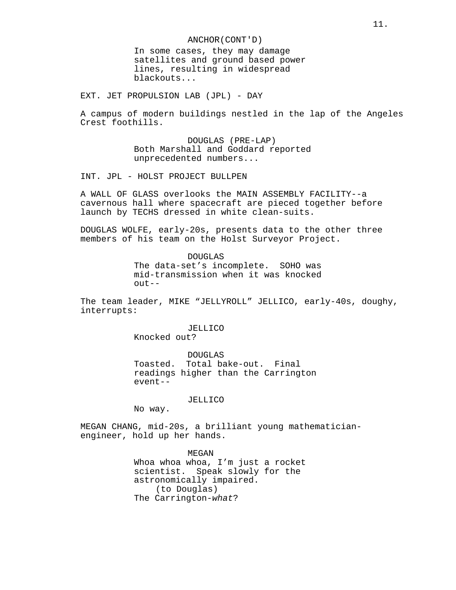ANCHOR(CONT'D)

In some cases, they may damage satellites and ground based power lines, resulting in widespread blackouts...

EXT. JET PROPULSION LAB (JPL) - DAY

A campus of modern buildings nestled in the lap of the Angeles Crest foothills.

> DOUGLAS (PRE-LAP) Both Marshall and Goddard reported unprecedented numbers...

INT. JPL - HOLST PROJECT BULLPEN

A WALL OF GLASS overlooks the MAIN ASSEMBLY FACILITY--a cavernous hall where spacecraft are pieced together before launch by TECHS dressed in white clean-suits.

DOUGLAS WOLFE, early-20s, presents data to the other three members of his team on the Holst Surveyor Project.

> DOUGLAS The data-set's incomplete. SOHO was mid-transmission when it was knocked out--

The team leader, MIKE "JELLYROLL" JELLICO, early-40s, doughy, interrupts:

> JELLICO Knocked out?

DOUGLAS Toasted. Total bake-out. Final readings higher than the Carrington event--

# JELLICO

No way.

MEGAN CHANG, mid-20s, a brilliant young mathematicianengineer, hold up her hands.

> MEGAN Whoa whoa whoa, I'm just a rocket scientist. Speak slowly for the astronomically impaired. (to Douglas) The Carrington-what?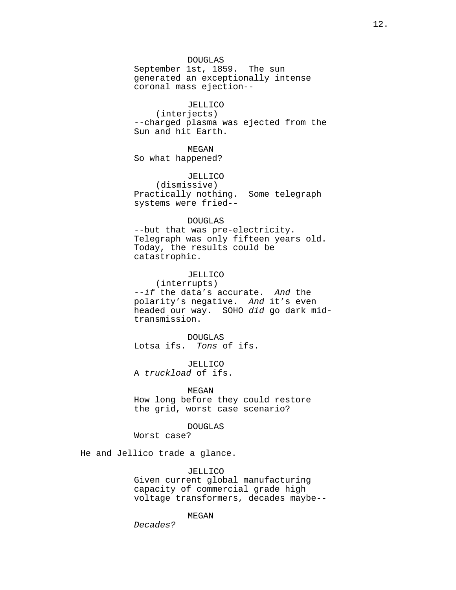DOUGLAS September 1st, 1859. The sun generated an exceptionally intense coronal mass ejection--

# JELLICO

(interjects) --charged plasma was ejected from the Sun and hit Earth.

# MEGAN

So what happened?

# JELLICO

(dismissive) Practically nothing. Some telegraph systems were fried--

# DOUGLAS

--but that was pre-electricity. Telegraph was only fifteen years old. Today, the results could be catastrophic.

# JELLICO

(interrupts) --if the data's accurate. And the polarity's negative. And it's even headed our way. SOHO did go dark midtransmission.

DOUGLAS Lotsa ifs. Tons of ifs.

JELLICO A truckload of ifs.

#### MEGAN

How long before they could restore the grid, worst case scenario?

# DOUGLAS

Worst case?

He and Jellico trade a glance.

# JELLICO

Given current global manufacturing capacity of commercial grade high voltage transformers, decades maybe--

### MEGAN

Decades?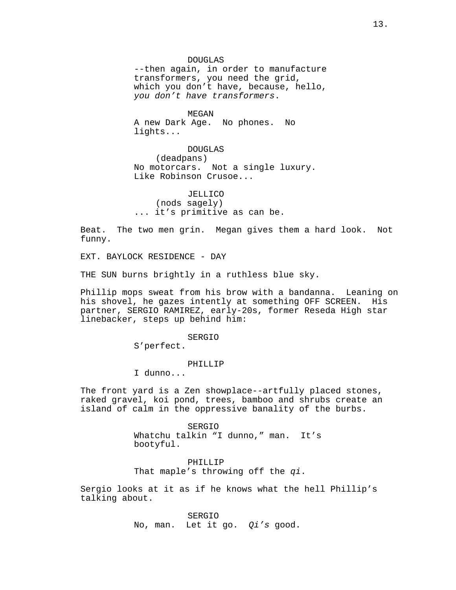#### DOUGLAS

--then again, in order to manufacture transformers, you need the grid, which you don't have, because, hello, you don't have transformers.

MEGAN A new Dark Age. No phones. No lights...

DOUGLAS (deadpans) No motorcars. Not a single luxury. Like Robinson Crusoe...

JELLICO (nods sagely) ... it's primitive as can be.

Beat. The two men grin. Megan gives them a hard look. Not funny.

EXT. BAYLOCK RESIDENCE - DAY

THE SUN burns brightly in a ruthless blue sky.

Phillip mops sweat from his brow with a bandanna. Leaning on his shovel, he gazes intently at something OFF SCREEN. His partner, SERGIO RAMIREZ, early-20s, former Reseda High star linebacker, steps up behind him:

SERGIO

S'perfect.

# PHILLIP

I dunno...

The front yard is a Zen showplace--artfully placed stones, raked gravel, koi pond, trees, bamboo and shrubs create an island of calm in the oppressive banality of the burbs.

> SERGIO Whatchu talkin "I dunno," man. It's bootyful.

PHILLIP That maple's throwing off the qi.

Sergio looks at it as if he knows what the hell Phillip's talking about.

> SERGIO No, man. Let it go. Qi's good.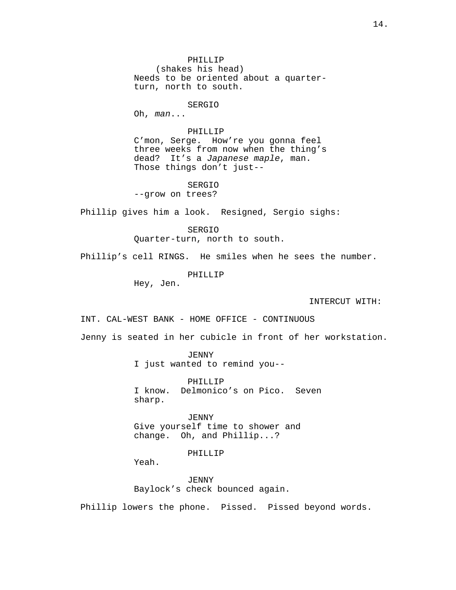PHILLIP (shakes his head) Needs to be oriented about a quarterturn, north to south.

# SERGIO

Oh, man...

# PHILLIP

C'mon, Serge. How're you gonna feel three weeks from now when the thing's dead? It's a Japanese maple, man. Those things don't just--

SERGIO --grow on trees?

Phillip gives him a look. Resigned, Sergio sighs:

SERGIO

Quarter-turn, north to south.

Phillip's cell RINGS. He smiles when he sees the number.

PHILLIP

Hey, Jen.

INTERCUT WITH:

INT. CAL-WEST BANK - HOME OFFICE - CONTINUOUS

Jenny is seated in her cubicle in front of her workstation.

JENNY

I just wanted to remind you--

PHILLIP I know. Delmonico's on Pico. Seven sharp.

JENNY Give yourself time to shower and change. Oh, and Phillip...?

PHILLIP

Yeah.

JENNY Baylock's check bounced again.

Phillip lowers the phone. Pissed. Pissed beyond words.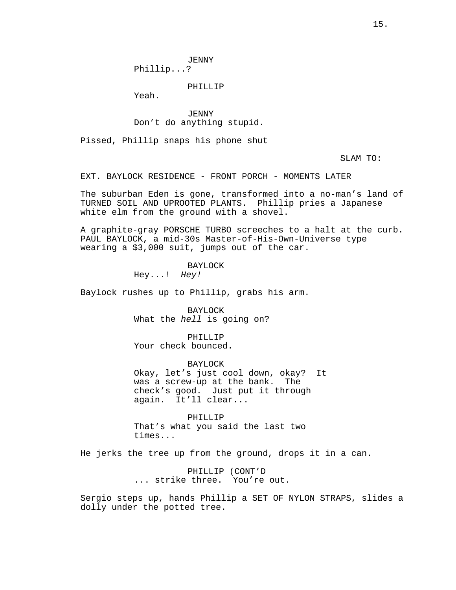JENNY Phillip...?

PHILLIP

Yeah.

*JENNY* Don't do anything stupid.

Pissed, Phillip snaps his phone shut

SLAM TO:

EXT. BAYLOCK RESIDENCE - FRONT PORCH - MOMENTS LATER

The suburban Eden is gone, transformed into a no-man's land of TURNED SOIL AND UPROOTED PLANTS. Phillip pries a Japanese white elm from the ground with a shovel.

A graphite-gray PORSCHE TURBO screeches to a halt at the curb. PAUL BAYLOCK, a mid-30s Master-of-His-Own-Universe type wearing a \$3,000 suit, jumps out of the car.

BAYLOCK

Hey...! Hey!

Baylock rushes up to Phillip, grabs his arm.

BAYLOCK What the hell is going on?

PHILLIP Your check bounced.

BAYLOCK Okay, let's just cool down, okay? It was a screw-up at the bank. The check's good. Just put it through again. It'll clear...

PHILLIP That's what you said the last two times...

He jerks the tree up from the ground, drops it in a can.

PHILLIP (CONT'D ... strike three. You're out.

Sergio steps up, hands Phillip a SET OF NYLON STRAPS, slides a dolly under the potted tree.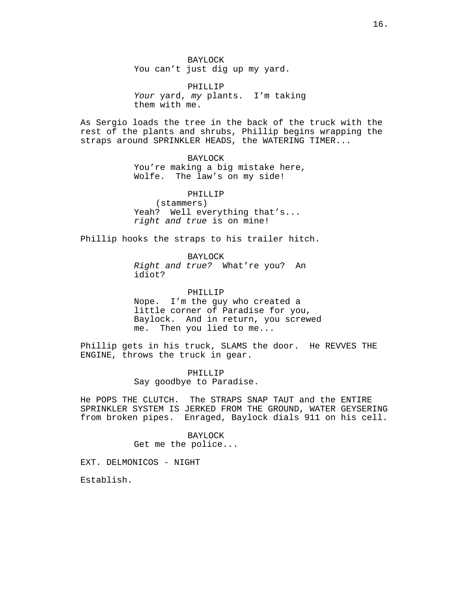BAYLOCK You can't just dig up my yard.

PHILLIP Your yard, my plants. I'm taking them with me.

As Sergio loads the tree in the back of the truck with the rest of the plants and shrubs, Phillip begins wrapping the straps around SPRINKLER HEADS, the WATERING TIMER...

# BAYLOCK

You're making a big mistake here, Wolfe. The law's on my side!

# PHILLIP

(stammers) Yeah? Well everything that's... right and true is on mine!

Phillip hooks the straps to his trailer hitch.

BAYLOCK

Right and true? What're you? An idiot?

PHILLIP

Nope. I'm the guy who created a little corner of Paradise for you, Baylock. And in return, you screwed me. Then you lied to me...

Phillip gets in his truck, SLAMS the door. He REVVES THE ENGINE, throws the truck in gear.

> PHILLIP Say goodbye to Paradise.

He POPS THE CLUTCH. The STRAPS SNAP TAUT and the ENTIRE SPRINKLER SYSTEM IS JERKED FROM THE GROUND, WATER GEYSERING from broken pipes. Enraged, Baylock dials 911 on his cell.

> BAYLOCK Get me the police...

EXT. DELMONICOS - NIGHT

Establish.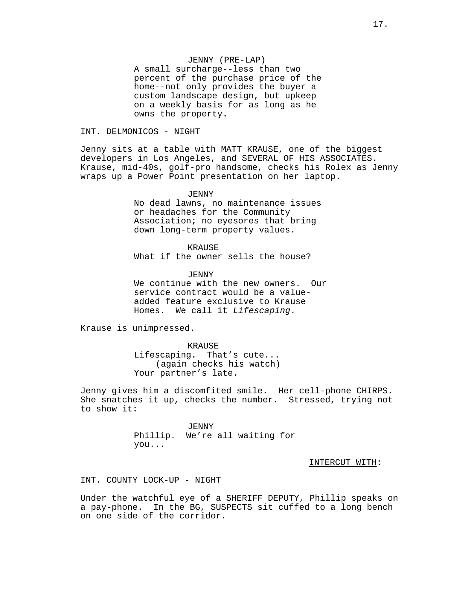#### JENNY (PRE-LAP)

A small surcharge--less than two percent of the purchase price of the home--not only provides the buyer a custom landscape design, but upkeep on a weekly basis for as long as he owns the property.

INT. DELMONICOS - NIGHT

Jenny sits at a table with MATT KRAUSE, one of the biggest developers in Los Angeles, and SEVERAL OF HIS ASSOCIATES. Krause, mid-40s, golf-pro handsome, checks his Rolex as Jenny wraps up a Power Point presentation on her laptop.

*JENNY* 

No dead lawns, no maintenance issues or headaches for the Community Association; no eyesores that bring down long-term property values.

KRAUSE What if the owner sells the house?

*JENNY* We continue with the new owners. Our service contract would be a valueadded feature exclusive to Krause Homes. We call it Lifescaping.

Krause is unimpressed.

KRAUSE Lifescaping. That's cute... (again checks his watch) Your partner's late.

Jenny gives him a discomfited smile. Her cell-phone CHIRPS. She snatches it up, checks the number. Stressed, trying not to show it:

> JENNY Phillip. We're all waiting for you...

> > INTERCUT WITH:

INT. COUNTY LOCK-UP - NIGHT

Under the watchful eye of a SHERIFF DEPUTY, Phillip speaks on a pay-phone. In the BG, SUSPECTS sit cuffed to a long bench on one side of the corridor.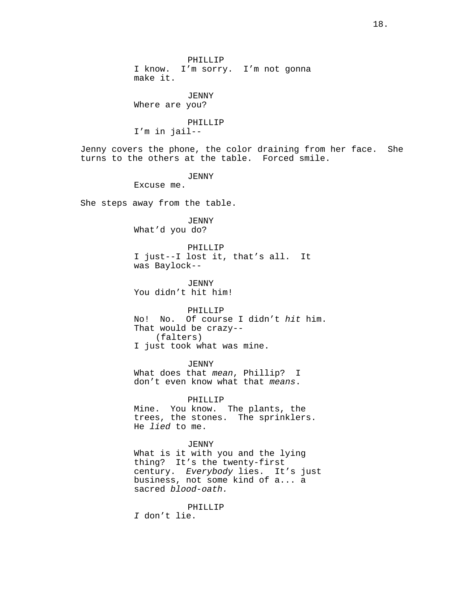PHILLIP I know. I'm sorry. I'm not gonna make it.

JENNY Where are you?

PHILLIP I'm in jail--

Jenny covers the phone, the color draining from her face. She turns to the others at the table. Forced smile.

JENNY

Excuse me.

She steps away from the table.

*JENNY* What'd you do?

PHILLIP I just--I lost it, that's all. It was Baylock--

JENNY You didn't hit him!

PHILLIP No! No. Of course I didn't hit him. That would be crazy-- (falters) I just took what was mine.

*JENNY* What does that mean, Phillip? I don't even know what that means.

PHILLIP

Mine. You know. The plants, the trees, the stones. The sprinklers. He lied to me.

*JENNY* 

What is it with you and the lying thing? It's the twenty-first century. Everybody lies. It's just business, not some kind of a... a sacred blood-oath.

PHILLIP I don't lie.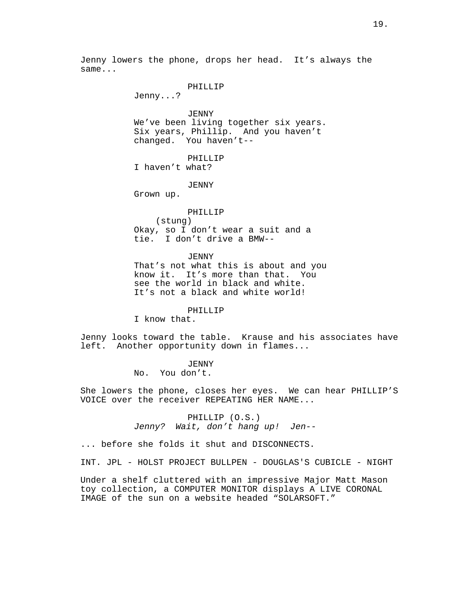Jenny lowers the phone, drops her head. It's always the same...

### PHILLIP

Jenny...?

*JENNY* We've been living together six years. Six years, Phillip. And you haven't changed. You haven't--

PHILLIP I haven't what?

JENNY

Grown up.

#### PHILLIP

(stung) Okay, so I don't wear a suit and a tie. I don't drive a BMW--

#### JENNY

That's not what this is about and you know it. It's more than that. You see the world in black and white. It's not a black and white world!

#### PHILLIP

I know that.

Jenny looks toward the table. Krause and his associates have left. Another opportunity down in flames...

> *JENNY* No. You don't.

She lowers the phone, closes her eyes. We can hear PHILLIP'S VOICE over the receiver REPEATING HER NAME...

> PHILLIP (O.S.) Jenny? Wait, don't hang up! Jen--

... before she folds it shut and DISCONNECTS.

INT. JPL - HOLST PROJECT BULLPEN - DOUGLAS'S CUBICLE - NIGHT

Under a shelf cluttered with an impressive Major Matt Mason toy collection, a COMPUTER MONITOR displays A LIVE CORONAL IMAGE of the sun on a website headed "SOLARSOFT."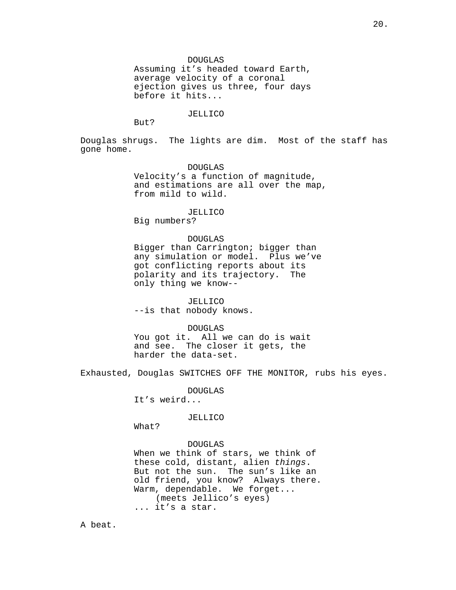DOUGLAS

Assuming it's headed toward Earth, average velocity of a coronal ejection gives us three, four days before it hits...

#### JELLICO

But?

Douglas shrugs. The lights are dim. Most of the staff has gone home.

> DOUGLAS Velocity's a function of magnitude, and estimations are all over the map, from mild to wild.

#### JELLICO

Big numbers?

# DOUGLAS

Bigger than Carrington; bigger than any simulation or model. Plus we've got conflicting reports about its<br>polarity and its trajectory. The polarity and its trajectory. only thing we know--

JELLICO

--is that nobody knows.

# DOUGLAS

You got it. All we can do is wait and see. The closer it gets, the harder the data-set.

Exhausted, Douglas SWITCHES OFF THE MONITOR, rubs his eyes.

DOUGLAS

It's weird...

JELLICO

What?

#### DOUGLAS

When we think of stars, we think of these cold, distant, alien things. But not the sun. The sun's like an old friend, you know? Always there. Warm, dependable. We forget... (meets Jellico's eyes) ... it's a star.

A beat.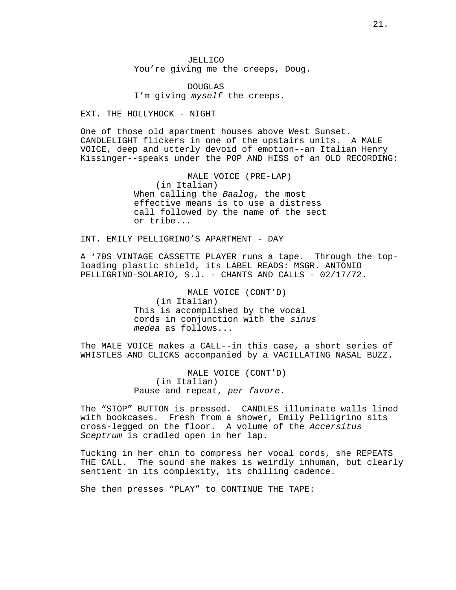JELLICO You're giving me the creeps, Doug.

DOUGLAS I'm giving myself the creeps.

EXT. THE HOLLYHOCK - NIGHT

One of those old apartment houses above West Sunset. CANDLELIGHT flickers in one of the upstairs units. A MALE VOICE, deep and utterly devoid of emotion--an Italian Henry Kissinger--speaks under the POP AND HISS of an OLD RECORDING:

> MALE VOICE (PRE-LAP) (in Italian) When calling the Baalog, the most effective means is to use a distress call followed by the name of the sect or tribe...

INT. EMILY PELLIGRINO'S APARTMENT - DAY

A '70S VINTAGE CASSETTE PLAYER runs a tape. Through the toploading plastic shield, its LABEL READS: MSGR. ANTONIO PELLIGRINO-SOLARIO, S.J. - CHANTS AND CALLS - 02/17/72.

> MALE VOICE (CONT'D) (in Italian) This is accomplished by the vocal cords in conjunction with the sinus medea as follows...

The MALE VOICE makes a CALL--in this case, a short series of WHISTLES AND CLICKS accompanied by a VACILLATING NASAL BUZZ.

> MALE VOICE (CONT'D) (in Italian) Pause and repeat, per favore.

The "STOP" BUTTON is pressed. CANDLES illuminate walls lined with bookcases. Fresh from a shower, Emily Pelligrino sits cross-legged on the floor. A volume of the Accersitus Sceptrum is cradled open in her lap.

Tucking in her chin to compress her vocal cords, she REPEATS THE CALL. The sound she makes is weirdly inhuman, but clearly sentient in its complexity, its chilling cadence.

She then presses "PLAY" to CONTINUE THE TAPE: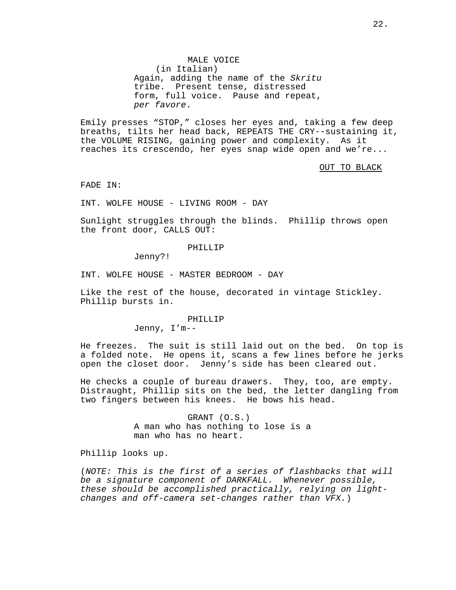MALE VOICE (in Italian) Again, adding the name of the Skritu tribe. Present tense, distressed form, full voice. Pause and repeat, per favore.

Emily presses "STOP," closes her eyes and, taking a few deep breaths, tilts her head back, REPEATS THE CRY--sustaining it, the VOLUME RISING, gaining power and complexity. As it reaches its crescendo, her eyes snap wide open and we're...

OUT TO BLACK

FADE IN:

INT. WOLFE HOUSE - LIVING ROOM - DAY

Sunlight struggles through the blinds. Phillip throws open the front door, CALLS OUT:

### PHILLIP

Jenny?!

INT. WOLFE HOUSE - MASTER BEDROOM - DAY

Like the rest of the house, decorated in vintage Stickley. Phillip bursts in.

PHILLIP

Jenny, I'm--

He freezes. The suit is still laid out on the bed. On top is a folded note. He opens it, scans a few lines before he jerks open the closet door. Jenny's side has been cleared out.

He checks a couple of bureau drawers. They, too, are empty. Distraught, Phillip sits on the bed, the letter dangling from two fingers between his knees. He bows his head.

> GRANT (O.S.) A man who has nothing to lose is a man who has no heart.

Phillip looks up.

(NOTE: This is the first of a series of flashbacks that will be a signature component of DARKFALL. Whenever possible, these should be accomplished practically, relying on lightchanges and off-camera set-changes rather than VFX.)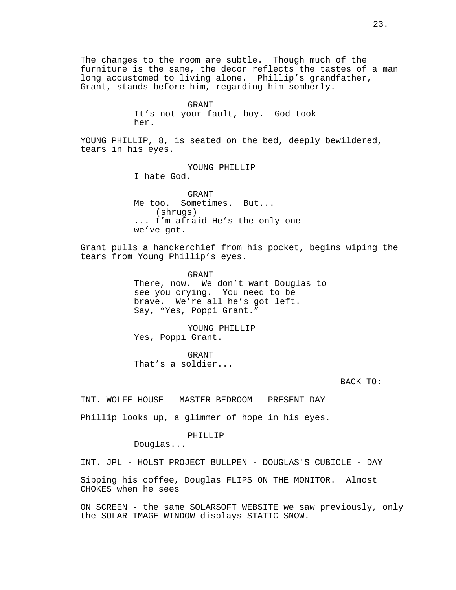The changes to the room are subtle. Though much of the furniture is the same, the decor reflects the tastes of a man long accustomed to living alone. Phillip's grandfather, Grant, stands before him, regarding him somberly.

#### GRANT

It's not your fault, boy. God took her.

YOUNG PHILLIP, 8, is seated on the bed, deeply bewildered, tears in his eyes.

# YOUNG PHILLIP I hate God.

GRANT Me too. Sometimes. But... (shrugs) ... I'm afraid He's the only one we've got.

Grant pulls a handkerchief from his pocket, begins wiping the tears from Young Phillip's eyes.

> GRANT There, now. We don't want Douglas to see you crying. You need to be brave. We're all he's got left. Say, "Yes, Poppi Grant."

YOUNG PHILLIP Yes, Poppi Grant.

GRANT That's a soldier...

# BACK TO:

INT. WOLFE HOUSE - MASTER BEDROOM - PRESENT DAY

Phillip looks up, a glimmer of hope in his eyes.

# PHILLIP

Douglas...

INT. JPL - HOLST PROJECT BULLPEN - DOUGLAS'S CUBICLE - DAY

Sipping his coffee, Douglas FLIPS ON THE MONITOR. Almost CHOKES when he sees

ON SCREEN - the same SOLARSOFT WEBSITE we saw previously, only the SOLAR IMAGE WINDOW displays STATIC SNOW.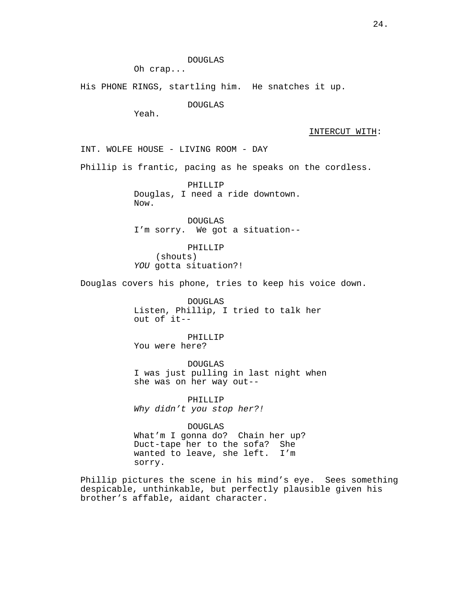DOUGLAS

Oh crap...

His PHONE RINGS, startling him. He snatches it up.

DOUGLAS

Yeah.

INTERCUT WITH:

INT. WOLFE HOUSE - LIVING ROOM - DAY

Phillip is frantic, pacing as he speaks on the cordless.

PHILLIP Douglas, I need a ride downtown. Now.

DOUGLAS I'm sorry. We got a situation--

PHILLIP (shouts) YOU gotta situation?!

Douglas covers his phone, tries to keep his voice down.

DOUGLAS Listen, Phillip, I tried to talk her out of it--

PHILLIP You were here?

DOUGLAS I was just pulling in last night when she was on her way out--

PHILLIP Why didn't you stop her?!

DOUGLAS What'm I gonna do? Chain her up? Duct-tape her to the sofa? She wanted to leave, she left. I'm sorry.

Phillip pictures the scene in his mind's eye. Sees something despicable, unthinkable, but perfectly plausible given his brother's affable, aidant character.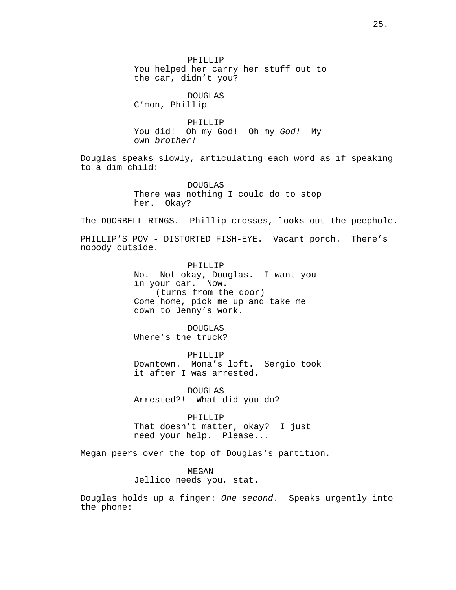PHILLIP You helped her carry her stuff out to the car, didn't you?

DOUGLAS C'mon, Phillip--

PHILLIP You did! Oh my God! Oh my God! My own brother!

Douglas speaks slowly, articulating each word as if speaking to a dim child:

> DOUGLAS There was nothing I could do to stop her. Okay?

The DOORBELL RINGS. Phillip crosses, looks out the peephole.

PHILLIP'S POV - DISTORTED FISH-EYE. Vacant porch. There's nobody outside.

> PHILLIP No. Not okay, Douglas. I want you in your car. Now. (turns from the door) Come home, pick me up and take me down to Jenny's work.

DOUGLAS Where's the truck?

PHILLIP Downtown. Mona's loft. Sergio took it after I was arrested.

DOUGLAS Arrested?! What did you do?

PHILLIP That doesn't matter, okay? I just need your help. Please...

Megan peers over the top of Douglas's partition.

MEGAN Jellico needs you, stat.

Douglas holds up a finger: One second. Speaks urgently into the phone: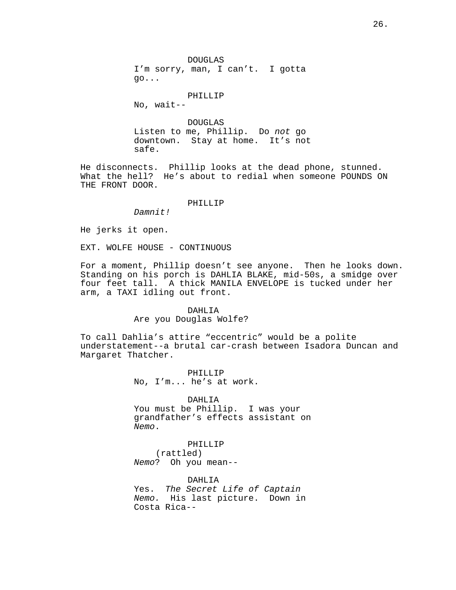DOUGLAS I'm sorry, man, I can't. I gotta go...

#### PHILLIP

No, wait--

DOUGLAS Listen to me, Phillip. Do not go downtown. Stay at home. It's not safe.

He disconnects. Phillip looks at the dead phone, stunned. What the hell? He's about to redial when someone POUNDS ON THE FRONT DOOR.

#### PHILLIP

Damnit!

He jerks it open.

EXT. WOLFE HOUSE - CONTINUOUS

For a moment, Phillip doesn't see anyone. Then he looks down. Standing on his porch is DAHLIA BLAKE, mid-50s, a smidge over four feet tall. A thick MANILA ENVELOPE is tucked under her arm, a TAXI idling out front.

# DAHLIA Are you Douglas Wolfe?

To call Dahlia's attire "eccentric" would be a polite understatement--a brutal car-crash between Isadora Duncan and Margaret Thatcher.

> PHILLIP No, I'm... he's at work.

DAHI.TA You must be Phillip. I was your grandfather's effects assistant on Nemo.

PHILLIP (rattled) Nemo? Oh you mean--

DAHLIA Yes. The Secret Life of Captain Nemo. His last picture. Down in Costa Rica--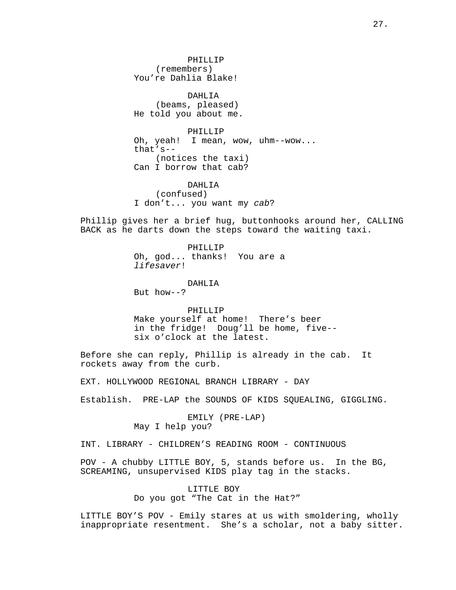PHILLIP (remembers) You're Dahlia Blake!

DAHLIA (beams, pleased) He told you about me.

PHILLIP Oh, yeah! I mean, wow, uhm--wow... that's-- (notices the taxi) Can I borrow that cab?

DAHLIA (confused) I don't... you want my cab?

Phillip gives her a brief hug, buttonhooks around her, CALLING BACK as he darts down the steps toward the waiting taxi.

> PHILLIP Oh, god... thanks! You are a lifesaver!

DAHLIA But how--?

PHILLIP Make yourself at home! There's beer in the fridge! Doug'll be home, five- six o'clock at the latest.

Before she can reply, Phillip is already in the cab. It rockets away from the curb.

EXT. HOLLYWOOD REGIONAL BRANCH LIBRARY - DAY

Establish. PRE-LAP the SOUNDS OF KIDS SQUEALING, GIGGLING.

EMILY (PRE-LAP) May I help you?

INT. LIBRARY - CHILDREN'S READING ROOM - CONTINUOUS

POV - A chubby LITTLE BOY, 5, stands before us. In the BG, SCREAMING, unsupervised KIDS play tag in the stacks.

> LITTLE BOY Do you got "The Cat in the Hat?"

LITTLE BOY'S POV - Emily stares at us with smoldering, wholly inappropriate resentment. She's a scholar, not a baby sitter.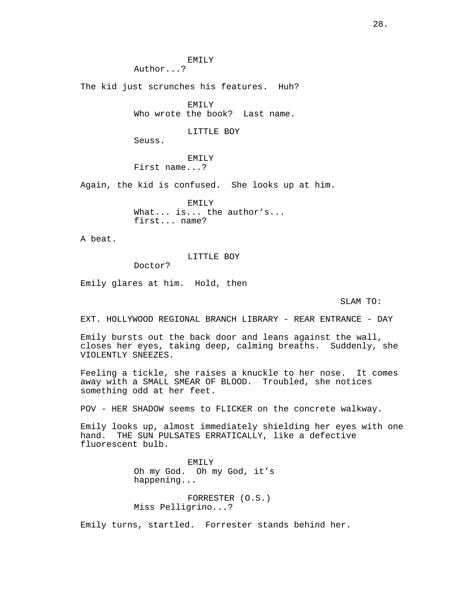EMILY

Author...?

The kid just scrunches his features. Huh?

EMILY Who wrote the book? Last name.

# LITTLE BOY

Seuss.

EMILY First name...?

Again, the kid is confused. She looks up at him.

EMILY What... is... the author's... first... name?

A beat.

# LITTLE BOY

Doctor?

Emily glares at him. Hold, then

# SLAM TO:

EXT. HOLLYWOOD REGIONAL BRANCH LIBRARY - REAR ENTRANCE - DAY

Emily bursts out the back door and leans against the wall, closes her eyes, taking deep, calming breaths. Suddenly, she VIOLENTLY SNEEZES.

Feeling a tickle, she raises a knuckle to her nose. It comes away with a SMALL SMEAR OF BLOOD. Troubled, she notices something odd at her feet.

POV - HER SHADOW seems to FLICKER on the concrete walkway.

Emily looks up, almost immediately shielding her eyes with one hand. THE SUN PULSATES ERRATICALLY, like a defective fluorescent bulb.

> EMILY Oh my God. Oh my God, it's happening...

FORRESTER (O.S.) Miss Pelligrino...?

Emily turns, startled. Forrester stands behind her.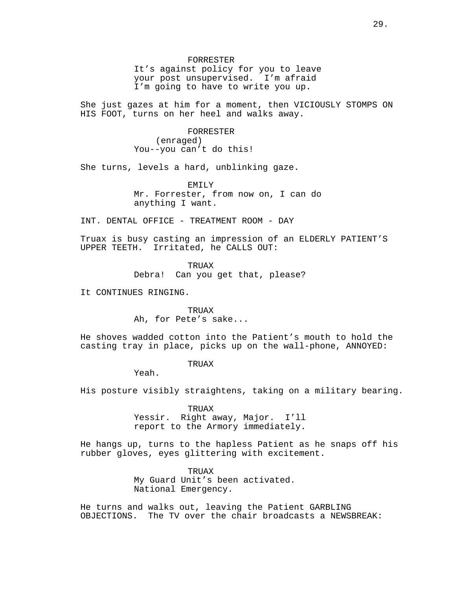#### FORRESTER

It's against policy for you to leave your post unsupervised. I'm afraid I'm going to have to write you up.

She just gazes at him for a moment, then VICIOUSLY STOMPS ON HIS FOOT, turns on her heel and walks away.

> FORRESTER (enraged) You--you can't do this!

She turns, levels a hard, unblinking gaze.

EMILY Mr. Forrester, from now on, I can do anything I want.

INT. DENTAL OFFICE - TREATMENT ROOM - DAY

Truax is busy casting an impression of an ELDERLY PATIENT'S UPPER TEETH. Irritated, he CALLS OUT:

> TRUAX Debra! Can you get that, please?

It CONTINUES RINGING.

TRUAX Ah, for Pete's sake...

He shoves wadded cotton into the Patient's mouth to hold the casting tray in place, picks up on the wall-phone, ANNOYED:

# TRUAX

Yeah.

His posture visibly straightens, taking on a military bearing.

TRUAX Yessir. Right away, Major. I'll report to the Armory immediately.

He hangs up, turns to the hapless Patient as he snaps off his rubber gloves, eyes glittering with excitement.

> TRIJAX My Guard Unit's been activated. National Emergency.

He turns and walks out, leaving the Patient GARBLING OBJECTIONS. The TV over the chair broadcasts a NEWSBREAK: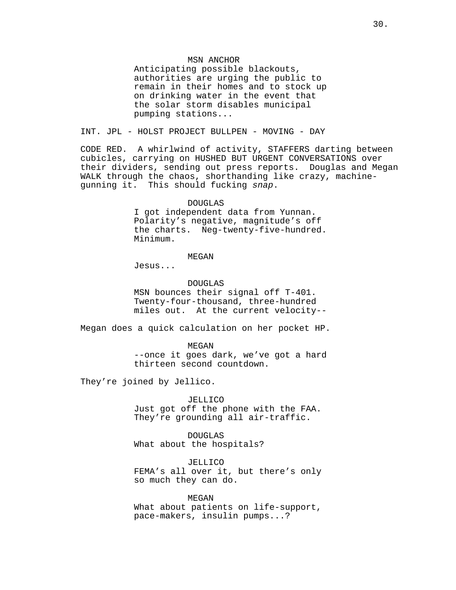# MSN ANCHOR

Anticipating possible blackouts, authorities are urging the public to remain in their homes and to stock up on drinking water in the event that the solar storm disables municipal pumping stations...

INT. JPL - HOLST PROJECT BULLPEN - MOVING - DAY

CODE RED. A whirlwind of activity, STAFFERS darting between cubicles, carrying on HUSHED BUT URGENT CONVERSATIONS over their dividers, sending out press reports. Douglas and Megan WALK through the chaos, shorthanding like crazy, machinegunning it. This should fucking snap.

#### DOUGLAS

I got independent data from Yunnan. Polarity's negative, magnitude's off the charts. Neg-twenty-five-hundred. Minimum.

### MEGAN

Jesus...

# DOUGLAS

MSN bounces their signal off T-401. Twenty-four-thousand, three-hundred miles out. At the current velocity--

Megan does a quick calculation on her pocket HP.

MEGAN --once it goes dark, we've got a hard thirteen second countdown.

They're joined by Jellico.

# JELLICO

Just got off the phone with the FAA. They're grounding all air-traffic.

DOUGLAS What about the hospitals?

JELLICO FEMA's all over it, but there's only so much they can do.

#### **MEGAN**

What about patients on life-support, pace-makers, insulin pumps...?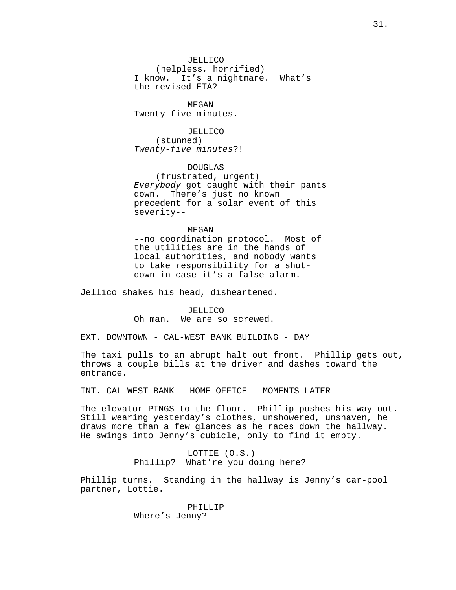JELLICO (helpless, horrified) I know. It's a nightmare. What's the revised ETA?

**MEGAN** Twenty-five minutes.

JELLICO (stunned) Twenty-five minutes?!

DOUGLAS (frustrated, urgent) Everybody got caught with their pants down. There's just no known precedent for a solar event of this severity--

# MEGAN

--no coordination protocol. Most of the utilities are in the hands of local authorities, and nobody wants to take responsibility for a shutdown in case it's a false alarm.

Jellico shakes his head, disheartened.

JELLICO Oh man. We are so screwed.

EXT. DOWNTOWN - CAL-WEST BANK BUILDING - DAY

The taxi pulls to an abrupt halt out front. Phillip gets out, throws a couple bills at the driver and dashes toward the entrance.

INT. CAL-WEST BANK - HOME OFFICE - MOMENTS LATER

The elevator PINGS to the floor. Phillip pushes his way out. Still wearing yesterday's clothes, unshowered, unshaven, he draws more than a few glances as he races down the hallway. He swings into Jenny's cubicle, only to find it empty.

# LOTTIE (O.S.) Phillip? What're you doing here?

Phillip turns. Standing in the hallway is Jenny's car-pool partner, Lottie.

> PHILLIP Where's Jenny?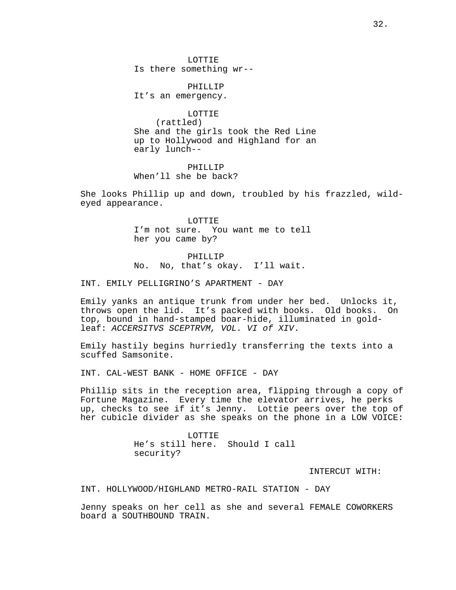LOTTIE Is there something wr--

PHILLIP It's an emergency.

LOTTIE (rattled) She and the girls took the Red Line up to Hollywood and Highland for an early lunch--

PHILLIP When'll she be back?

She looks Phillip up and down, troubled by his frazzled, wildeyed appearance.

> LOTTIE I'm not sure. You want me to tell her you came by?

PHILLIP No. No, that's okay. I'll wait.

INT. EMILY PELLIGRINO'S APARTMENT - DAY

Emily yanks an antique trunk from under her bed. Unlocks it, throws open the lid. It's packed with books. Old books. On top, bound in hand-stamped boar-hide, illuminated in goldleaf: ACCERSITVS SCEPTRVM, VOL. VI of XIV.

Emily hastily begins hurriedly transferring the texts into a scuffed Samsonite.

INT. CAL-WEST BANK - HOME OFFICE - DAY

Phillip sits in the reception area, flipping through a copy of Fortune Magazine. Every time the elevator arrives, he perks up, checks to see if it's Jenny. Lottie peers over the top of her cubicle divider as she speaks on the phone in a LOW VOICE:

> LOTTIE He's still here. Should I call security?

> > INTERCUT WITH:

INT. HOLLYWOOD/HIGHLAND METRO-RAIL STATION - DAY

Jenny speaks on her cell as she and several FEMALE COWORKERS board a SOUTHBOUND TRAIN.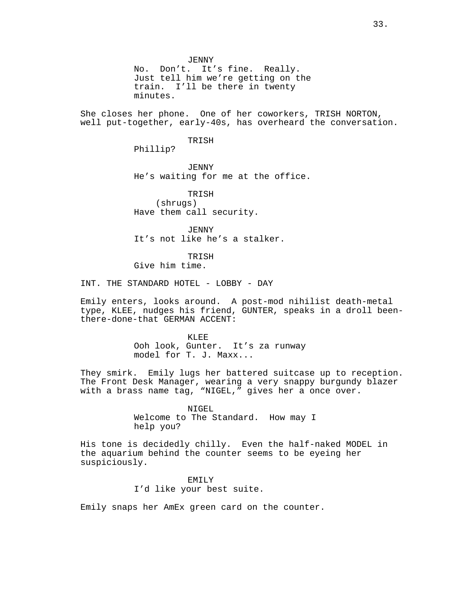JENNY No. Don't. It's fine. Really. Just tell him we're getting on the train. I'll be there in twenty minutes.

She closes her phone. One of her coworkers, TRISH NORTON, well put-together, early-40s, has overheard the conversation.

TRISH

Phillip?

*JENNY* He's waiting for me at the office.

TRISH (shrugs) Have them call security.

JENNY It's not like he's a stalker.

TRISH Give him time.

INT. THE STANDARD HOTEL - LOBBY - DAY

Emily enters, looks around. A post-mod nihilist death-metal type, KLEE, nudges his friend, GUNTER, speaks in a droll beenthere-done-that GERMAN ACCENT:

> KLEE Ooh look, Gunter. It's za runway model for T. J. Maxx...

They smirk. Emily lugs her battered suitcase up to reception. The Front Desk Manager, wearing a very snappy burgundy blazer with a brass name tag, "NIGEL," gives her a once over.

> NIGEL Welcome to The Standard. How may I help you?

His tone is decidedly chilly. Even the half-naked MODEL in the aquarium behind the counter seems to be eyeing her suspiciously.

> EMILY I'd like your best suite.

Emily snaps her AmEx green card on the counter.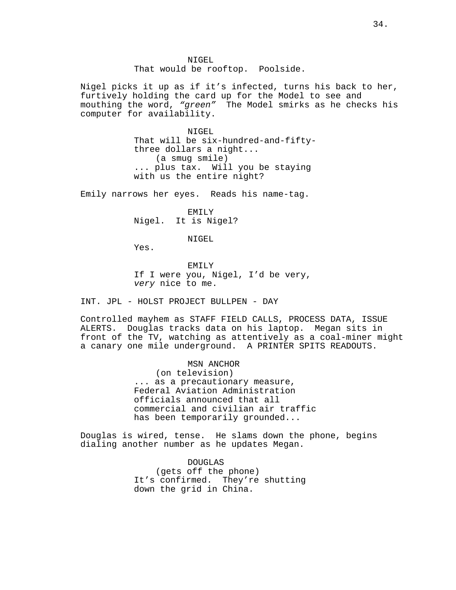NIGEL That would be rooftop. Poolside.

Nigel picks it up as if it's infected, turns his back to her, furtively holding the card up for the Model to see and mouthing the word, "green" The Model smirks as he checks his computer for availability.

> NIGEL That will be six-hundred-and-fiftythree dollars a night... (a smug smile) ... plus tax. Will you be staying with us the entire night?

Emily narrows her eyes. Reads his name-tag.

EMILY Nigel. It is Nigel?

NIGEL

Yes.

EMILY If I were you, Nigel, I'd be very, very nice to me.

INT. JPL - HOLST PROJECT BULLPEN - DAY

Controlled mayhem as STAFF FIELD CALLS, PROCESS DATA, ISSUE ALERTS. Douglas tracks data on his laptop. Megan sits in front of the TV, watching as attentively as a coal-miner might a canary one mile underground. A PRINTER SPITS READOUTS.

> MSN ANCHOR (on television) ... as a precautionary measure, Federal Aviation Administration officials announced that all commercial and civilian air traffic has been temporarily grounded...

Douglas is wired, tense. He slams down the phone, begins dialing another number as he updates Megan.

> DOUGLAS (gets off the phone) It's confirmed. They're shutting down the grid in China.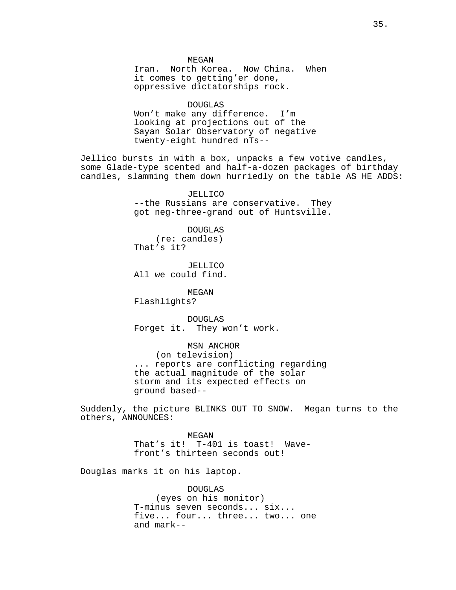**MEGAN** 

Iran. North Korea. Now China. When it comes to getting'er done, oppressive dictatorships rock.

DOUGLAS Won't make any difference. I'm looking at projections out of the Sayan Solar Observatory of negative twenty-eight hundred nTs--

Jellico bursts in with a box, unpacks a few votive candles, some Glade-type scented and half-a-dozen packages of birthday candles, slamming them down hurriedly on the table AS HE ADDS:

> JELLICO --the Russians are conservative. They got neg-three-grand out of Huntsville.

DOUGLAS (re: candles) That's it?

JELLICO All we could find.

MEGAN Flashlights?

DOUGLAS Forget it. They won't work.

MSN ANCHOR (on television) ... reports are conflicting regarding the actual magnitude of the solar storm and its expected effects on ground based--

Suddenly, the picture BLINKS OUT TO SNOW. Megan turns to the others, ANNOUNCES:

> MEGAN That's it! T-401 is toast! Wavefront's thirteen seconds out!

Douglas marks it on his laptop.

DOUGLAS (eyes on his monitor) T-minus seven seconds... six... five... four... three... two... one and mark--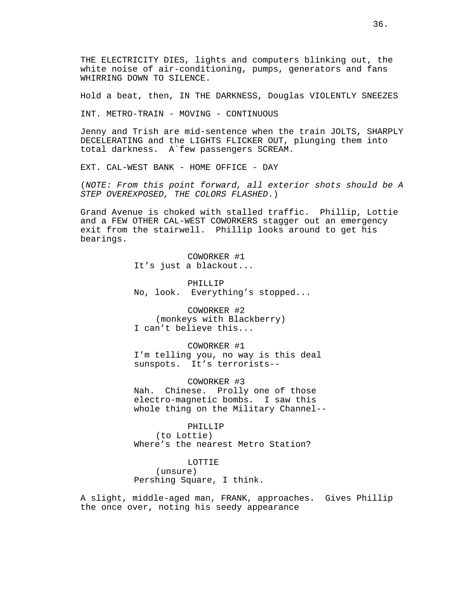THE ELECTRICITY DIES, lights and computers blinking out, the white noise of air-conditioning, pumps, generators and fans WHIRRING DOWN TO SILENCE.

Hold a beat, then, IN THE DARKNESS, Douglas VIOLENTLY SNEEZES

INT. METRO-TRAIN - MOVING - CONTINUOUS

Jenny and Trish are mid-sentence when the train JOLTS, SHARPLY DECELERATING and the LIGHTS FLICKER OUT, plunging them into total darkness. A`few passengers SCREAM.

EXT. CAL-WEST BANK - HOME OFFICE - DAY

(NOTE: From this point forward, all exterior shots should be A STEP OVEREXPOSED, THE COLORS FLASHED.)

Grand Avenue is choked with stalled traffic. Phillip, Lottie and a FEW OTHER CAL-WEST COWORKERS stagger out an emergency exit from the stairwell. Phillip looks around to get his bearings.

> COWORKER #1 It's just a blackout...

PHILLIP No, look. Everything's stopped...

COWORKER #2 (monkeys with Blackberry) I can't believe this...

COWORKER #1 I'm telling you, no way is this deal sunspots. It's terrorists--

COWORKER #3 Nah. Chinese. Prolly one of those electro-magnetic bombs. I saw this whole thing on the Military Channel--

PHILLIP (to Lottie) Where's the nearest Metro Station?

LOTTIE (unsure) Pershing Square, I think.

A slight, middle-aged man, FRANK, approaches. Gives Phillip the once over, noting his seedy appearance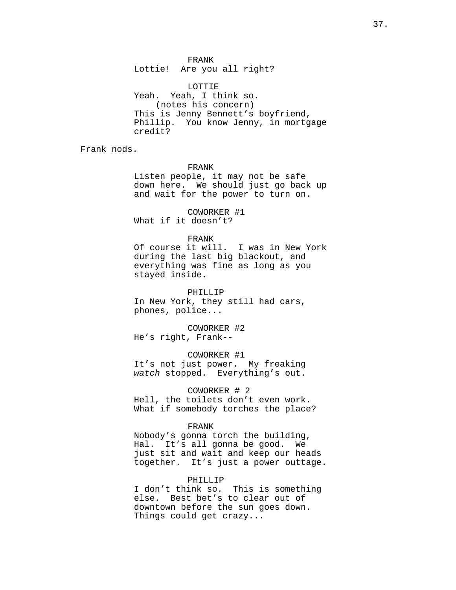FRANK Lottie! Are you all right?

LOTTIE Yeah. Yeah, I think so. (notes his concern) This is Jenny Bennett's boyfriend, Phillip. You know Jenny, in mortgage credit?

Frank nods.

FRANK

Listen people, it may not be safe down here. We should just go back up and wait for the power to turn on.

COWORKER #1 What if it doesn't?

# FRANK

Of course it will. I was in New York during the last big blackout, and everything was fine as long as you stayed inside.

PHILLIP In New York, they still had cars, phones, police...

COWORKER #2 He's right, Frank--

COWORKER #1 It's not just power. My freaking watch stopped. Everything's out.

COWORKER # 2 Hell, the toilets don't even work. What if somebody torches the place?

### FRANK

Nobody's gonna torch the building, Hal. It's all gonna be good. We just sit and wait and keep our heads together. It's just a power outtage.

## PHILLIP

I don't think so. This is something else. Best bet's to clear out of downtown before the sun goes down. Things could get crazy...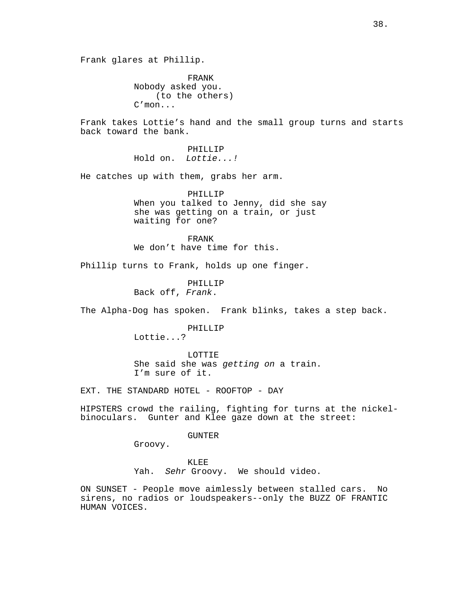Frank glares at Phillip.

FRANK Nobody asked you. (to the others) C'mon...

Frank takes Lottie's hand and the small group turns and starts back toward the bank.

> PHILLIP Hold on. Lottie...!

He catches up with them, grabs her arm.

PHILLIP When you talked to Jenny, did she say she was getting on a train, or just waiting for one?

FRANK We don't have time for this.

Phillip turns to Frank, holds up one finger.

PHILLIP Back off, Frank.

The Alpha-Dog has spoken. Frank blinks, takes a step back.

PHILLIP Lottie...?

LOTTIE She said she was getting on a train. I'm sure of it.

EXT. THE STANDARD HOTEL - ROOFTOP - DAY

HIPSTERS crowd the railing, fighting for turns at the nickelbinoculars. Gunter and Klee gaze down at the street:

GUNTER

Groovy.

KLEE Yah. Sehr Groovy. We should video.

ON SUNSET - People move aimlessly between stalled cars. No sirens, no radios or loudspeakers--only the BUZZ OF FRANTIC HUMAN VOICES.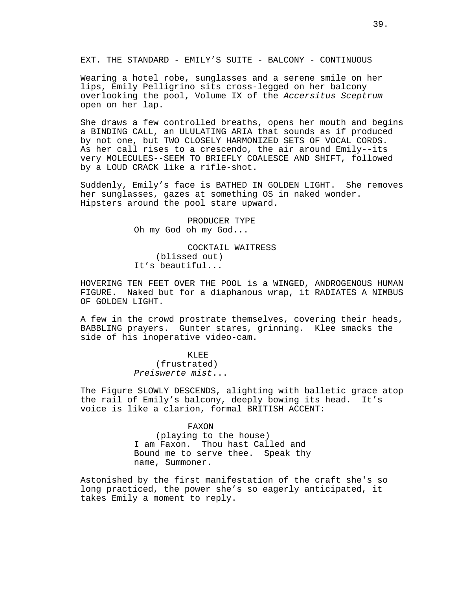EXT. THE STANDARD - EMILY'S SUITE - BALCONY - CONTINUOUS

Wearing a hotel robe, sunglasses and a serene smile on her lips, Emily Pelligrino sits cross-legged on her balcony overlooking the pool, Volume IX of the Accersitus Sceptrum open on her lap.

She draws a few controlled breaths, opens her mouth and begins a BINDING CALL, an ULULATING ARIA that sounds as if produced by not one, but TWO CLOSELY HARMONIZED SETS OF VOCAL CORDS. As her call rises to a crescendo, the air around Emily--its very MOLECULES--SEEM TO BRIEFLY COALESCE AND SHIFT, followed by a LOUD CRACK like a rifle-shot.

Suddenly, Emily's face is BATHED IN GOLDEN LIGHT. She removes her sunglasses, gazes at something OS in naked wonder. Hipsters around the pool stare upward.

> PRODUCER TYPE Oh my God oh my God...

COCKTAIL WAITRESS (blissed out) It's beautiful...

HOVERING TEN FEET OVER THE POOL is a WINGED, ANDROGENOUS HUMAN FIGURE. Naked but for a diaphanous wrap, it RADIATES A NIMBUS OF GOLDEN LIGHT.

A few in the crowd prostrate themselves, covering their heads, BABBLING prayers. Gunter stares, grinning. Klee smacks the side of his inoperative video-cam.

> KLEE (frustrated) Preiswerte mist...

The Figure SLOWLY DESCENDS, alighting with balletic grace atop the rail of Emily's balcony, deeply bowing its head. It's voice is like a clarion, formal BRITISH ACCENT:

### FAXON

(playing to the house) I am Faxon. Thou hast Called and Bound me to serve thee. Speak thy name, Summoner.

Astonished by the first manifestation of the craft she's so long practiced, the power she's so eagerly anticipated, it takes Emily a moment to reply.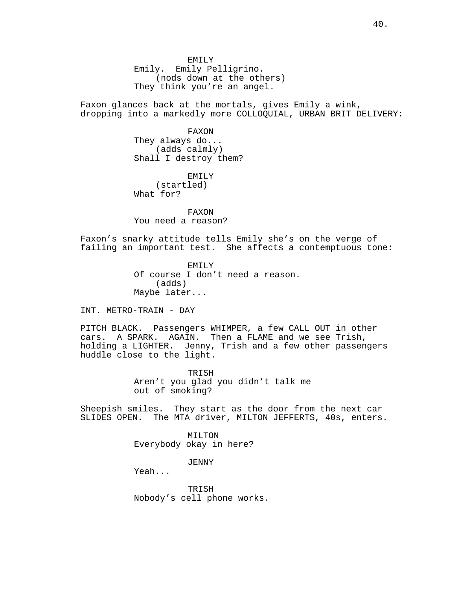EMILY Emily. Emily Pelligrino. (nods down at the others) They think you're an angel.

Faxon glances back at the mortals, gives Emily a wink, dropping into a markedly more COLLOQUIAL, URBAN BRIT DELIVERY:

> FAXON They always do... (adds calmly) Shall I destroy them?

EMILY (startled) What for?

FAXON You need a reason?

Faxon's snarky attitude tells Emily she's on the verge of failing an important test. She affects a contemptuous tone:

> EMILY Of course I don't need a reason. (adds) Maybe later...

INT. METRO-TRAIN - DAY

PITCH BLACK. Passengers WHIMPER, a few CALL OUT in other cars. A SPARK. AGAIN. Then a FLAME and we see Trish, holding a LIGHTER. Jenny, Trish and a few other passengers huddle close to the light.

> TRISH Aren't you glad you didn't talk me out of smoking?

Sheepish smiles. They start as the door from the next car SLIDES OPEN. The MTA driver, MILTON JEFFERTS, 40s, enters.

> MILTON Everybody okay in here?

> > *JENNY*

Yeah...

TRISH Nobody's cell phone works.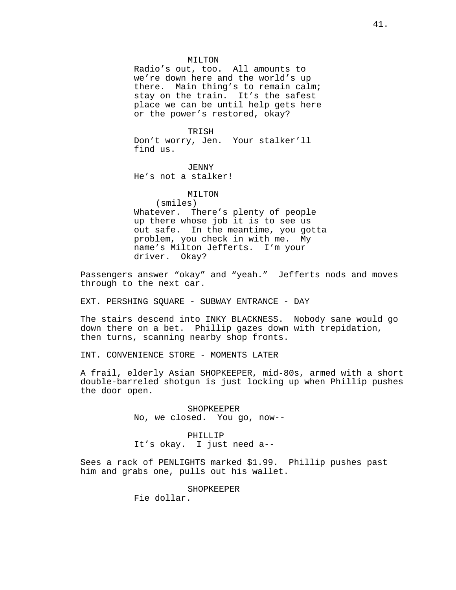### MILTON

Radio's out, too. All amounts to we're down here and the world's up there. Main thing's to remain calm; stay on the train. It's the safest place we can be until help gets here or the power's restored, okay?

## TRISH

Don't worry, Jen. Your stalker'll find us.

JENNY He's not a stalker!

### MILTON

(smiles) Whatever. There's plenty of people up there whose job it is to see us out safe. In the meantime, you gotta problem, you check in with me. My name's Milton Jefferts. I'm your driver. Okay?

Passengers answer "okay" and "yeah." Jefferts nods and moves through to the next car.

EXT. PERSHING SQUARE - SUBWAY ENTRANCE - DAY

The stairs descend into INKY BLACKNESS. Nobody sane would go down there on a bet. Phillip gazes down with trepidation, then turns, scanning nearby shop fronts.

INT. CONVENIENCE STORE - MOMENTS LATER

A frail, elderly Asian SHOPKEEPER, mid-80s, armed with a short double-barreled shotgun is just locking up when Phillip pushes the door open.

> SHOPKEEPER No, we closed. You go, now--

PHILLIP It's okay. I just need a--

Sees a rack of PENLIGHTS marked \$1.99. Phillip pushes past him and grabs one, pulls out his wallet.

SHOPKEEPER

Fie dollar.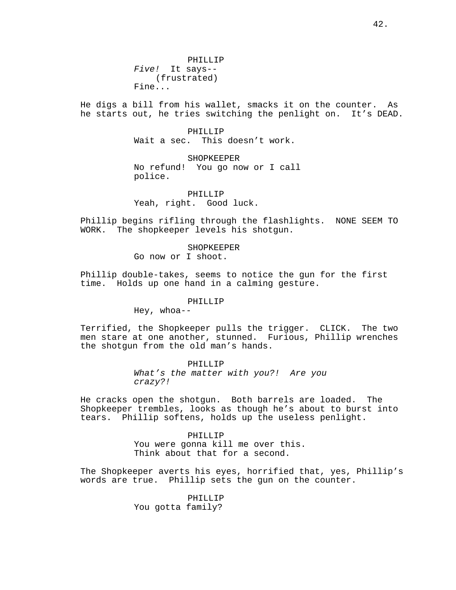PHILLIP Five! It says-- (frustrated) Fine...

He digs a bill from his wallet, smacks it on the counter. As he starts out, he tries switching the penlight on. It's DEAD.

> PHILLIP Wait a sec. This doesn't work.

SHOPKEEPER No refund! You go now or I call police.

PHILLIP Yeah, right. Good luck.

Phillip begins rifling through the flashlights. NONE SEEM TO WORK. The shopkeeper levels his shotgun.

# SHOPKEEPER

Go now or I shoot.

Phillip double-takes, seems to notice the gun for the first time. Holds up one hand in a calming gesture.

### PHILLIP

Hey, whoa--

Terrified, the Shopkeeper pulls the trigger. CLICK. The two men stare at one another, stunned. Furious, Phillip wrenches the shotgun from the old man's hands.

> PHILLIP What's the matter with you?! Are you crazy?!

He cracks open the shotgun. Both barrels are loaded. The Shopkeeper trembles, looks as though he's about to burst into tears. Phillip softens, holds up the useless penlight.

> PHILLIP You were gonna kill me over this. Think about that for a second.

The Shopkeeper averts his eyes, horrified that, yes, Phillip's words are true. Phillip sets the gun on the counter.

> PHILLIP You gotta family?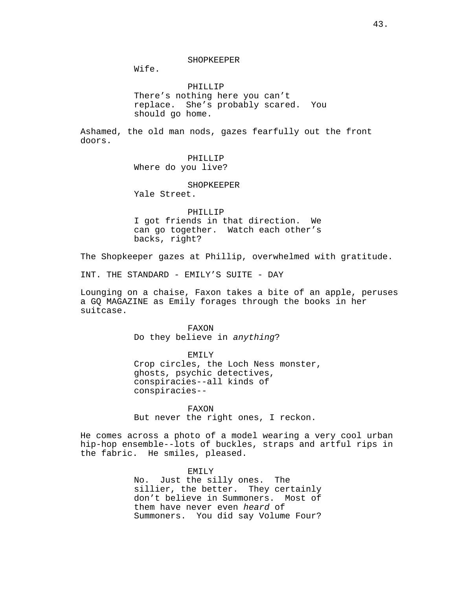Wife.

PHILLIP There's nothing here you can't replace. She's probably scared. You should go home.

Ashamed, the old man nods, gazes fearfully out the front doors.

> PHILLIP Where do you live?

## SHOPKEEPER

Yale Street.

PHILLIP I got friends in that direction. We can go together. Watch each other's backs, right?

The Shopkeeper gazes at Phillip, overwhelmed with gratitude.

INT. THE STANDARD - EMILY'S SUITE - DAY

Lounging on a chaise, Faxon takes a bite of an apple, peruses a GQ MAGAZINE as Emily forages through the books in her suitcase.

> FAXON Do they believe in anything?

EMILY Crop circles, the Loch Ness monster, ghosts, psychic detectives, conspiracies--all kinds of conspiracies--

FAXON But never the right ones, I reckon.

He comes across a photo of a model wearing a very cool urban hip-hop ensemble--lots of buckles, straps and artful rips in the fabric. He smiles, pleased.

> EMILY No. Just the silly ones. The sillier, the better. They certainly don't believe in Summoners. Most of them have never even heard of Summoners. You did say Volume Four?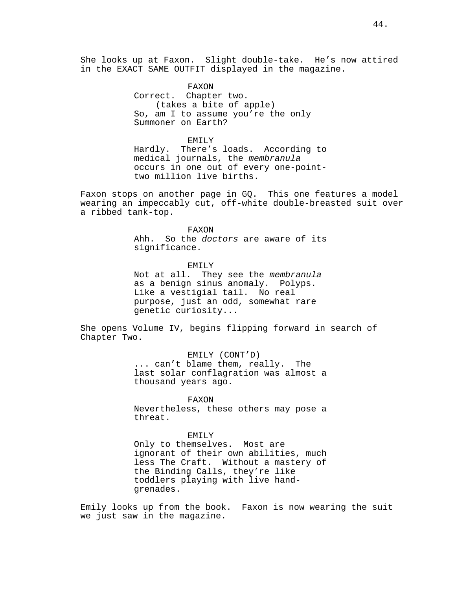She looks up at Faxon. Slight double-take. He's now attired in the EXACT SAME OUTFIT displayed in the magazine.

> FAXON Correct. Chapter two. (takes a bite of apple) So, am I to assume you're the only Summoner on Earth?

EMILY Hardly. There's loads. According to medical journals, the membranula occurs in one out of every one-pointtwo million live births.

Faxon stops on another page in GQ. This one features a model wearing an impeccably cut, off-white double-breasted suit over a ribbed tank-top.

FAXON

Ahh. So the doctors are aware of its significance.

EMILY Not at all. They see the membranula as a benign sinus anomaly. Polyps. Like a vestigial tail. No real purpose, just an odd, somewhat rare genetic curiosity...

She opens Volume IV, begins flipping forward in search of Chapter Two.

> EMILY (CONT'D) ... can't blame them, really. The

last solar conflagration was almost a thousand years ago.

FAXON Nevertheless, these others may pose a threat.

EMILY Only to themselves. Most are ignorant of their own abilities, much less The Craft. Without a mastery of the Binding Calls, they're like toddlers playing with live handgrenades.

Emily looks up from the book. Faxon is now wearing the suit we just saw in the magazine.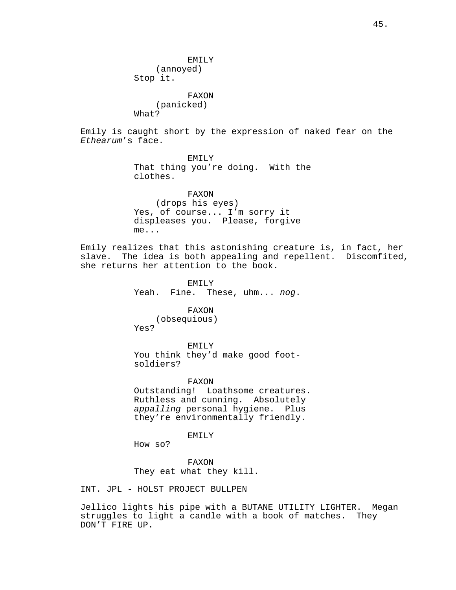EMILY (annoyed) Stop it.

FAXON (panicked) What?

Emily is caught short by the expression of naked fear on the Ethearum's face.

> EMILY That thing you're doing. With the clothes.

FAXON (drops his eyes) Yes, of course... I'm sorry it displeases you. Please, forgive me...

Emily realizes that this astonishing creature is, in fact, her slave. The idea is both appealing and repellent. Discomfited, she returns her attention to the book.

> EMILY Yeah. Fine. These, uhm... nog.

> > FAXON

(obsequious) Yes?

EMILY You think they'd make good footsoldiers?

FAXON Outstanding! Loathsome creatures. Ruthless and cunning. Absolutely appalling personal hygiene. Plus they're environmentally friendly.

EMILY

How so?

FAXON They eat what they kill.

INT. JPL - HOLST PROJECT BULLPEN

Jellico lights his pipe with a BUTANE UTILITY LIGHTER. Megan struggles to light a candle with a book of matches. They DON'T FIRE UP.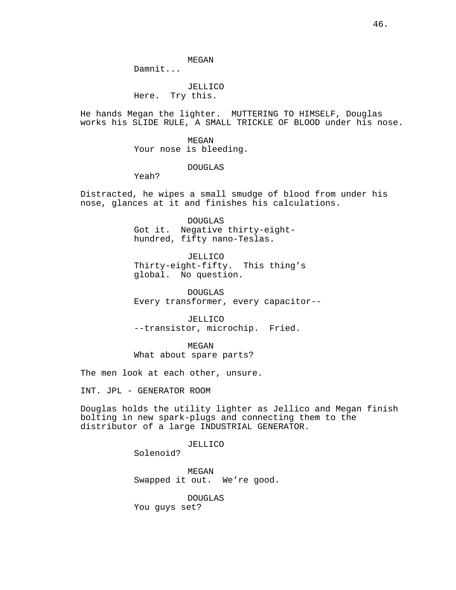MEGAN

Damnit...

JELLICO Here. Try this.

He hands Megan the lighter. MUTTERING TO HIMSELF, Douglas works his SLIDE RULE, A SMALL TRICKLE OF BLOOD under his nose.

> MEGAN Your nose is bleeding.

## DOUGLAS

Yeah?

Distracted, he wipes a small smudge of blood from under his nose, glances at it and finishes his calculations.

> DOUGLAS Got it. Negative thirty-eighthundred, fifty nano-Teslas.

JELLICO Thirty-eight-fifty. This thing's global. No question.

DOUGLAS Every transformer, every capacitor--

JELLICO --transistor, microchip. Fried.

MEGAN What about spare parts?

The men look at each other, unsure.

INT. JPL - GENERATOR ROOM

Douglas holds the utility lighter as Jellico and Megan finish bolting in new spark-plugs and connecting them to the distributor of a large INDUSTRIAL GENERATOR.

JELLICO

Solenoid?

MEGAN Swapped it out. We're good.

DOUGLAS

You guys set?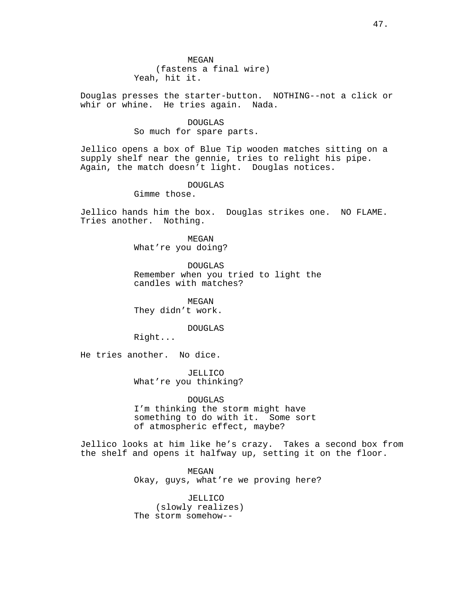Douglas presses the starter-button. NOTHING--not a click or whir or whine. He tries again. Nada.

# DOUGLAS So much for spare parts.

Jellico opens a box of Blue Tip wooden matches sitting on a supply shelf near the gennie, tries to relight his pipe. Again, the match doesn't light. Douglas notices.

# DOUGLAS

Gimme those.

Jellico hands him the box. Douglas strikes one. NO FLAME. Tries another. Nothing.

> MEGAN What're you doing?

DOUGLAS Remember when you tried to light the candles with matches?

MEGAN They didn't work.

# DOUGLAS

Right...

He tries another. No dice.

JELLICO What're you thinking?

DOUGLAS I'm thinking the storm might have something to do with it. Some sort of atmospheric effect, maybe?

Jellico looks at him like he's crazy. Takes a second box from the shelf and opens it halfway up, setting it on the floor.

> MEGAN Okay, guys, what're we proving here?

JELLICO (slowly realizes) The storm somehow--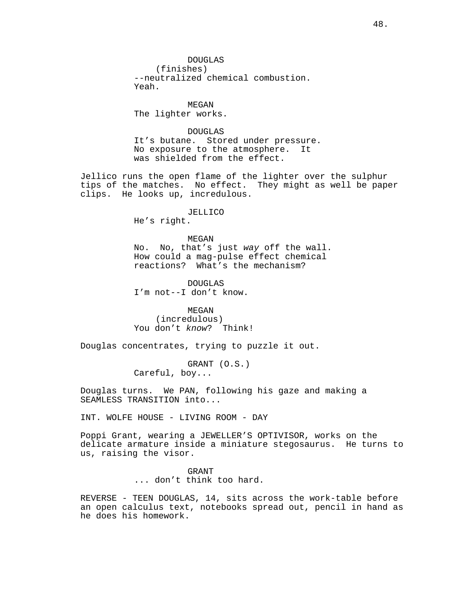DOUGLAS (finishes) --neutralized chemical combustion. Yeah.

MEGAN The lighter works.

DOUGLAS It's butane. Stored under pressure. No exposure to the atmosphere. It was shielded from the effect.

Jellico runs the open flame of the lighter over the sulphur tips of the matches. No effect. They might as well be paper clips. He looks up, incredulous.

### JELLICO

He's right.

MEGAN No. No, that's just way off the wall. How could a mag-pulse effect chemical reactions? What's the mechanism?

DOUGLAS I'm not--I don't know.

MEGAN (incredulous) You don't know? Think!

Douglas concentrates, trying to puzzle it out.

GRANT (O.S.) Careful, boy...

Douglas turns. We PAN, following his gaze and making a SEAMLESS TRANSITION into...

INT. WOLFE HOUSE - LIVING ROOM - DAY

Poppi Grant, wearing a JEWELLER'S OPTIVISOR, works on the delicate armature inside a miniature stegosaurus. He turns to us, raising the visor.

> GRANT ... don't think too hard.

REVERSE - TEEN DOUGLAS, 14, sits across the work-table before an open calculus text, notebooks spread out, pencil in hand as he does his homework.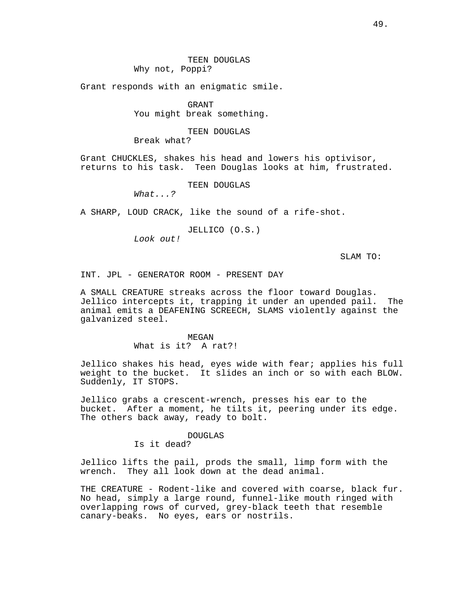Grant responds with an enigmatic smile.

GRANT You might break something.

# TEEN DOUGLAS

Break what?

Grant CHUCKLES, shakes his head and lowers his optivisor, returns to his task. Teen Douglas looks at him, frustrated.

TEEN DOUGLAS

What...?

A SHARP, LOUD CRACK, like the sound of a rife-shot.

JELLICO (O.S.)

Look out!

SLAM TO:

INT. JPL - GENERATOR ROOM - PRESENT DAY

A SMALL CREATURE streaks across the floor toward Douglas. Jellico intercepts it, trapping it under an upended pail. The animal emits a DEAFENING SCREECH, SLAMS violently against the galvanized steel.

> MEGAN What is it? A rat?!

Jellico shakes his head, eyes wide with fear; applies his full weight to the bucket. It slides an inch or so with each BLOW. Suddenly, IT STOPS.

Jellico grabs a crescent-wrench, presses his ear to the bucket. After a moment, he tilts it, peering under its edge. The others back away, ready to bolt.

## DOUGLAS

Is it dead?

Jellico lifts the pail, prods the small, limp form with the wrench. They all look down at the dead animal.

THE CREATURE - Rodent-like and covered with coarse, black fur. No head, simply a large round, funnel-like mouth ringed with overlapping rows of curved, grey-black teeth that resemble canary-beaks. No eyes, ears or nostrils.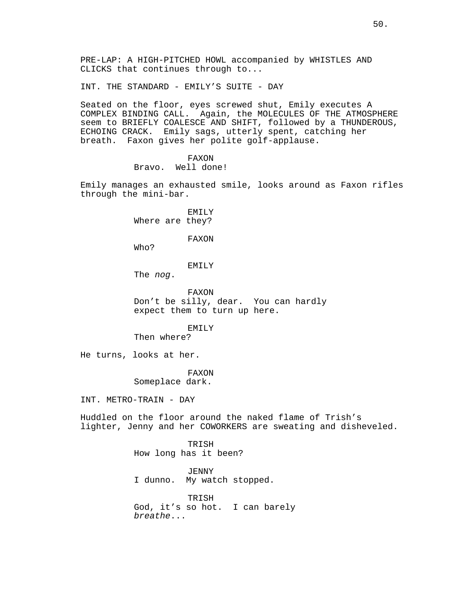PRE-LAP: A HIGH-PITCHED HOWL accompanied by WHISTLES AND CLICKS that continues through to...

INT. THE STANDARD - EMILY'S SUITE - DAY

Seated on the floor, eyes screwed shut, Emily executes A COMPLEX BINDING CALL. Again, the MOLECULES OF THE ATMOSPHERE seem to BRIEFLY COALESCE AND SHIFT, followed by a THUNDEROUS, ECHOING CRACK. Emily sags, utterly spent, catching her breath. Faxon gives her polite golf-applause.

> FAXON Bravo. Well done!

Emily manages an exhausted smile, looks around as Faxon rifles through the mini-bar.

> EMILY Where are they?

> > FAXON

Who?

### EMILY

The nog.

FAXON Don't be silly, dear. You can hardly expect them to turn up here.

## EMILY

Then where?

He turns, looks at her.

FAXON

Someplace dark.

INT. METRO-TRAIN - DAY

Huddled on the floor around the naked flame of Trish's lighter, Jenny and her COWORKERS are sweating and disheveled.

> TRISH How long has it been?

JENNY I dunno. My watch stopped.

TRISH God, it's so hot. I can barely breathe...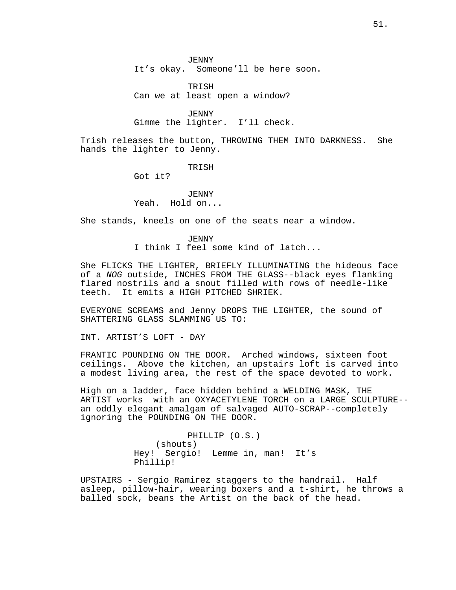JENNY It's okay. Someone'll be here soon.

TRISH Can we at least open a window?

JENNY Gimme the lighter. I'll check.

Trish releases the button, THROWING THEM INTO DARKNESS. She hands the lighter to Jenny.

TRISH

Got it?

JENNY Yeah. Hold on...

She stands, kneels on one of the seats near a window.

*JENNY* I think I feel some kind of latch...

She FLICKS THE LIGHTER, BRIEFLY ILLUMINATING the hideous face of a NOG outside, INCHES FROM THE GLASS--black eyes flanking flared nostrils and a snout filled with rows of needle-like teeth. It emits a HIGH PITCHED SHRIEK.

EVERYONE SCREAMS and Jenny DROPS THE LIGHTER, the sound of SHATTERING GLASS SLAMMING US TO:

INT. ARTIST'S LOFT - DAY

FRANTIC POUNDING ON THE DOOR. Arched windows, sixteen foot ceilings. Above the kitchen, an upstairs loft is carved into a modest living area, the rest of the space devoted to work.

High on a ladder, face hidden behind a WELDING MASK, THE ARTIST works with an OXYACETYLENE TORCH on a LARGE SCULPTURE- an oddly elegant amalgam of salvaged AUTO-SCRAP--completely ignoring the POUNDING ON THE DOOR.

> PHILLIP (O.S.) (shouts) Hey! Sergio! Lemme in, man! It's Phillip!

UPSTAIRS - Sergio Ramirez staggers to the handrail. Half asleep, pillow-hair, wearing boxers and a t-shirt, he throws a balled sock, beans the Artist on the back of the head.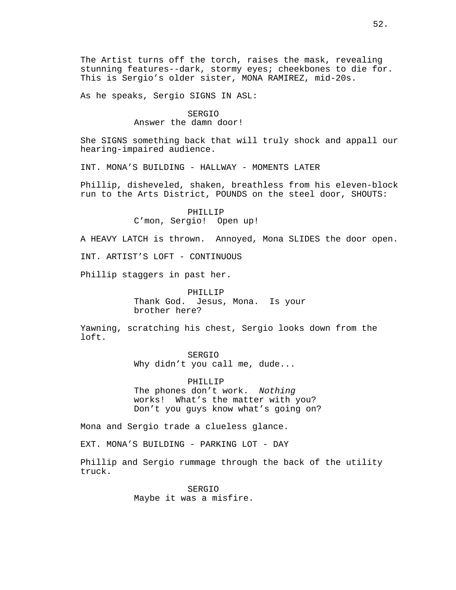The Artist turns off the torch, raises the mask, revealing stunning features--dark, stormy eyes; cheekbones to die for. This is Sergio's older sister, MONA RAMIREZ, mid-20s.

As he speaks, Sergio SIGNS IN ASL:

# SERGIO Answer the damn door!

She SIGNS something back that will truly shock and appall our hearing-impaired audience.

INT. MONA'S BUILDING - HALLWAY - MOMENTS LATER

Phillip, disheveled, shaken, breathless from his eleven-block run to the Arts District, POUNDS on the steel door, SHOUTS:

> PHILLIP C'mon, Sergio! Open up!

A HEAVY LATCH is thrown. Annoyed, Mona SLIDES the door open.

INT. ARTIST'S LOFT - CONTINUOUS

Phillip staggers in past her.

PHILLIP Thank God. Jesus, Mona. Is your brother here?

Yawning, scratching his chest, Sergio looks down from the loft.

> SERGIO Why didn't you call me, dude...

PHILLIP The phones don't work. Nothing works! What's the matter with you? Don't you guys know what's going on?

Mona and Sergio trade a clueless glance.

EXT. MONA'S BUILDING - PARKING LOT - DAY

Phillip and Sergio rummage through the back of the utility truck.

> SERGIO Maybe it was a misfire.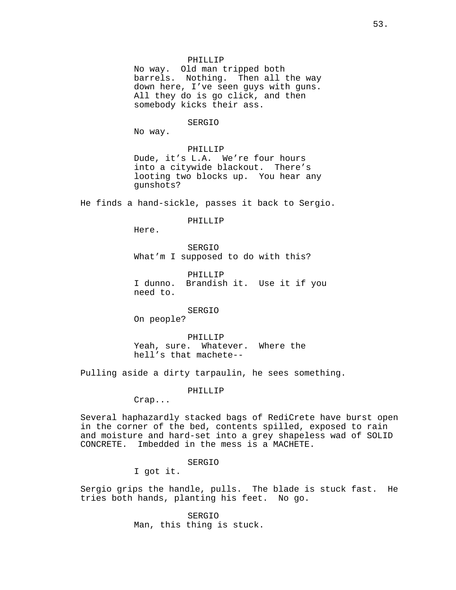PHILLIP

No way. Old man tripped both barrels. Nothing. Then all the way down here, I've seen guys with guns. All they do is go click, and then somebody kicks their ass.

# SERGIO

No way.

### PHILLIP

Dude, it's L.A. We're four hours into a citywide blackout. There's looting two blocks up. You hear any gunshots?

He finds a hand-sickle, passes it back to Sergio.

# PHILLIP

Here.

SERGIO What'm I supposed to do with this?

PHILLIP I dunno. Brandish it. Use it if you need to.

## SERGIO

On people?

PHILLIP Yeah, sure. Whatever. Where the hell's that machete--

Pulling aside a dirty tarpaulin, he sees something.

### PHILLIP

Crap...

Several haphazardly stacked bags of RediCrete have burst open in the corner of the bed, contents spilled, exposed to rain and moisture and hard-set into a grey shapeless wad of SOLID CONCRETE. Imbedded in the mess is a MACHETE.

# SERGIO

I got it.

Sergio grips the handle, pulls. The blade is stuck fast. He tries both hands, planting his feet. No go.

> SERGIO Man, this thing is stuck.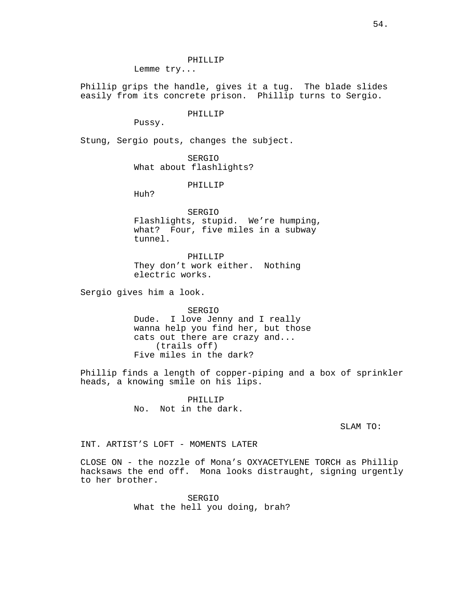PHILLIP

Lemme try...

Phillip grips the handle, gives it a tug. The blade slides easily from its concrete prison. Phillip turns to Sergio.

PHILLIP

Pussy.

Stung, Sergio pouts, changes the subject.

SERGIO What about flashlights?

PHILLIP

Huh?

SERGIO Flashlights, stupid. We're humping, what? Four, five miles in a subway tunnel.

PHILLIP They don't work either. Nothing electric works.

Sergio gives him a look.

SERGIO Dude. I love Jenny and I really wanna help you find her, but those cats out there are crazy and... (trails off) Five miles in the dark?

Phillip finds a length of copper-piping and a box of sprinkler heads, a knowing smile on his lips.

> PHILLIP No. Not in the dark.

> > SLAM TO:

INT. ARTIST'S LOFT - MOMENTS LATER

CLOSE ON - the nozzle of Mona's OXYACETYLENE TORCH as Phillip hacksaws the end off. Mona looks distraught, signing urgently to her brother.

> SERGIO What the hell you doing, brah?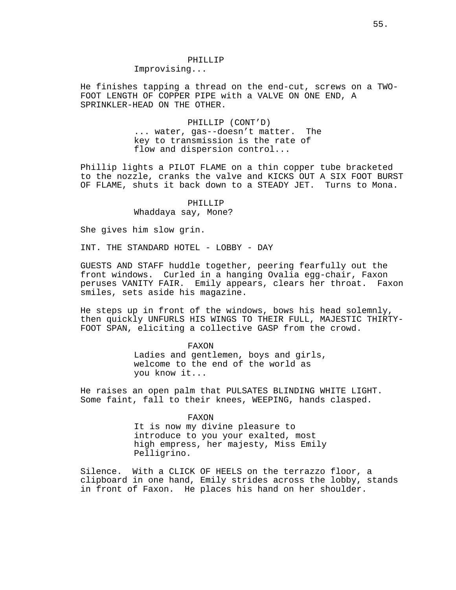He finishes tapping a thread on the end-cut, screws on a TWO-FOOT LENGTH OF COPPER PIPE with a VALVE ON ONE END, A SPRINKLER-HEAD ON THE OTHER.

# PHILLIP (CONT'D) ... water, gas--doesn't matter. The key to transmission is the rate of flow and dispersion control...

Phillip lights a PILOT FLAME on a thin copper tube bracketed to the nozzle, cranks the valve and KICKS OUT A SIX FOOT BURST OF FLAME, shuts it back down to a STEADY JET. Turns to Mona.

# PHILLIP Whaddaya say, Mone?

She gives him slow grin.

INT. THE STANDARD HOTEL - LOBBY - DAY

GUESTS AND STAFF huddle together, peering fearfully out the front windows. Curled in a hanging Ovalia egg-chair, Faxon peruses VANITY FAIR. Emily appears, clears her throat. Faxon smiles, sets aside his magazine.

He steps up in front of the windows, bows his head solemnly, then quickly UNFURLS HIS WINGS TO THEIR FULL, MAJESTIC THIRTY-FOOT SPAN, eliciting a collective GASP from the crowd.

# FAXON Ladies and gentlemen, boys and girls, welcome to the end of the world as you know it...

He raises an open palm that PULSATES BLINDING WHITE LIGHT. Some faint, fall to their knees, WEEPING, hands clasped.

## FAXON

It is now my divine pleasure to introduce to you your exalted, most high empress, her majesty, Miss Emily Pelligrino.

Silence. With a CLICK OF HEELS on the terrazzo floor, a clipboard in one hand, Emily strides across the lobby, stands in front of Faxon. He places his hand on her shoulder.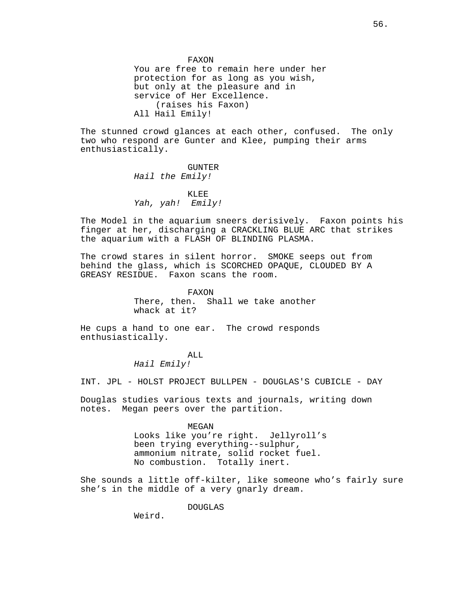FAXON You are free to remain here under her protection for as long as you wish, but only at the pleasure and in service of Her Excellence. (raises his Faxon) All Hail Emily!

The stunned crowd glances at each other, confused. The only two who respond are Gunter and Klee, pumping their arms enthusiastically.

> GUNTER Hail the Emily!

KLEE Yah, yah! Emily!

The Model in the aquarium sneers derisively. Faxon points his finger at her, discharging a CRACKLING BLUE ARC that strikes the aquarium with a FLASH OF BLINDING PLASMA.

The crowd stares in silent horror. SMOKE seeps out from behind the glass, which is SCORCHED OPAQUE, CLOUDED BY A GREASY RESIDUE. Faxon scans the room.

> FAXON There, then. Shall we take another whack at it?

He cups a hand to one ear. The crowd responds enthusiastically.

> ALL Hail Emily!

INT. JPL - HOLST PROJECT BULLPEN - DOUGLAS'S CUBICLE - DAY

Douglas studies various texts and journals, writing down notes. Megan peers over the partition.

> MEGAN Looks like you're right. Jellyroll's been trying everything--sulphur, ammonium nitrate, solid rocket fuel. No combustion. Totally inert.

She sounds a little off-kilter, like someone who's fairly sure she's in the middle of a very gnarly dream.

DOUGLAS

Weird.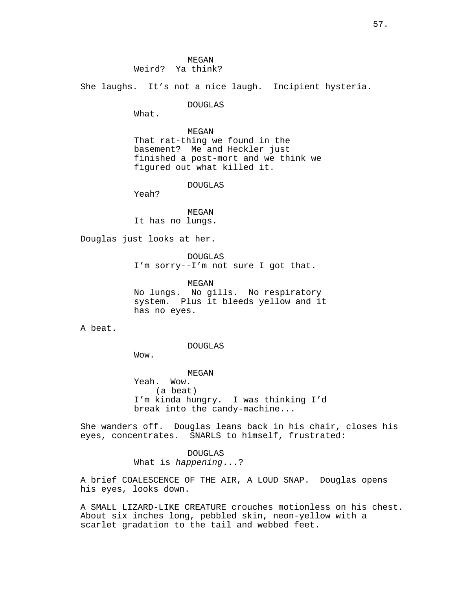She laughs. It's not a nice laugh. Incipient hysteria.

DOUGLAS

What.

MEGAN That rat-thing we found in the basement? Me and Heckler just finished a post-mort and we think we figured out what killed it.

DOUGLAS

Yeah?

MEGAN It has no lungs.

Douglas just looks at her.

DOUGLAS I'm sorry--I'm not sure I got that.

MEGAN No lungs. No gills. No respiratory system. Plus it bleeds yellow and it has no eyes.

A beat.

DOUGLAS

Wow.

MEGAN Yeah. Wow. (a beat) I'm kinda hungry. I was thinking I'd break into the candy-machine...

She wanders off. Douglas leans back in his chair, closes his eyes, concentrates. SNARLS to himself, frustrated:

> DOUGLAS What is happening...?

A brief COALESCENCE OF THE AIR, A LOUD SNAP. Douglas opens his eyes, looks down.

A SMALL LIZARD-LIKE CREATURE crouches motionless on his chest. About six inches long, pebbled skin, neon-yellow with a scarlet gradation to the tail and webbed feet.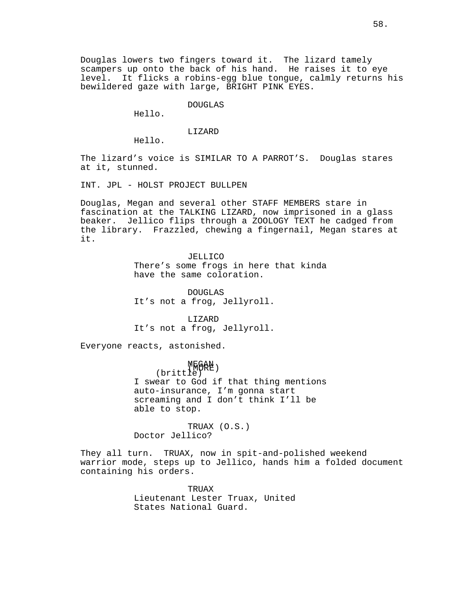## DOUGLAS

Hello.

# LIZARD

Hello.

The lizard's voice is SIMILAR TO A PARROT'S. Douglas stares at it, stunned.

INT. JPL - HOLST PROJECT BULLPEN

Douglas, Megan and several other STAFF MEMBERS stare in fascination at the TALKING LIZARD, now imprisoned in a glass beaker. Jellico flips through a ZOOLOGY TEXT he cadged from the library. Frazzled, chewing a fingernail, Megan stares at it.

> JELLICO There's some frogs in here that kinda have the same coloration.

DOUGLAS It's not a frog, Jellyroll.

LIZARD It's not a frog, Jellyroll.

Everyone reacts, astonished.

MEG<del>A</del>N )  $(britt1e')$ I swear to God if that thing mentions auto-insurance, I'm gonna start screaming and I don't think I'll be able to stop.

TRUAX (O.S.) Doctor Jellico?

They all turn. TRUAX, now in spit-and-polished weekend warrior mode, steps up to Jellico, hands him a folded document containing his orders.

> TRUAX Lieutenant Lester Truax, United States National Guard.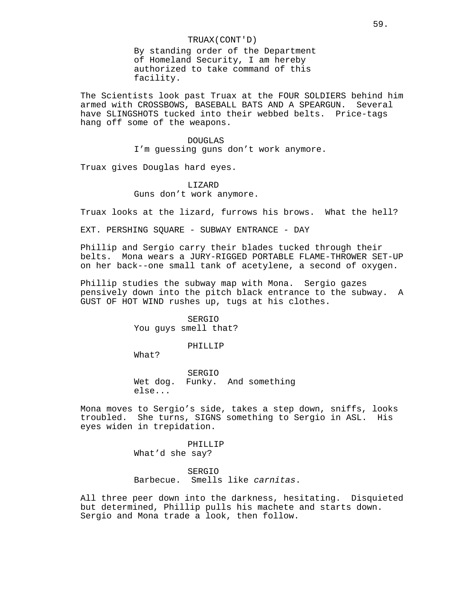## TRUAX(CONT'D)

By standing order of the Department of Homeland Security, I am hereby authorized to take command of this facility.

The Scientists look past Truax at the FOUR SOLDIERS behind him armed with CROSSBOWS, BASEBALL BATS AND A SPEARGUN. Several have SLINGSHOTS tucked into their webbed belts. Price-tags hang off some of the weapons.

> DOUGLAS I'm guessing guns don't work anymore.

Truax gives Douglas hard eyes.

LIZARD Guns don't work anymore.

Truax looks at the lizard, furrows his brows. What the hell?

EXT. PERSHING SOUARE - SUBWAY ENTRANCE - DAY

Phillip and Sergio carry their blades tucked through their belts. Mona wears a JURY-RIGGED PORTABLE FLAME-THROWER SET-UP on her back--one small tank of acetylene, a second of oxygen.

Phillip studies the subway map with Mona. Sergio gazes pensively down into the pitch black entrance to the subway. A GUST OF HOT WIND rushes up, tugs at his clothes.

> SERGIO You guys smell that?

> > PHILLIP

What?

SERGIO Wet dog. Funky. And something else...

Mona moves to Sergio's side, takes a step down, sniffs, looks troubled. She turns, SIGNS something to Sergio in ASL. His eyes widen in trepidation.

> PHILLIP What'd she say?

SERGIO Barbecue. Smells like carnitas.

All three peer down into the darkness, hesitating. Disquieted but determined, Phillip pulls his machete and starts down. Sergio and Mona trade a look, then follow.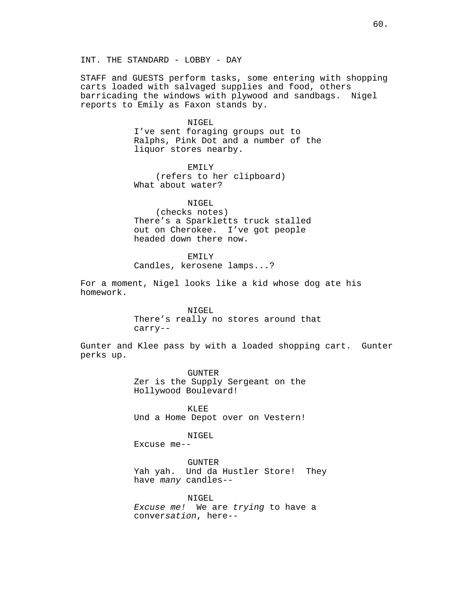STAFF and GUESTS perform tasks, some entering with shopping carts loaded with salvaged supplies and food, others barricading the windows with plywood and sandbags. Nigel reports to Emily as Faxon stands by.

### NIGEL

I've sent foraging groups out to Ralphs, Pink Dot and a number of the liquor stores nearby.

EMILY (refers to her clipboard) What about water?

NIGEL.

(checks notes) There's a Sparkletts truck stalled out on Cherokee. I've got people headed down there now.

EMILY

Candles, kerosene lamps...?

For a moment, Nigel looks like a kid whose dog ate his homework.

> NIGEL There's really no stores around that carry--

Gunter and Klee pass by with a loaded shopping cart. Gunter perks up.

> GUNTER Zer is the Supply Sergeant on the Hollywood Boulevard!

> KLEE Und a Home Depot over on Vestern!

# NIGEL

Excuse me--

GUNTER Yah yah. Und da Hustler Store! They have many candles--

NIGEL Excuse me! We are trying to have a conversation, here--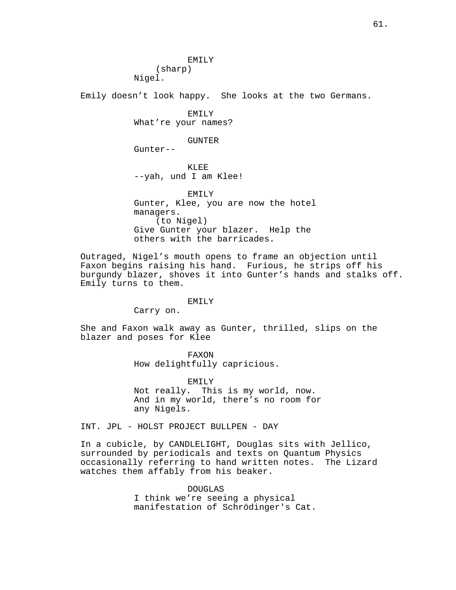EMILY (sharp) Nigel.

Emily doesn't look happy. She looks at the two Germans.

EMILY What're your names?

GUNTER

Gunter--

KLEE --yah, und I am Klee!

EMILY Gunter, Klee, you are now the hotel managers. (to Nigel) Give Gunter your blazer. Help the others with the barricades.

Outraged, Nigel's mouth opens to frame an objection until Faxon begins raising his hand. Furious, he strips off his burgundy blazer, shoves it into Gunter's hands and stalks off. Emily turns to them.

### EMILY

Carry on.

She and Faxon walk away as Gunter, thrilled, slips on the blazer and poses for Klee

> FAXON How delightfully capricious.

EMILY Not really. This is my world, now. And in my world, there's no room for any Nigels.

INT. JPL - HOLST PROJECT BULLPEN - DAY

In a cubicle, by CANDLELIGHT, Douglas sits with Jellico, surrounded by periodicals and texts on Quantum Physics occasionally referring to hand written notes. The Lizard watches them affably from his beaker.

> DOUGLAS I think we're seeing a physical manifestation of Schrödinger's Cat.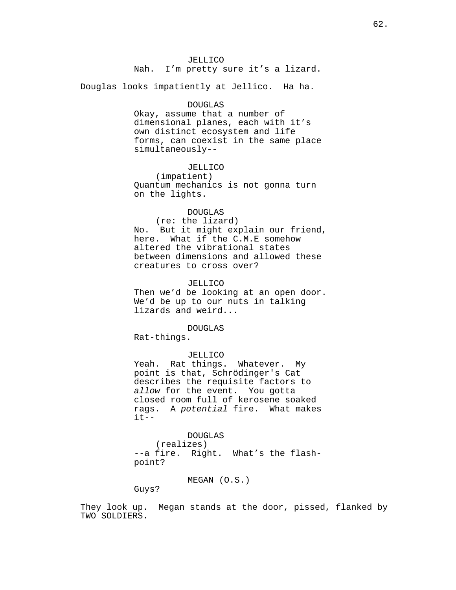JELLICO Nah. I'm pretty sure it's a lizard.

Douglas looks impatiently at Jellico. Ha ha.

#### DOUGLAS

Okay, assume that a number of dimensional planes, each with it's own distinct ecosystem and life forms, can coexist in the same place simultaneously--

# JELLICO

(impatient) Quantum mechanics is not gonna turn on the lights.

#### DOUGLAS

(re: the lizard) No. But it might explain our friend, here. What if the C.M.E somehow altered the vibrational states between dimensions and allowed these creatures to cross over?

## JELLICO

Then we'd be looking at an open door. We'd be up to our nuts in talking lizards and weird...

# DOUGLAS

Rat-things.

### JELLICO

Yeah. Rat things. Whatever. My point is that, Schrödinger's Cat describes the requisite factors to allow for the event. You gotta closed room full of kerosene soaked rags. A potential fire. What makes  $it--$ 

### DOUGLAS

(realizes) --a fire. Right. What's the flashpoint?

# MEGAN (O.S.)

Guys?

They look up. Megan stands at the door, pissed, flanked by TWO SOLDIERS.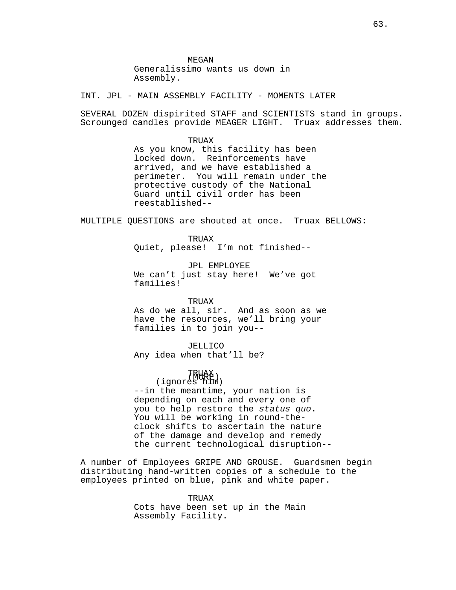**MEGAN** Generalissimo wants us down in Assembly.

INT. JPL - MAIN ASSEMBLY FACILITY - MOMENTS LATER

SEVERAL DOZEN dispirited STAFF and SCIENTISTS stand in groups. Scrounged candles provide MEAGER LIGHT. Truax addresses them.

> TRUAX As you know, this facility has been locked down. Reinforcements have arrived, and we have established a perimeter. You will remain under the protective custody of the National Guard until civil order has been reestablished--

MULTIPLE QUESTIONS are shouted at once. Truax BELLOWS:

TRUAX Quiet, please! I'm not finished--

JPL EMPLOYEE We can't just stay here! We've got families!

TRUAX

As do we all, sir. And as soon as we have the resources, we'll bring your families in to join you--

JELLICO Any idea when that'll be?

# (MORE) TRUAX (ignores him)

--in the meantime, your nation is depending on each and every one of you to help restore the status quo. You will be working in round-theclock shifts to ascertain the nature of the damage and develop and remedy the current technological disruption--

A number of Employees GRIPE AND GROUSE. Guardsmen begin distributing hand-written copies of a schedule to the employees printed on blue, pink and white paper.

> TRIJAX Cots have been set up in the Main Assembly Facility.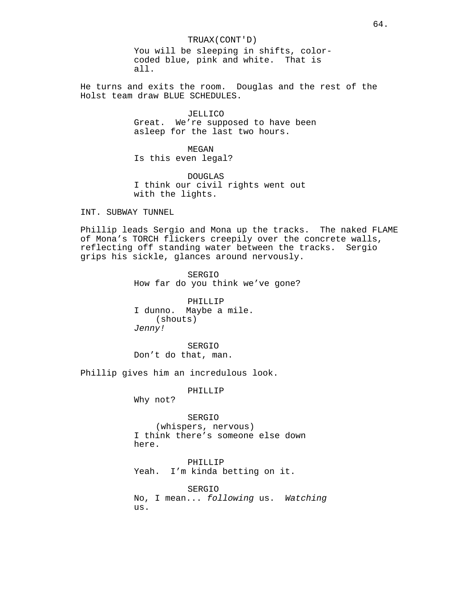TRUAX(CONT'D) You will be sleeping in shifts, colorcoded blue, pink and white. That is all.

He turns and exits the room. Douglas and the rest of the Holst team draw BLUE SCHEDULES.

> JELLICO Great. We're supposed to have been asleep for the last two hours.

MEGAN Is this even legal?

DOUGLAS I think our civil rights went out with the lights.

INT. SUBWAY TUNNEL

Phillip leads Sergio and Mona up the tracks. The naked FLAME of Mona's TORCH flickers creepily over the concrete walls, reflecting off standing water between the tracks. Sergio grips his sickle, glances around nervously.

> SERGIO How far do you think we've gone?

PHILLIP I dunno. Maybe a mile. (shouts) Jenny!

SERGIO Don't do that, man.

Phillip gives him an incredulous look.

PHILLIP

Why not?

SERGIO (whispers, nervous) I think there's someone else down here.

PHILLIP Yeah. I'm kinda betting on it.

SERGIO No, I mean... following us. Watching us.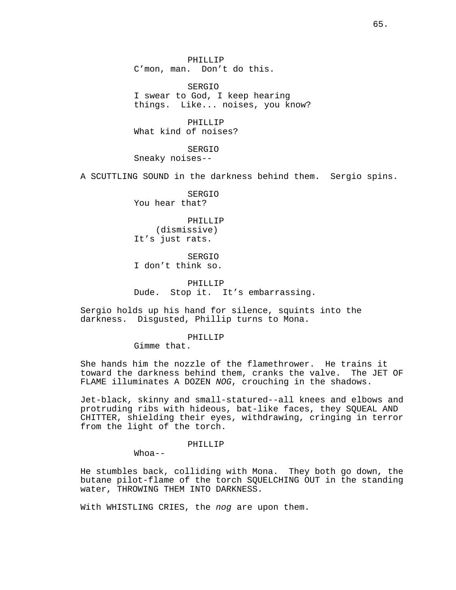PHILLIP C'mon, man. Don't do this.

SERGIO I swear to God, I keep hearing things. Like... noises, you know?

PHILLIP What kind of noises?

SERGIO Sneaky noises--

A SCUTTLING SOUND in the darkness behind them. Sergio spins.

SERGIO You hear that?

PHILLIP (dismissive) It's just rats.

SERGIO I don't think so.

PHILLIP Dude. Stop it. It's embarrassing.

Sergio holds up his hand for silence, squints into the darkness. Disgusted, Phillip turns to Mona.

## PHILLIP

Gimme that.

She hands him the nozzle of the flamethrower. He trains it toward the darkness behind them, cranks the valve. The JET OF FLAME illuminates A DOZEN NOG, crouching in the shadows.

Jet-black, skinny and small-statured--all knees and elbows and protruding ribs with hideous, bat-like faces, they SQUEAL AND CHITTER, shielding their eyes, withdrawing, cringing in terror from the light of the torch.

## PHILLIP

 $Whoa--$ 

He stumbles back, colliding with Mona. They both go down, the butane pilot-flame of the torch SQUELCHING OUT in the standing water, THROWING THEM INTO DARKNESS.

With WHISTLING CRIES, the nog are upon them.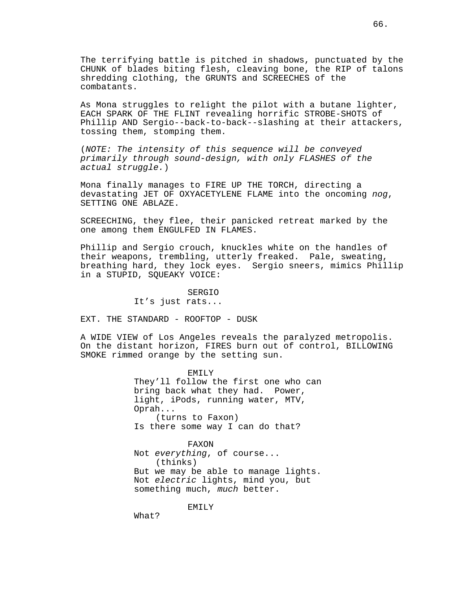The terrifying battle is pitched in shadows, punctuated by the CHUNK of blades biting flesh, cleaving bone, the RIP of talons shredding clothing, the GRUNTS and SCREECHES of the combatants.

As Mona struggles to relight the pilot with a butane lighter, EACH SPARK OF THE FLINT revealing horrific STROBE-SHOTS of Phillip AND Sergio--back-to-back--slashing at their attackers, tossing them, stomping them.

(NOTE: The intensity of this sequence will be conveyed primarily through sound-design, with only FLASHES of the actual struggle.)

Mona finally manages to FIRE UP THE TORCH, directing a devastating JET OF OXYACETYLENE FLAME into the oncoming nog, SETTING ONE ABLAZE.

SCREECHING, they flee, their panicked retreat marked by the one among them ENGULFED IN FLAMES.

Phillip and Sergio crouch, knuckles white on the handles of their weapons, trembling, utterly freaked. Pale, sweating, breathing hard, they lock eyes. Sergio sneers, mimics Phillip in a STUPID, SQUEAKY VOICE:

SERGIO

It's just rats...

EXT. THE STANDARD - ROOFTOP - DUSK

A WIDE VIEW of Los Angeles reveals the paralyzed metropolis. On the distant horizon, FIRES burn out of control, BILLOWING SMOKE rimmed orange by the setting sun.

> EMILY They'll follow the first one who can bring back what they had. Power, light, iPods, running water, MTV, Oprah... (turns to Faxon) Is there some way I can do that?

> FAXON Not everything, of course... (thinks) But we may be able to manage lights. Not electric lights, mind you, but something much, much better.

> > EMILY

What?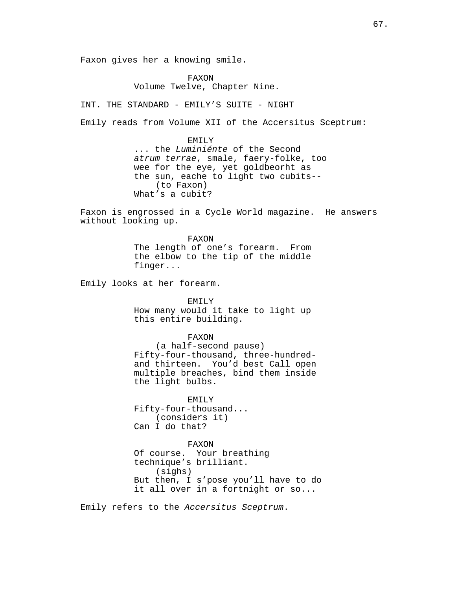Faxon gives her a knowing smile.

FAXON Volume Twelve, Chapter Nine.

INT. THE STANDARD - EMILY'S SUITE - NIGHT

Emily reads from Volume XII of the Accersitus Sceptrum:

EMILY ... the Luminiénte of the Second atrum terrae, smale, faery-folke, too wee for the eye, yet goldbeorht as the sun, eache to light two cubits-- (to Faxon) What's a cubit?

Faxon is engrossed in a Cycle World magazine. He answers without looking up.

> FAXON The length of one's forearm. From the elbow to the tip of the middle finger...

Emily looks at her forearm.

EMTI<sub>Y</sub>

How many would it take to light up this entire building.

FAXON

(a half-second pause) Fifty-four-thousand, three-hundredand thirteen. You'd best Call open multiple breaches, bind them inside the light bulbs.

EMILY Fifty-four-thousand... (considers it) Can I do that?

FAXON

Of course. Your breathing technique's brilliant. (sighs) But then, I s'pose you'll have to do it all over in a fortnight or so...

Emily refers to the Accersitus Sceptrum.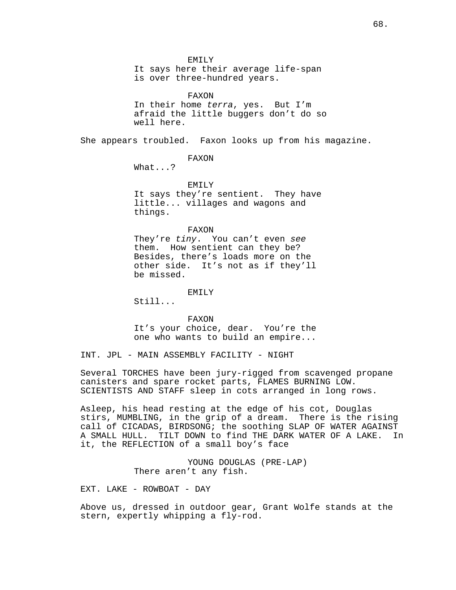EMILY

It says here their average life-span is over three-hundred years.

FAXON In their home terra, yes. But I'm afraid the little buggers don't do so well here.

She appears troubled. Faxon looks up from his magazine.

FAXON

What...?

EMILY It says they're sentient. They have little... villages and wagons and things.

FAXON

They're tiny. You can't even see them. How sentient can they be? Besides, there's loads more on the other side. It's not as if they'll be missed.

EMILY

 $Sti11...$ 

FAXON

It's your choice, dear. You're the one who wants to build an empire...

INT. JPL - MAIN ASSEMBLY FACILITY - NIGHT

Several TORCHES have been jury-rigged from scavenged propane canisters and spare rocket parts, FLAMES BURNING LOW. SCIENTISTS AND STAFF sleep in cots arranged in long rows.

Asleep, his head resting at the edge of his cot, Douglas stirs, MUMBLING, in the grip of a dream. There is the rising call of CICADAS, BIRDSONG; the soothing SLAP OF WATER AGAINST A SMALL HULL. TILT DOWN to find THE DARK WATER OF A LAKE. In it, the REFLECTION of a small boy's face

> YOUNG DOUGLAS (PRE-LAP) There aren't any fish.

EXT. LAKE - ROWBOAT - DAY

Above us, dressed in outdoor gear, Grant Wolfe stands at the stern, expertly whipping a fly-rod.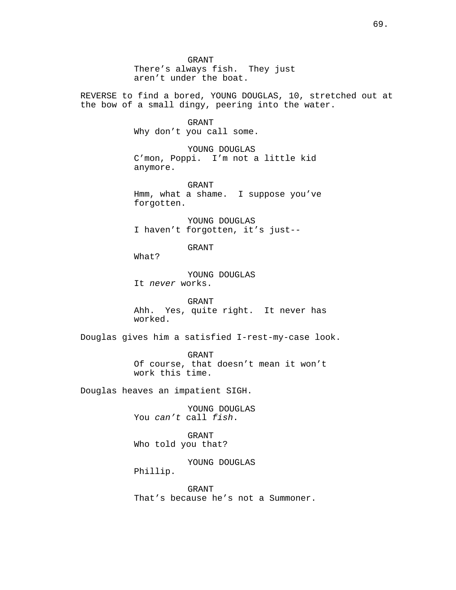GRANT There's always fish. They just aren't under the boat.

REVERSE to find a bored, YOUNG DOUGLAS, 10, stretched out at the bow of a small dingy, peering into the water.

> GRANT Why don't you call some.

YOUNG DOUGLAS C'mon, Poppi. I'm not a little kid anymore.

GRANT Hmm, what a shame. I suppose you've forgotten.

YOUNG DOUGLAS I haven't forgotten, it's just--

GRANT

What?

YOUNG DOUGLAS It never works.

GRANT Ahh. Yes, quite right. It never has worked.

Douglas gives him a satisfied I-rest-my-case look.

GRANT Of course, that doesn't mean it won't work this time.

Douglas heaves an impatient SIGH.

YOUNG DOUGLAS You can't call fish.

GRANT Who told you that?

YOUNG DOUGLAS Phillip.

GRANT That's because he's not a Summoner.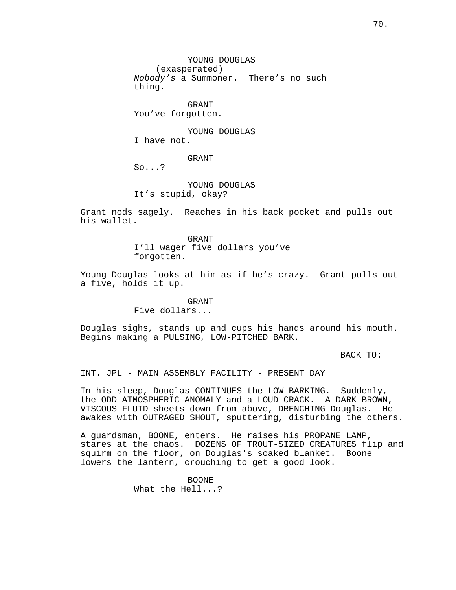YOUNG DOUGLAS (exasperated) Nobody's a Summoner. There's no such thing.

GRANT You've forgotten.

YOUNG DOUGLAS I have not.

GRANT

So...?

YOUNG DOUGLAS It's stupid, okay?

Grant nods sagely. Reaches in his back pocket and pulls out his wallet.

> GRANT I'll wager five dollars you've forgotten.

Young Douglas looks at him as if he's crazy. Grant pulls out a five, holds it up.

# GRANT

Five dollars...

Douglas sighs, stands up and cups his hands around his mouth. Begins making a PULSING, LOW-PITCHED BARK.

BACK TO:

INT. JPL - MAIN ASSEMBLY FACILITY - PRESENT DAY

In his sleep, Douglas CONTINUES the LOW BARKING. Suddenly, the ODD ATMOSPHERIC ANOMALY and a LOUD CRACK. A DARK-BROWN, VISCOUS FLUID sheets down from above, DRENCHING Douglas. He awakes with OUTRAGED SHOUT, sputtering, disturbing the others.

A guardsman, BOONE, enters. He raises his PROPANE LAMP, stares at the chaos. DOZENS OF TROUT-SIZED CREATURES flip and squirm on the floor, on Douglas's soaked blanket. Boone lowers the lantern, crouching to get a good look.

> BOONE What the Hell...?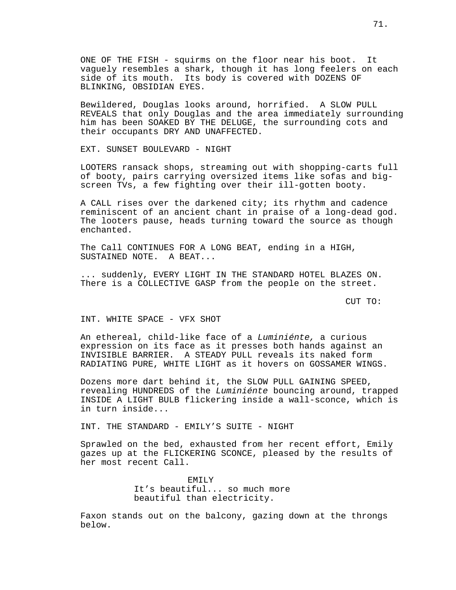ONE OF THE FISH - squirms on the floor near his boot. It vaguely resembles a shark, though it has long feelers on each side of its mouth. Its body is covered with DOZENS OF BLINKING, OBSIDIAN EYES.

Bewildered, Douglas looks around, horrified. A SLOW PULL REVEALS that only Douglas and the area immediately surrounding him has been SOAKED BY THE DELUGE, the surrounding cots and their occupants DRY AND UNAFFECTED.

EXT. SUNSET BOULEVARD - NIGHT

LOOTERS ransack shops, streaming out with shopping-carts full of booty, pairs carrying oversized items like sofas and bigscreen TVs, a few fighting over their ill-gotten booty.

A CALL rises over the darkened city; its rhythm and cadence reminiscent of an ancient chant in praise of a long-dead god. The looters pause, heads turning toward the source as though enchanted.

The Call CONTINUES FOR A LONG BEAT, ending in a HIGH, SUSTAINED NOTE. A BEAT...

... suddenly, EVERY LIGHT IN THE STANDARD HOTEL BLAZES ON. There is a COLLECTIVE GASP from the people on the street.

CUT TO:

INT. WHITE SPACE - VFX SHOT

An ethereal, child-like face of a Luminiénte, a curious expression on its face as it presses both hands against an INVISIBLE BARRIER. A STEADY PULL reveals its naked form RADIATING PURE, WHITE LIGHT as it hovers on GOSSAMER WINGS.

Dozens more dart behind it, the SLOW PULL GAINING SPEED, revealing HUNDREDS of the Luminiénte bouncing around, trapped INSIDE A LIGHT BULB flickering inside a wall-sconce, which is in turn inside...

INT. THE STANDARD - EMILY'S SUITE - NIGHT

Sprawled on the bed, exhausted from her recent effort, Emily gazes up at the FLICKERING SCONCE, pleased by the results of her most recent Call.

> EMILY It's beautiful... so much more beautiful than electricity.

Faxon stands out on the balcony, gazing down at the throngs below.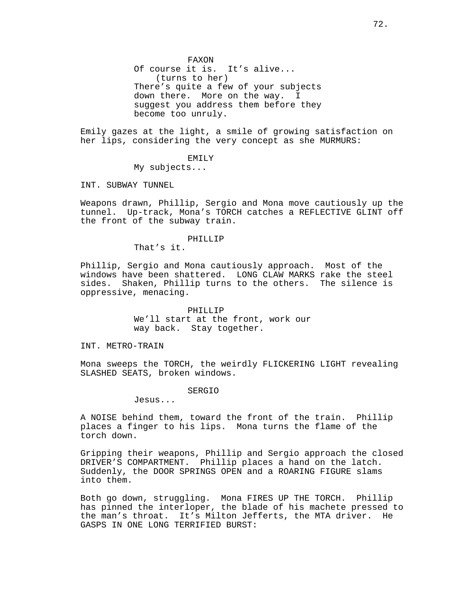FAXON Of course it is. It's alive... (turns to her) There's quite a few of your subjects down there. More on the way. I suggest you address them before they become too unruly.

Emily gazes at the light, a smile of growing satisfaction on her lips, considering the very concept as she MURMURS:

EMILY

My subjects...

INT. SUBWAY TUNNEL

Weapons drawn, Phillip, Sergio and Mona move cautiously up the tunnel. Up-track, Mona's TORCH catches a REFLECTIVE GLINT off the front of the subway train.

# PHILLIP

That's it.

Phillip, Sergio and Mona cautiously approach. Most of the windows have been shattered. LONG CLAW MARKS rake the steel sides. Shaken, Phillip turns to the others. The silence is oppressive, menacing.

> PHILLIP We'll start at the front, work our way back. Stay together.

INT. METRO-TRAIN

Mona sweeps the TORCH, the weirdly FLICKERING LIGHT revealing SLASHED SEATS, broken windows.

#### SERGIO

Jesus...

A NOISE behind them, toward the front of the train. Phillip places a finger to his lips. Mona turns the flame of the torch down.

Gripping their weapons, Phillip and Sergio approach the closed DRIVER'S COMPARTMENT. Phillip places a hand on the latch. Suddenly, the DOOR SPRINGS OPEN and a ROARING FIGURE slams into them.

Both go down, struggling. Mona FIRES UP THE TORCH. Phillip has pinned the interloper, the blade of his machete pressed to the man's throat. It's Milton Jefferts, the MTA driver. He GASPS IN ONE LONG TERRIFIED BURST: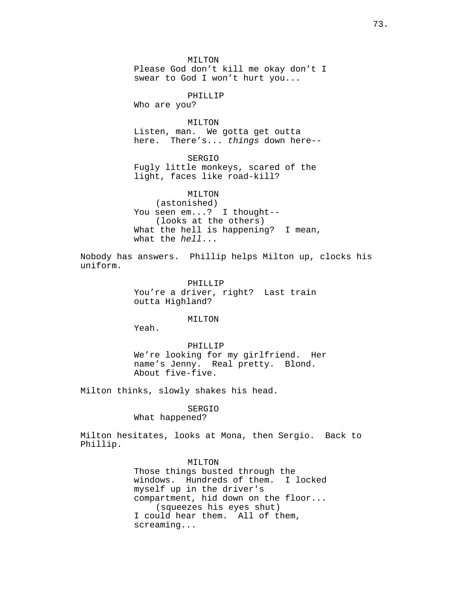MILTON Please God don't kill me okay don't I swear to God I won't hurt you...

PHILLIP

Who are you?

MILTON

Listen, man. We gotta get outta here. There's... things down here--

SERGIO Fugly little monkeys, scared of the light, faces like road-kill?

MILTON (astonished) You seen em...? I thought-- (looks at the others) What the hell is happening? I mean, what the  $hel1...$ 

Nobody has answers. Phillip helps Milton up, clocks his uniform.

> PHILLIP You're a driver, right? Last train outta Highland?

> > MILTON

Yeah.

PHILLIP We're looking for my girlfriend. Her name's Jenny. Real pretty. Blond. About five-five.

Milton thinks, slowly shakes his head.

### SERGIO

# What happened?

Milton hesitates, looks at Mona, then Sergio. Back to Phillip.

> MILTON Those things busted through the windows. Hundreds of them. I locked myself up in the driver's compartment, hid down on the floor... (squeezes his eyes shut) I could hear them. All of them, screaming...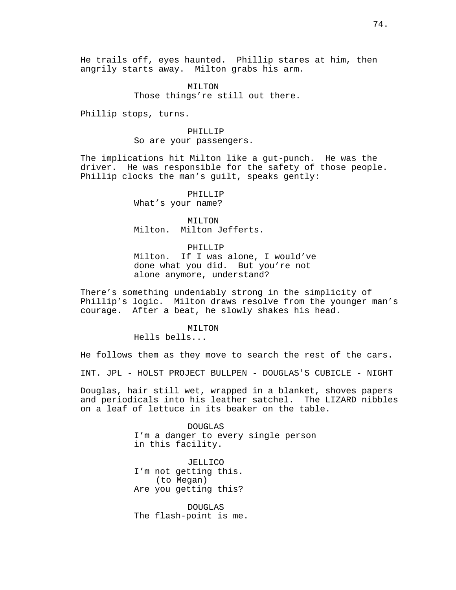He trails off, eyes haunted. Phillip stares at him, then angrily starts away. Milton grabs his arm.

> MILTON Those things're still out there.

Phillip stops, turns.

#### PHILLIP

So are your passengers.

The implications hit Milton like a gut-punch. He was the driver. He was responsible for the safety of those people. Phillip clocks the man's guilt, speaks gently:

## PHILLIP

What's your name?

MTT.TON Milton. Milton Jefferts.

## PHILLIP

Milton. If I was alone, I would've done what you did. But you're not alone anymore, understand?

There's something undeniably strong in the simplicity of Phillip's logic. Milton draws resolve from the younger man's courage. After a beat, he slowly shakes his head.

# MILTON

Hells bells...

He follows them as they move to search the rest of the cars.

INT. JPL - HOLST PROJECT BULLPEN - DOUGLAS'S CUBICLE - NIGHT

Douglas, hair still wet, wrapped in a blanket, shoves papers and periodicals into his leather satchel. The LIZARD nibbles on a leaf of lettuce in its beaker on the table.

> DOUGLAS I'm a danger to every single person in this facility.

JELLICO I'm not getting this. (to Megan) Are you getting this?

DOUGLAS The flash-point is me.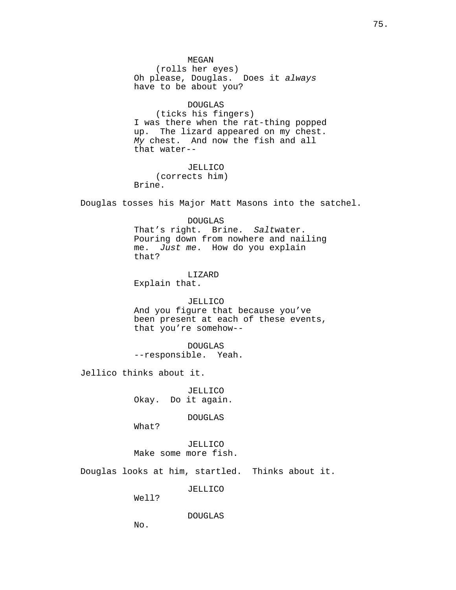MEGAN (rolls her eyes) Oh please, Douglas. Does it always have to be about you?

DOUGLAS (ticks his fingers) I was there when the rat-thing popped up. The lizard appeared on my chest. My chest. And now the fish and all that water--

JELLICO (corrects him) Brine.

Douglas tosses his Major Matt Masons into the satchel.

DOUGLAS That's right. Brine. Saltwater.

Pouring down from nowhere and nailing me. Just me. How do you explain that?

LIZARD Explain that.

JELLICO And you figure that because you've been present at each of these events, that you're somehow--

DOUGLAS --responsible. Yeah.

Jellico thinks about it.

JELLICO Okay. Do it again.

DOUGLAS

What?

JELLICO Make some more fish.

Douglas looks at him, startled. Thinks about it.

JELLICO

Well?

DOUGLAS

No.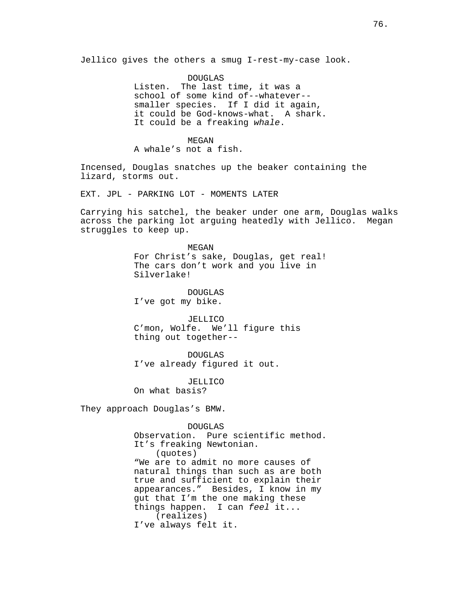Jellico gives the others a smug I-rest-my-case look.

DOUGLAS Listen. The last time, it was a school of some kind of--whatever- smaller species. If I did it again, it could be God-knows-what. A shark. It could be a freaking whale.

# MEGAN

A whale's not a fish.

Incensed, Douglas snatches up the beaker containing the lizard, storms out.

EXT. JPL - PARKING LOT - MOMENTS LATER

Carrying his satchel, the beaker under one arm, Douglas walks across the parking lot arguing heatedly with Jellico. Megan struggles to keep up.

> MEGAN For Christ's sake, Douglas, get real! The cars don't work and you live in Silverlake!

DOUGLAS I've got my bike.

JELLICO C'mon, Wolfe. We'll figure this thing out together--

DOUGLAS I've already figured it out.

JELLICO On what basis?

They approach Douglas's BMW.

#### DOUGLAS

Observation. Pure scientific method. It's freaking Newtonian. (quotes) "We are to admit no more causes of natural things than such as are both true and sufficient to explain their appearances." Besides, I know in my gut that I'm the one making these things happen. I can feel it... (realizes) I've always felt it.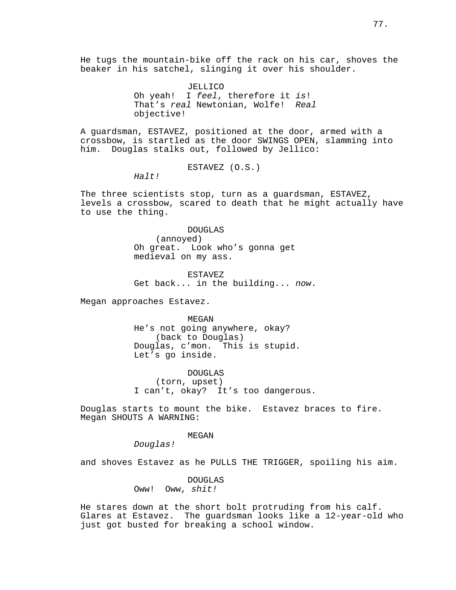He tugs the mountain-bike off the rack on his car, shoves the beaker in his satchel, slinging it over his shoulder.

> JELLICO Oh yeah! I feel, therefore it is! That's real Newtonian, Wolfe! Real objective!

A guardsman, ESTAVEZ, positioned at the door, armed with a crossbow, is startled as the door SWINGS OPEN, slamming into him. Douglas stalks out, followed by Jellico:

ESTAVEZ (O.S.)

Halt!

The three scientists stop, turn as a guardsman, ESTAVEZ, levels a crossbow, scared to death that he might actually have to use the thing.

> DOUGLAS (annoyed) Oh great. Look who's gonna get medieval on my ass.

ESTAVEZ Get back... in the building... now.

Megan approaches Estavez.

MEGAN

He's not going anywhere, okay? (back to Douglas) Douglas, c'mon. This is stupid. Let's go inside.

DOUGLAS (torn, upset) I can't, okay? It's too dangerous.

Douglas starts to mount the bike. Estavez braces to fire. Megan SHOUTS A WARNING:

MEGAN

Douglas!

and shoves Estavez as he PULLS THE TRIGGER, spoiling his aim.

DOUGLAS Oww! Oww, shit!

He stares down at the short bolt protruding from his calf. Glares at Estavez. The guardsman looks like a 12-year-old who just got busted for breaking a school window.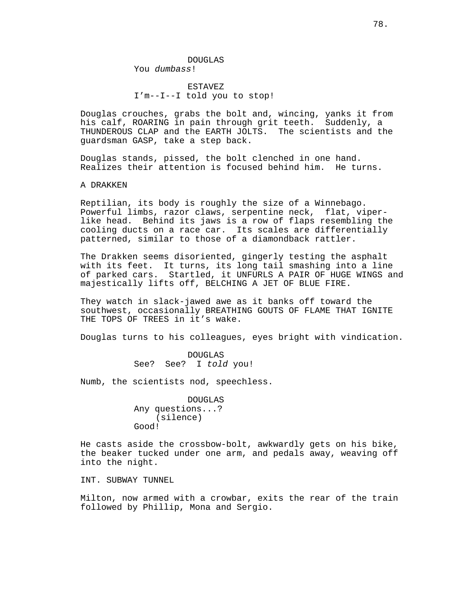DOUGLAS You dumbass!

ESTAVEZ I'm--I--I told you to stop!

Douglas crouches, grabs the bolt and, wincing, yanks it from his calf, ROARING in pain through grit teeth. Suddenly, a THUNDEROUS CLAP and the EARTH JOLTS. The scientists and the guardsman GASP, take a step back.

Douglas stands, pissed, the bolt clenched in one hand. Realizes their attention is focused behind him. He turns.

A DRAKKEN

Reptilian, its body is roughly the size of a Winnebago. Powerful limbs, razor claws, serpentine neck, flat, viperlike head. Behind its jaws is a row of flaps resembling the cooling ducts on a race car. Its scales are differentially patterned, similar to those of a diamondback rattler.

The Drakken seems disoriented, gingerly testing the asphalt with its feet. It turns, its long tail smashing into a line of parked cars. Startled, it UNFURLS A PAIR OF HUGE WINGS and majestically lifts off, BELCHING A JET OF BLUE FIRE.

They watch in slack-jawed awe as it banks off toward the southwest, occasionally BREATHING GOUTS OF FLAME THAT IGNITE THE TOPS OF TREES in it's wake.

Douglas turns to his colleagues, eyes bright with vindication.

DOUGLAS See? See? I told you!

Numb, the scientists nod, speechless.

DOUGLAS Any questions...? (silence) Good!

He casts aside the crossbow-bolt, awkwardly gets on his bike, the beaker tucked under one arm, and pedals away, weaving off into the night.

INT. SUBWAY TUNNEL

Milton, now armed with a crowbar, exits the rear of the train followed by Phillip, Mona and Sergio.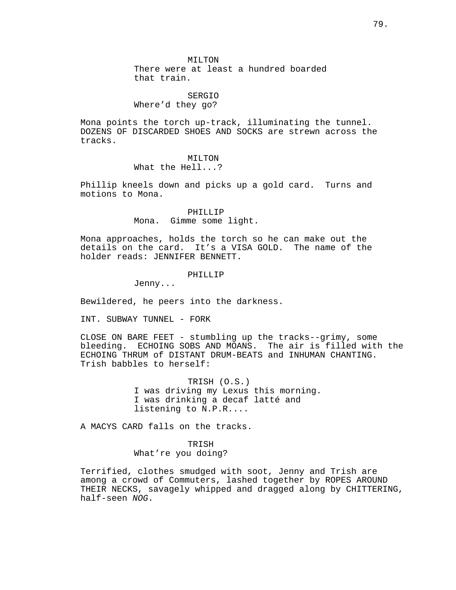MILTON There were at least a hundred boarded that train.

# SERGIO Where'd they go?

Mona points the torch up-track, illuminating the tunnel. DOZENS OF DISCARDED SHOES AND SOCKS are strewn across the tracks.

### MILTON

What the Hell...?

Phillip kneels down and picks up a gold card. Turns and motions to Mona.

# PHILLIP Mona. Gimme some light.

Mona approaches, holds the torch so he can make out the details on the card. It's a VISA GOLD. The name of the holder reads: JENNIFER BENNETT.

# PHILLIP

Jenny...

Bewildered, he peers into the darkness.

INT. SUBWAY TUNNEL - FORK

CLOSE ON BARE FEET - stumbling up the tracks--grimy, some bleeding. ECHOING SOBS AND MOANS. The air is filled with the ECHOING THRUM of DISTANT DRUM-BEATS and INHUMAN CHANTING. Trish babbles to herself:

> TRISH (O.S.) I was driving my Lexus this morning. I was drinking a decaf latté and listening to N.P.R....

A MACYS CARD falls on the tracks.

TRISH What're you doing?

Terrified, clothes smudged with soot, Jenny and Trish are among a crowd of Commuters, lashed together by ROPES AROUND THEIR NECKS, savagely whipped and dragged along by CHITTERING, half-seen NOG.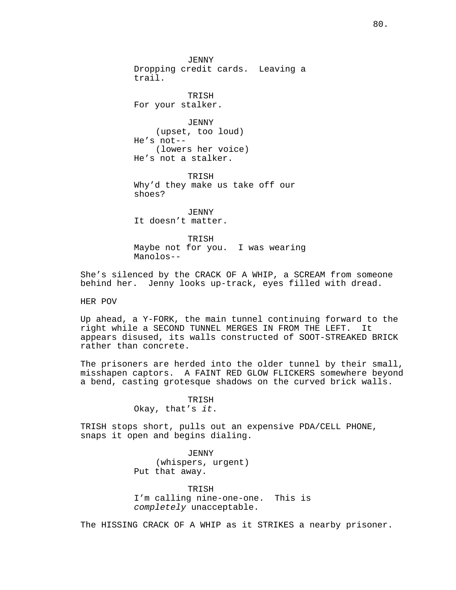JENNY Dropping credit cards. Leaving a trail.

TRISH For your stalker.

JENNY (upset, too loud) He's not-- (lowers her voice) He's not a stalker.

TRISH Why'd they make us take off our shoes?

JENNY It doesn't matter.

TRISH Maybe not for you. I was wearing Manolos--

She's silenced by the CRACK OF A WHIP, a SCREAM from someone behind her. Jenny looks up-track, eyes filled with dread.

HER POV

Up ahead, a Y-FORK, the main tunnel continuing forward to the right while a SECOND TUNNEL MERGES IN FROM THE LEFT. It appears disused, its walls constructed of SOOT-STREAKED BRICK rather than concrete.

The prisoners are herded into the older tunnel by their small, misshapen captors. A FAINT RED GLOW FLICKERS somewhere beyond a bend, casting grotesque shadows on the curved brick walls.

> TRISH Okay, that's it.

TRISH stops short, pulls out an expensive PDA/CELL PHONE, snaps it open and begins dialing.

> JENNY (whispers, urgent) Put that away.

TRISH I'm calling nine-one-one. This is completely unacceptable.

The HISSING CRACK OF A WHIP as it STRIKES a nearby prisoner.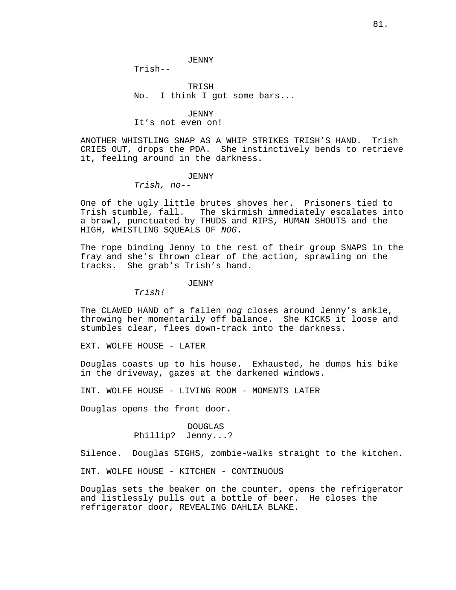TRISH No. I think I got some bars...

#### JENNY

## It's not even on!

ANOTHER WHISTLING SNAP AS A WHIP STRIKES TRISH'S HAND. Trish CRIES OUT, drops the PDA. She instinctively bends to retrieve it, feeling around in the darkness.

## JENNY

Trish, no--

Trish--

One of the ugly little brutes shoves her. Prisoners tied to Trish stumble, fall. The skirmish immediately escalates into a brawl, punctuated by THUDS and RIPS, HUMAN SHOUTS and the HIGH, WHISTLING SQUEALS OF NOG.

The rope binding Jenny to the rest of their group SNAPS in the fray and she's thrown clear of the action, sprawling on the tracks. She grab's Trish's hand.

JENNY

Trish!

The CLAWED HAND of a fallen nog closes around Jenny's ankle, throwing her momentarily off balance. She KICKS it loose and stumbles clear, flees down-track into the darkness.

EXT. WOLFE HOUSE - LATER

Douglas coasts up to his house. Exhausted, he dumps his bike in the driveway, gazes at the darkened windows.

INT. WOLFE HOUSE - LIVING ROOM - MOMENTS LATER

Douglas opens the front door.

# DOUGLAS Phillip? Jenny...?

Silence. Douglas SIGHS, zombie-walks straight to the kitchen.

INT. WOLFE HOUSE - KITCHEN - CONTINUOUS

Douglas sets the beaker on the counter, opens the refrigerator and listlessly pulls out a bottle of beer. He closes the refrigerator door, REVEALING DAHLIA BLAKE.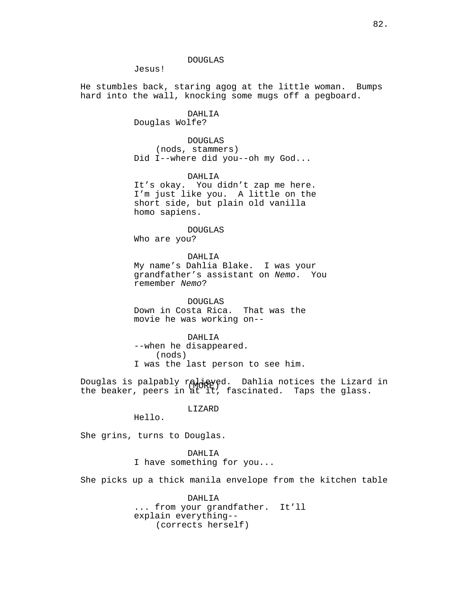DOUGLAS

Jesus!

He stumbles back, staring agog at the little woman. Bumps hard into the wall, knocking some mugs off a pegboard.

# DAHLIA

Douglas Wolfe?

DOUGLAS (nods, stammers) Did I--where did you--oh my God...

DAHLIA It's okay. You didn't zap me here. I'm just like you. A little on the

short side, but plain old vanilla homo sapiens.

DOUGLAS Who are you?

DAHLIA My name's Dahlia Blake. I was your grandfather's assistant on Nemo. You remember Nemo?

DOUGLAS Down in Costa Rica. That was the movie he was working on--

DAHLIA --when he disappeared. (nods) I was the last person to see him.

Douglas is palpably relieved. Dahlia notices the Lizard in<br>the bester resercing the feasingted specific slags the beaker, peers in at it, fascinated. Taps the glass.

LIZARD

Hello.

She grins, turns to Douglas.

DAHLIA I have something for you...

She picks up a thick manila envelope from the kitchen table

DAHLIA ... from your grandfather. It'll explain everything-- (corrects herself)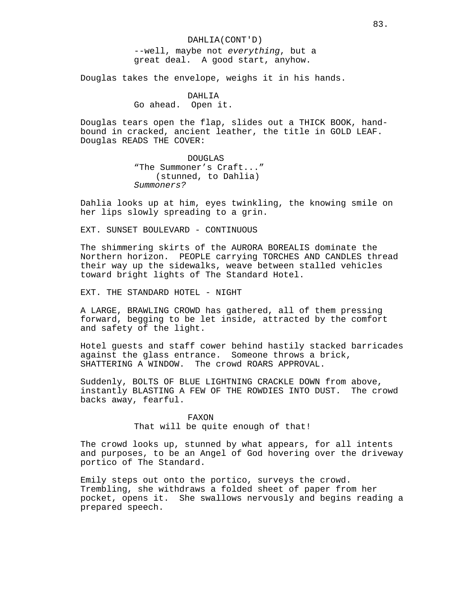DAHLIA(CONT'D) --well, maybe not everything, but a great deal. A good start, anyhow.

Douglas takes the envelope, weighs it in his hands.

DAHLIA Go ahead. Open it.

Douglas tears open the flap, slides out a THICK BOOK, handbound in cracked, ancient leather, the title in GOLD LEAF. Douglas READS THE COVER:

> DOUGLAS "The Summoner's Craft..." (stunned, to Dahlia) Summoners?

Dahlia looks up at him, eyes twinkling, the knowing smile on her lips slowly spreading to a grin.

EXT. SUNSET BOULEVARD - CONTINUOUS

The shimmering skirts of the AURORA BOREALIS dominate the Northern horizon. PEOPLE carrying TORCHES AND CANDLES thread their way up the sidewalks, weave between stalled vehicles toward bright lights of The Standard Hotel.

EXT. THE STANDARD HOTEL - NIGHT

A LARGE, BRAWLING CROWD has gathered, all of them pressing forward, begging to be let inside, attracted by the comfort and safety of the light.

Hotel guests and staff cower behind hastily stacked barricades against the glass entrance. Someone throws a brick, SHATTERING A WINDOW. The crowd ROARS APPROVAL.

Suddenly, BOLTS OF BLUE LIGHTNING CRACKLE DOWN from above, instantly BLASTING A FEW OF THE ROWDIES INTO DUST. The crowd backs away, fearful.

> FAXON That will be quite enough of that!

The crowd looks up, stunned by what appears, for all intents and purposes, to be an Angel of God hovering over the driveway portico of The Standard.

Emily steps out onto the portico, surveys the crowd. Trembling, she withdraws a folded sheet of paper from her pocket, opens it. She swallows nervously and begins reading a prepared speech.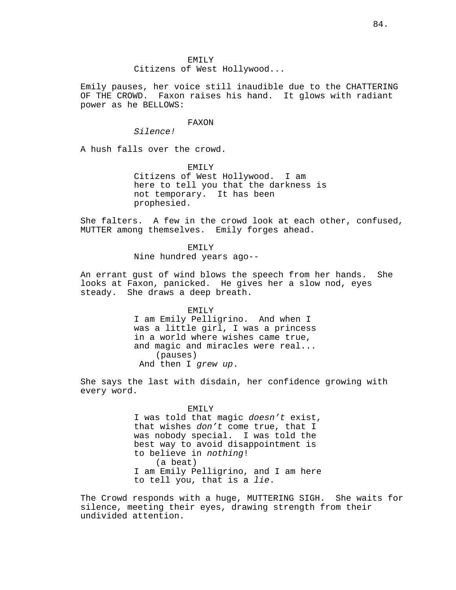Citizens of West Hollywood...

Emily pauses, her voice still inaudible due to the CHATTERING OF THE CROWD. Faxon raises his hand. It glows with radiant power as he BELLOWS:

# FAXON

Silence!

A hush falls over the crowd.

EMILY Citizens of West Hollywood. I am here to tell you that the darkness is not temporary. It has been prophesied.

She falters. A few in the crowd look at each other, confused, MUTTER among themselves. Emily forges ahead.

> EMILY Nine hundred years ago--

An errant gust of wind blows the speech from her hands. She looks at Faxon, panicked. He gives her a slow nod, eyes steady. She draws a deep breath.

> EMILY I am Emily Pelligrino. And when I was a little girl, I was a princess in a world where wishes came true, and magic and miracles were real... (pauses) And then I grew up.

She says the last with disdain, her confidence growing with every word.

#### EMILY

I was told that magic doesn't exist, that wishes don't come true, that I was nobody special. I was told the best way to avoid disappointment is to believe in nothing! (a beat) I am Emily Pelligrino, and I am here to tell you, that is a lie.

The Crowd responds with a huge, MUTTERING SIGH. She waits for silence, meeting their eyes, drawing strength from their undivided attention.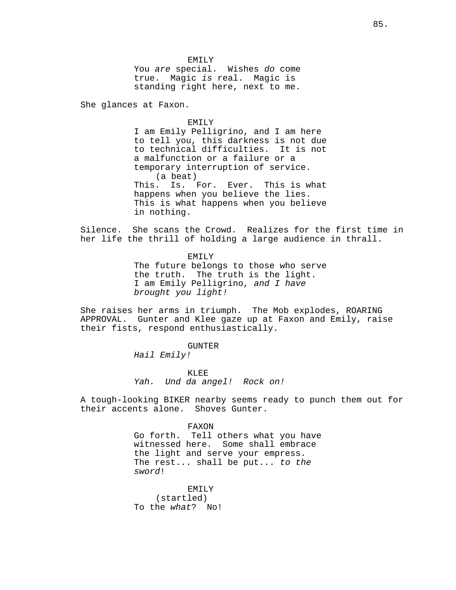EMILY You are special. Wishes do come true. Magic is real. Magic is standing right here, next to me.

She glances at Faxon.

#### EMILY

I am Emily Pelligrino, and I am here to tell you, this darkness is not due to technical difficulties. It is not a malfunction or a failure or a temporary interruption of service. (a beat) This. Is. For. Ever. This is what happens when you believe the lies. This is what happens when you believe in nothing.

Silence. She scans the Crowd. Realizes for the first time in her life the thrill of holding a large audience in thrall.

> EMILY The future belongs to those who serve the truth. The truth is the light. I am Emily Pelligrino, and I have brought you light!

She raises her arms in triumph. The Mob explodes, ROARING APPROVAL. Gunter and Klee gaze up at Faxon and Emily, raise their fists, respond enthusiastically.

# GUNTER

Hail Emily!

KLEE Yah. Und da angel! Rock on!

A tough-looking BIKER nearby seems ready to punch them out for their accents alone. Shoves Gunter.

#### FAXON

Go forth. Tell others what you have witnessed here. Some shall embrace the light and serve your empress. The rest... shall be put... to the sword!

EMILY (startled) To the what? No!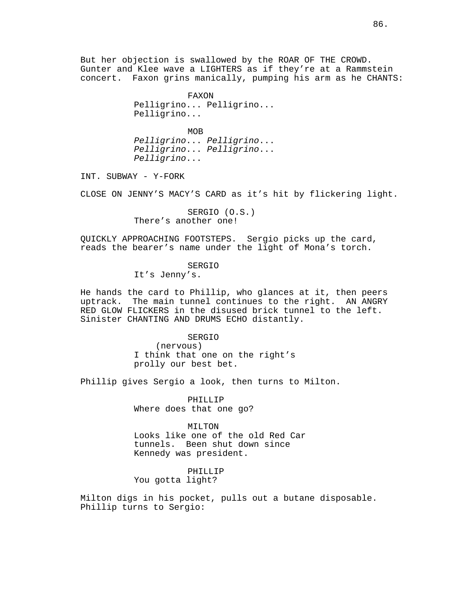But her objection is swallowed by the ROAR OF THE CROWD. Gunter and Klee wave a LIGHTERS as if they're at a Rammstein concert. Faxon grins manically, pumping his arm as he CHANTS:

> FAXON Pelligrino... Pelligrino... Pelligrino...

> MOB Pelligrino... Pelligrino... Pelligrino... Pelligrino... Pelligrino...

INT. SUBWAY - Y-FORK

CLOSE ON JENNY'S MACY'S CARD as it's hit by flickering light.

SERGIO (O.S.) There's another one!

QUICKLY APPROACHING FOOTSTEPS. Sergio picks up the card, reads the bearer's name under the light of Mona's torch.

## SERGIO

It's Jenny's.

He hands the card to Phillip, who glances at it, then peers uptrack. The main tunnel continues to the right. AN ANGRY RED GLOW FLICKERS in the disused brick tunnel to the left. Sinister CHANTING AND DRUMS ECHO distantly.

# SERGIO

(nervous) I think that one on the right's prolly our best bet.

Phillip gives Sergio a look, then turns to Milton.

PHILLIP Where does that one go?

#### MILTON

Looks like one of the old Red Car tunnels. Been shut down since Kennedy was president.

# PHILLIP You gotta light?

Milton digs in his pocket, pulls out a butane disposable. Phillip turns to Sergio: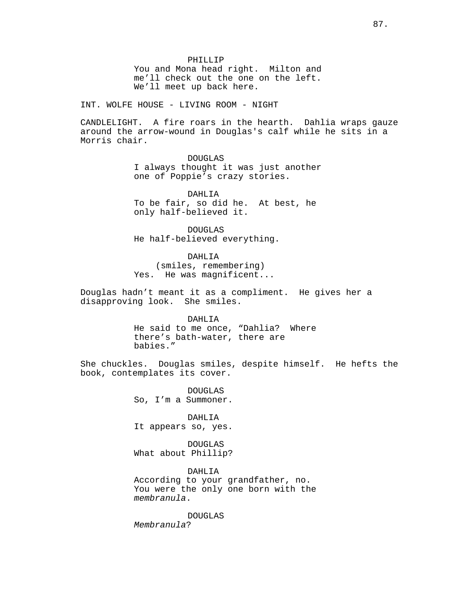PHILLIP You and Mona head right. Milton and me'll check out the one on the left. We'll meet up back here.

INT. WOLFE HOUSE - LIVING ROOM - NIGHT

CANDLELIGHT. A fire roars in the hearth. Dahlia wraps gauze around the arrow-wound in Douglas's calf while he sits in a Morris chair.

> DOUGLAS I always thought it was just another one of Poppie's crazy stories.

DAHLIA To be fair, so did he. At best, he only half-believed it.

DOUGLAS He half-believed everything.

DAHLIA

(smiles, remembering) Yes. He was magnificent...

Douglas hadn't meant it as a compliment. He gives her a disapproving look. She smiles.

DAHLIA

He said to me once, "Dahlia? Where there's bath-water, there are babies."

She chuckles. Douglas smiles, despite himself. He hefts the book, contemplates its cover.

> DOUGLAS So, I'm a Summoner.

> DAHLIA It appears so, yes.

> DOUGLAS What about Phillip?

DAHLIA According to your grandfather, no. You were the only one born with the membranula.

DOUGLAS Membranula?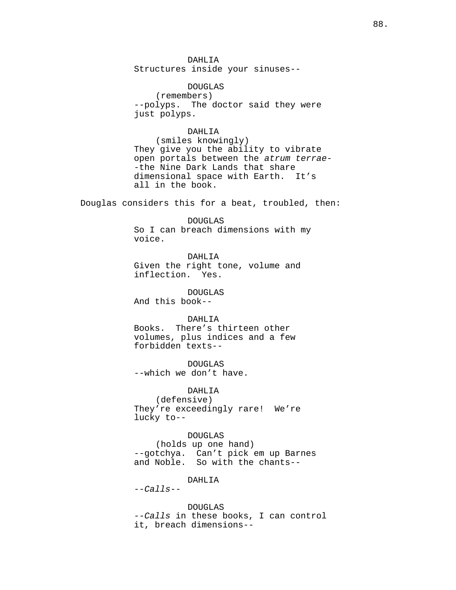DAHLIA Structures inside your sinuses--

DOUGLAS (remembers) --polyps. The doctor said they were just polyps.

# DAHLIA

(smiles knowingly) They give you the ability to vibrate open portals between the atrum terrae- -the Nine Dark Lands that share dimensional space with Earth. It's all in the book.

Douglas considers this for a beat, troubled, then:

DOUGLAS So I can breach dimensions with my voice.

DAHLIA

Given the right tone, volume and inflection. Yes.

DOUGLAS And this book--

# DAHLIA

Books. There's thirteen other volumes, plus indices and a few forbidden texts--

DOUGLAS --which we don't have.

DAHLIA

(defensive) They're exceedingly rare! We're lucky to--

DOUGLAS

(holds up one hand) --gotchya. Can't pick em up Barnes and Noble. So with the chants--

DAHLIA

 $-calls$ --

DOUGLAS --Calls in these books, I can control it, breach dimensions--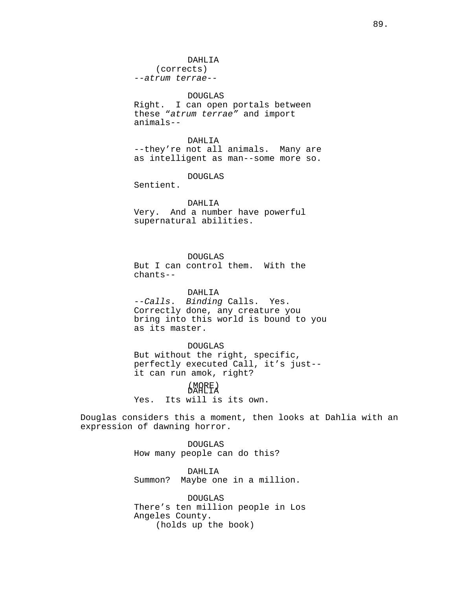# DOUGLAS

Right. I can open portals between these "atrum terrae" and import animals--

DAHLIA --they're not all animals. Many are as intelligent as man--some more so.

DOUGLAS

Sentient.

DAHI<sub>I</sub>TA Very. And a number have powerful

supernatural abilities.

# DOUGLAS

But I can control them. With the chants--

# DAHLIA

--Calls. Binding Calls. Yes. Correctly done, any creature you bring into this world is bound to you as its master.

#### DOUGLAS

But without the right, specific, perfectly executed Call, it's just- it can run amok, right?

# (MORE) DAHLIA

Yes. Its will is its own.

Douglas considers this a moment, then looks at Dahlia with an expression of dawning horror.

> DOUGLAS How many people can do this?

DAHLIA Summon? Maybe one in a million.

DOUGLAS There's ten million people in Los Angeles County. (holds up the book)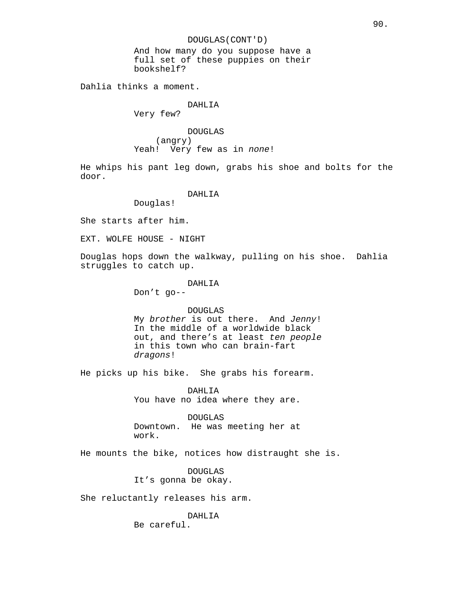And how many do you suppose have a full set of these puppies on their bookshelf?

Dahlia thinks a moment.

## DAHLIA

Very few?

DOUGLAS (angry) Yeah! Very few as in none!

He whips his pant leg down, grabs his shoe and bolts for the door.

#### DAHLIA

Douglas!

She starts after him.

EXT. WOLFE HOUSE - NIGHT

Douglas hops down the walkway, pulling on his shoe. Dahlia struggles to catch up.

> DAHLIA Don't go--

#### DOUGLAS

My brother is out there. And Jenny! In the middle of a worldwide black out, and there's at least ten people in this town who can brain-fart dragons!

He picks up his bike. She grabs his forearm.

DAHLIA You have no idea where they are.

DOUGLAS Downtown. He was meeting her at work.

He mounts the bike, notices how distraught she is.

DOUGLAS It's gonna be okay.

She reluctantly releases his arm.

DAHLIA Be careful.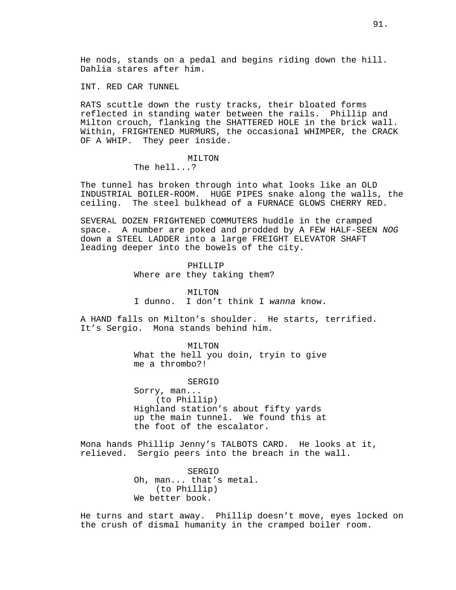INT. RED CAR TUNNEL

RATS scuttle down the rusty tracks, their bloated forms reflected in standing water between the rails. Phillip and Milton crouch, flanking the SHATTERED HOLE in the brick wall. Within, FRIGHTENED MURMURS, the occasional WHIMPER, the CRACK OF A WHIP. They peer inside.

## MILTON

The hell...?

The tunnel has broken through into what looks like an OLD INDUSTRIAL BOILER-ROOM. HUGE PIPES snake along the walls, the ceiling. The steel bulkhead of a FURNACE GLOWS CHERRY RED.

SEVERAL DOZEN FRIGHTENED COMMUTERS huddle in the cramped space. A number are poked and prodded by A FEW HALF-SEEN NOG down a STEEL LADDER into a large FREIGHT ELEVATOR SHAFT leading deeper into the bowels of the city.

# PHILLIP

Where are they taking them?

MILTON I dunno. I don't think I wanna know.

A HAND falls on Milton's shoulder. He starts, terrified. It's Sergio. Mona stands behind him.

> MILTON What the hell you doin, tryin to give me a thrombo?!

> > SERGIO

Sorry, man... (to Phillip) Highland station's about fifty yards up the main tunnel. We found this at the foot of the escalator.

Mona hands Phillip Jenny's TALBOTS CARD. He looks at it, relieved. Sergio peers into the breach in the wall.

> SERGIO Oh, man... that's metal. (to Phillip) We better book.

He turns and start away. Phillip doesn't move, eyes locked on the crush of dismal humanity in the cramped boiler room.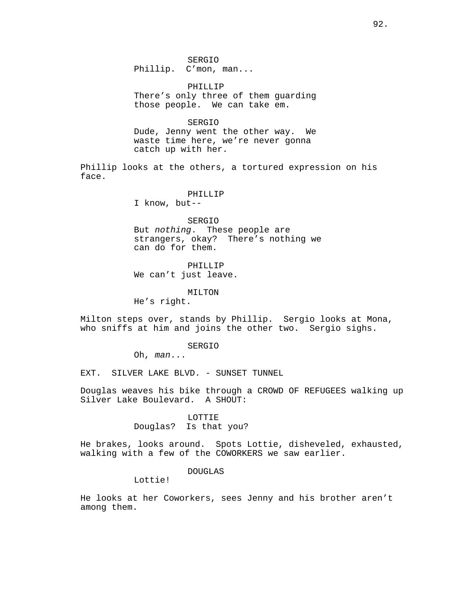SERGIO Phillip. C'mon, man...

PHILLIP There's only three of them guarding those people. We can take em.

SERGIO Dude, Jenny went the other way. We waste time here, we're never gonna catch up with her.

Phillip looks at the others, a tortured expression on his face.

#### PHILLIP

I know, but--

# SERGIO

But nothing. These people are strangers, okay? There's nothing we can do for them.

PHILLIP We can't just leave.

#### MILTON

He's right.

Milton steps over, stands by Phillip. Sergio looks at Mona, who sniffs at him and joins the other two. Sergio sighs.

## SERGIO

Oh, man...

EXT. SILVER LAKE BLVD. - SUNSET TUNNEL

Douglas weaves his bike through a CROWD OF REFUGEES walking up Silver Lake Boulevard. A SHOUT:

#### LOTTIE

Douglas? Is that you?

He brakes, looks around. Spots Lottie, disheveled, exhausted, walking with a few of the COWORKERS we saw earlier.

# DOUGLAS

Lottie!

He looks at her Coworkers, sees Jenny and his brother aren't among them.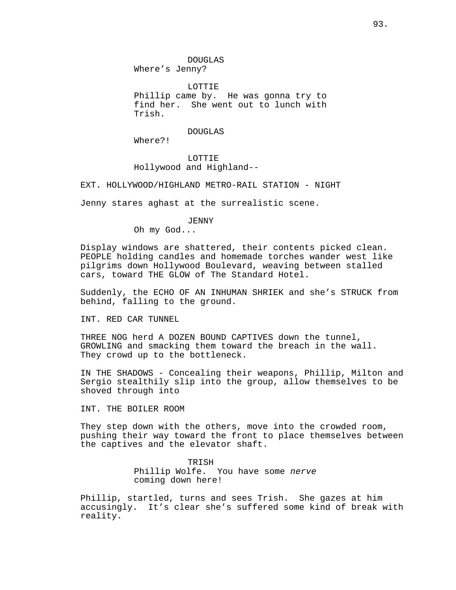DOUGLAS Where's Jenny?

LOTTIE Phillip came by. He was gonna try to find her. She went out to lunch with Trish.

DOUGLAS

Where?!

LOTTIE Hollywood and Highland--

EXT. HOLLYWOOD/HIGHLAND METRO-RAIL STATION - NIGHT

Jenny stares aghast at the surrealistic scene.

### JENNY

Oh my God...

Display windows are shattered, their contents picked clean. PEOPLE holding candles and homemade torches wander west like pilgrims down Hollywood Boulevard, weaving between stalled cars, toward THE GLOW of The Standard Hotel.

Suddenly, the ECHO OF AN INHUMAN SHRIEK and she's STRUCK from behind, falling to the ground.

INT. RED CAR TUNNEL

THREE NOG herd A DOZEN BOUND CAPTIVES down the tunnel, GROWLING and smacking them toward the breach in the wall. They crowd up to the bottleneck.

IN THE SHADOWS - Concealing their weapons, Phillip, Milton and Sergio stealthily slip into the group, allow themselves to be shoved through into

INT. THE BOILER ROOM

They step down with the others, move into the crowded room, pushing their way toward the front to place themselves between the captives and the elevator shaft.

> TRISH Phillip Wolfe. You have some nerve coming down here!

Phillip, startled, turns and sees Trish. She gazes at him accusingly. It's clear she's suffered some kind of break with reality.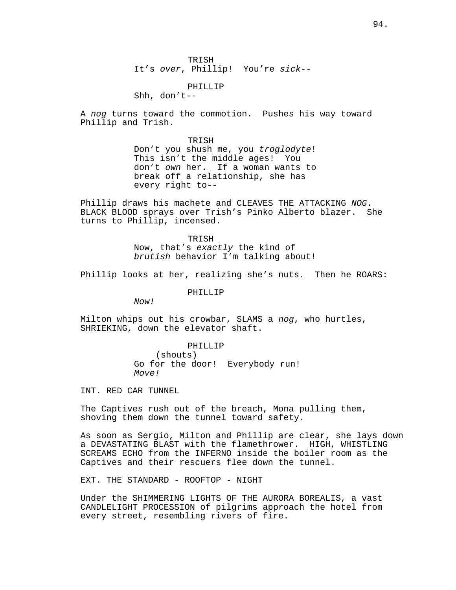TRISH It's over, Phillip! You're sick--

PHILLIP Shh, don't--

A nog turns toward the commotion. Pushes his way toward Phillip and Trish.

> TRISH Don't you shush me, you troglodyte! This isn't the middle ages! You don't own her. If a woman wants to break off a relationship, she has every right to--

Phillip draws his machete and CLEAVES THE ATTACKING NOG. BLACK BLOOD sprays over Trish's Pinko Alberto blazer. She turns to Phillip, incensed.

> TRISH Now, that's exactly the kind of brutish behavior I'm talking about!

Phillip looks at her, realizing she's nuts. Then he ROARS:

PHILLIP

 $N$ <sub>O</sub> $V$ 

Milton whips out his crowbar, SLAMS a nog, who hurtles, SHRIEKING, down the elevator shaft.

> PHILLIP (shouts) Go for the door! Everybody run! Move!

INT. RED CAR TUNNEL

The Captives rush out of the breach, Mona pulling them, shoving them down the tunnel toward safety.

As soon as Sergio, Milton and Phillip are clear, she lays down a DEVASTATING BLAST with the flamethrower. HIGH, WHISTLING SCREAMS ECHO from the INFERNO inside the boiler room as the Captives and their rescuers flee down the tunnel.

EXT. THE STANDARD - ROOFTOP - NIGHT

Under the SHIMMERING LIGHTS OF THE AURORA BOREALIS, a vast CANDLELIGHT PROCESSION of pilgrims approach the hotel from every street, resembling rivers of fire.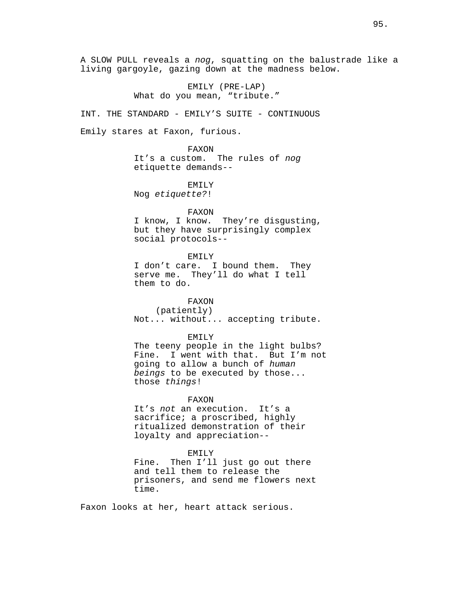A SLOW PULL reveals a nog, squatting on the balustrade like a living gargoyle, gazing down at the madness below.

> EMILY (PRE-LAP) What do you mean, "tribute."

INT. THE STANDARD - EMILY'S SUITE - CONTINUOUS

Emily stares at Faxon, furious.

FAXON It's a custom. The rules of nog etiquette demands--

# EMILY

Nog etiquette?!

## FAXON

I know, I know. They're disgusting, but they have surprisingly complex social protocols--

EMILY

I don't care. I bound them. They serve me. They'll do what I tell them to do.

# FAXON

(patiently) Not... without... accepting tribute.

# EMILY

The teeny people in the light bulbs? Fine. I went with that. But I'm not going to allow a bunch of human beings to be executed by those... those things!

# FAXON

It's not an execution. It's a sacrifice; a proscribed, highly ritualized demonstration of their loyalty and appreciation--

#### EMILY

Fine. Then I'll just go out there and tell them to release the prisoners, and send me flowers next time.

Faxon looks at her, heart attack serious.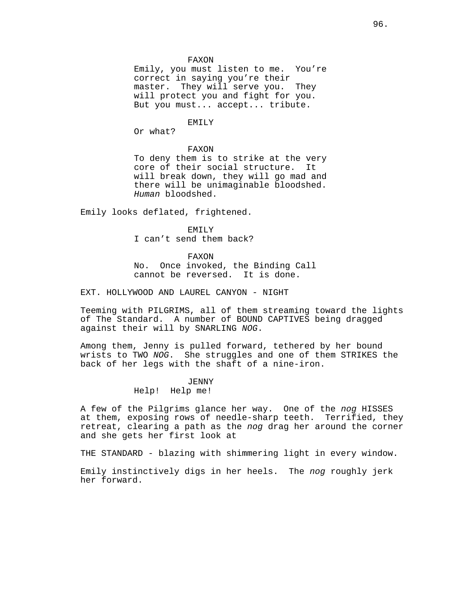#### FAXON

Emily, you must listen to me. You're correct in saying you're their master. They will serve you. They will protect you and fight for you. But you must... accept... tribute.

# EMILY

Or what?

#### FAXON

To deny them is to strike at the very core of their social structure. It will break down, they will go mad and there will be unimaginable bloodshed. Human bloodshed.

Emily looks deflated, frightened.

#### EMILY

I can't send them back?

FAXON

No. Once invoked, the Binding Call cannot be reversed. It is done.

EXT. HOLLYWOOD AND LAUREL CANYON - NIGHT

Teeming with PILGRIMS, all of them streaming toward the lights of The Standard. A number of BOUND CAPTIVES being dragged against their will by SNARLING NOG.

Among them, Jenny is pulled forward, tethered by her bound wrists to TWO NOG. She struggles and one of them STRIKES the back of her legs with the shaft of a nine-iron.

# JENNY Help! Help me!

A few of the Pilgrims glance her way. One of the nog HISSES at them, exposing rows of needle-sharp teeth. Terrified, they retreat, clearing a path as the nog drag her around the corner and she gets her first look at

THE STANDARD - blazing with shimmering light in every window.

Emily instinctively digs in her heels. The nog roughly jerk her forward.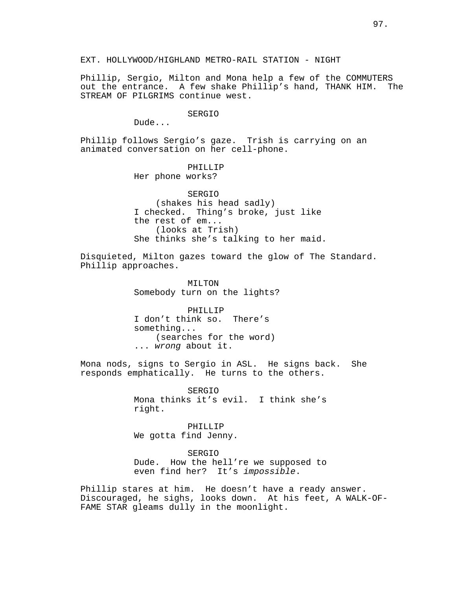Phillip, Sergio, Milton and Mona help a few of the COMMUTERS out the entrance. A few shake Phillip's hand, THANK HIM. The STREAM OF PILGRIMS continue west.

#### SERGIO

Dude...

Phillip follows Sergio's gaze. Trish is carrying on an animated conversation on her cell-phone.

> PHILLIP Her phone works?

SERGIO (shakes his head sadly) I checked. Thing's broke, just like the rest of em... (looks at Trish) She thinks she's talking to her maid.

Disquieted, Milton gazes toward the glow of The Standard. Phillip approaches.

> MILTON Somebody turn on the lights?

PHILLIP I don't think so. There's something... (searches for the word) ... wrong about it.

Mona nods, signs to Sergio in ASL. He signs back. She responds emphatically. He turns to the others.

> SERGIO Mona thinks it's evil. I think she's right.

PHILLIP We gotta find Jenny.

SERGIO Dude. How the hell're we supposed to even find her? It's impossible.

Phillip stares at him. He doesn't have a ready answer. Discouraged, he sighs, looks down. At his feet, A WALK-OF-FAME STAR gleams dully in the moonlight.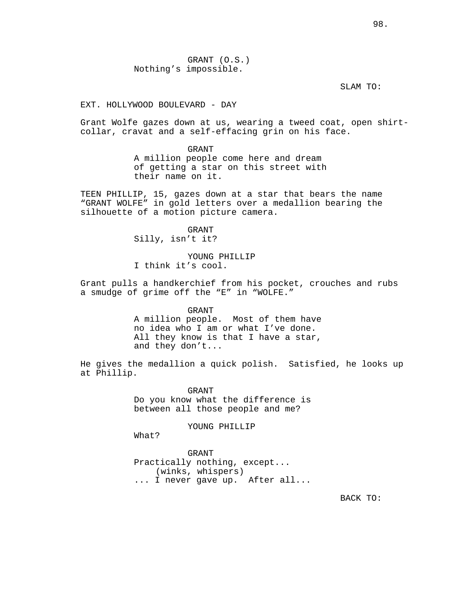SLAM TO:

EXT. HOLLYWOOD BOULEVARD - DAY

Grant Wolfe gazes down at us, wearing a tweed coat, open shirtcollar, cravat and a self-effacing grin on his face.

> GRANT A million people come here and dream of getting a star on this street with their name on it.

TEEN PHILLIP, 15, gazes down at a star that bears the name "GRANT WOLFE" in gold letters over a medallion bearing the silhouette of a motion picture camera.

> GRANT Silly, isn't it?

YOUNG PHILLIP I think it's cool.

Grant pulls a handkerchief from his pocket, crouches and rubs a smudge of grime off the "E" in "WOLFE."

> GRANT A million people. Most of them have no idea who I am or what I've done. All they know is that I have a star, and they don't...

He gives the medallion a quick polish. Satisfied, he looks up at Phillip.

> GRANT Do you know what the difference is between all those people and me?

> > YOUNG PHILLIP

What?

GRANT Practically nothing, except... (winks, whispers) ... I never gave up. After all...

BACK TO: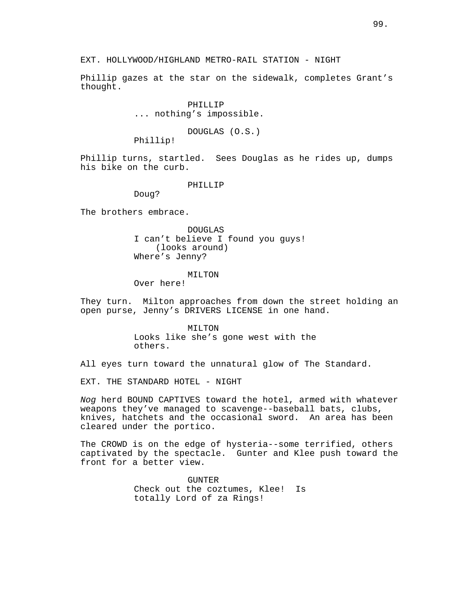Phillip gazes at the star on the sidewalk, completes Grant's thought.

> PHILLIP ... nothing's impossible.

> > DOUGLAS (O.S.)

Phillip!

Phillip turns, startled. Sees Douglas as he rides up, dumps his bike on the curb.

PHILLIP

Doug?

The brothers embrace.

DOUGLAS I can't believe I found you guys! (looks around) Where's Jenny?

# MILTON

Over here!

They turn. Milton approaches from down the street holding an open purse, Jenny's DRIVERS LICENSE in one hand.

> MILTON Looks like she's gone west with the others.

All eyes turn toward the unnatural glow of The Standard.

EXT. THE STANDARD HOTEL - NIGHT

Nog herd BOUND CAPTIVES toward the hotel, armed with whatever weapons they've managed to scavenge--baseball bats, clubs, knives, hatchets and the occasional sword. An area has been cleared under the portico.

The CROWD is on the edge of hysteria--some terrified, others captivated by the spectacle. Gunter and Klee push toward the front for a better view.

> GUNTER Check out the coztumes, Klee! Is totally Lord of za Rings!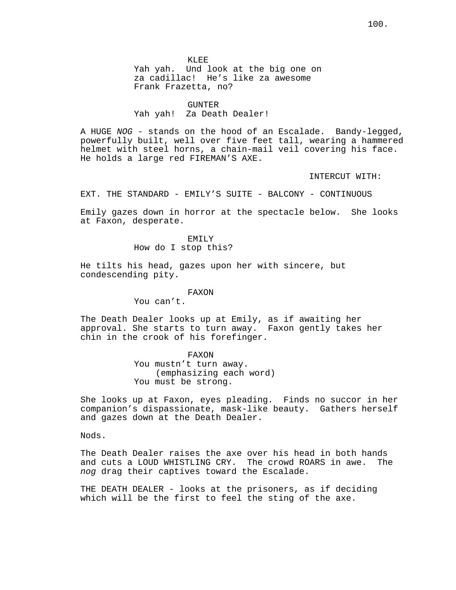KLEE Yah yah. Und look at the big one on za cadillac! He's like za awesome

Frank Frazetta, no?

### **GUNTER**

Yah yah! Za Death Dealer!

A HUGE NOG - stands on the hood of an Escalade. Bandy-legged, powerfully built, well over five feet tall, wearing a hammered helmet with steel horns, a chain-mail veil covering his face. He holds a large red FIREMAN'S AXE.

INTERCUT WITH:

EXT. THE STANDARD - EMILY'S SUITE - BALCONY - CONTINUOUS

Emily gazes down in horror at the spectacle below. She looks at Faxon, desperate.

> EMILY How do I stop this?

He tilts his head, gazes upon her with sincere, but condescending pity.

FAXON

You can't.

The Death Dealer looks up at Emily, as if awaiting her approval. She starts to turn away. Faxon gently takes her chin in the crook of his forefinger.

> FAXON You mustn't turn away. (emphasizing each word) You must be strong.

She looks up at Faxon, eyes pleading. Finds no succor in her companion's dispassionate, mask-like beauty. Gathers herself and gazes down at the Death Dealer.

Nods.

The Death Dealer raises the axe over his head in both hands and cuts a LOUD WHISTLING CRY. The crowd ROARS in awe. The nog drag their captives toward the Escalade.

THE DEATH DEALER - looks at the prisoners, as if deciding which will be the first to feel the sting of the axe.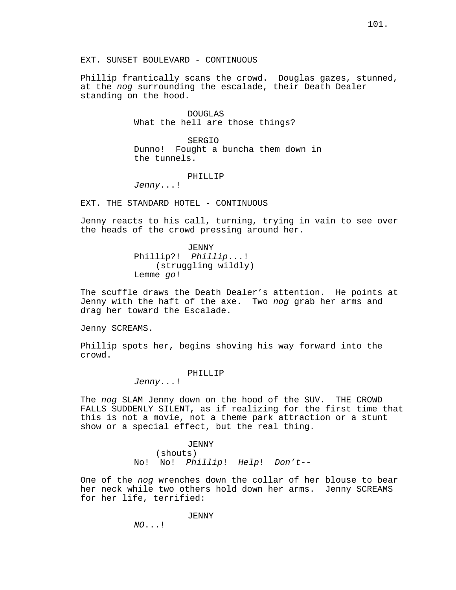EXT. SUNSET BOULEVARD - CONTINUOUS

Phillip frantically scans the crowd. Douglas gazes, stunned, at the *nog* surrounding the escalade, their Death Dealer standing on the hood.

> DOUGLAS What the hell are those things?

SERGIO Dunno! Fought a buncha them down in the tunnels.

# PHILLIP

Jenny...!

EXT. THE STANDARD HOTEL - CONTINUOUS

Jenny reacts to his call, turning, trying in vain to see over the heads of the crowd pressing around her.

> JENNY Phillip?! Phillip...! (struggling wildly) Lemme go!

The scuffle draws the Death Dealer's attention. He points at Jenny with the haft of the axe. Two nog grab her arms and drag her toward the Escalade.

Jenny SCREAMS.

Phillip spots her, begins shoving his way forward into the crowd.

# PHILLIP

Jenny...!

The nog SLAM Jenny down on the hood of the SUV. THE CROWD FALLS SUDDENLY SILENT, as if realizing for the first time that this is not a movie, not a theme park attraction or a stunt show or a special effect, but the real thing.

> JENNY (shouts) No! No! Phillip! Help! Don't--

One of the nog wrenches down the collar of her blouse to bear her neck while two others hold down her arms. Jenny SCREAMS for her life, terrified:

# JENNY

NO...!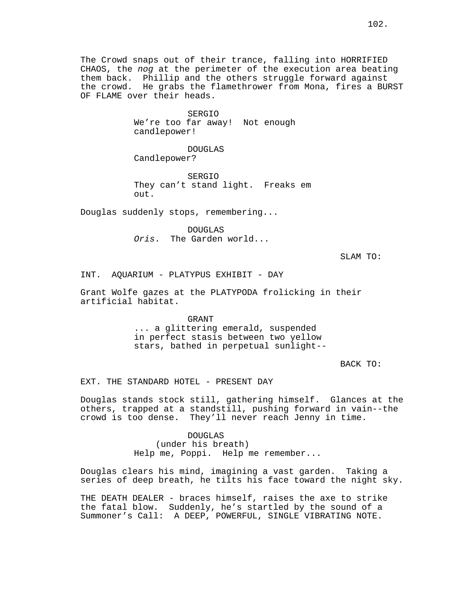SERGIO We're too far away! Not enough candlepower!

DOUGLAS Candlepower?

SERGIO They can't stand light. Freaks em out.

Douglas suddenly stops, remembering...

DOUGLAS Oris. The Garden world...

SLAM TO:

INT. AQUARIUM - PLATYPUS EXHIBIT - DAY

Grant Wolfe gazes at the PLATYPODA frolicking in their artificial habitat.

> GRANT ... a glittering emerald, suspended in perfect stasis between two yellow stars, bathed in perpetual sunlight--

> > BACK TO:

EXT. THE STANDARD HOTEL - PRESENT DAY

Douglas stands stock still, gathering himself. Glances at the others, trapped at a standstill, pushing forward in vain--the crowd is too dense. They'll never reach Jenny in time.

> DOUGLAS (under his breath) Help me, Poppi. Help me remember...

Douglas clears his mind, imagining a vast garden. Taking a series of deep breath, he tilts his face toward the night sky.

THE DEATH DEALER - braces himself, raises the axe to strike the fatal blow. Suddenly, he's startled by the sound of a Summoner's Call: A DEEP, POWERFUL, SINGLE VIBRATING NOTE.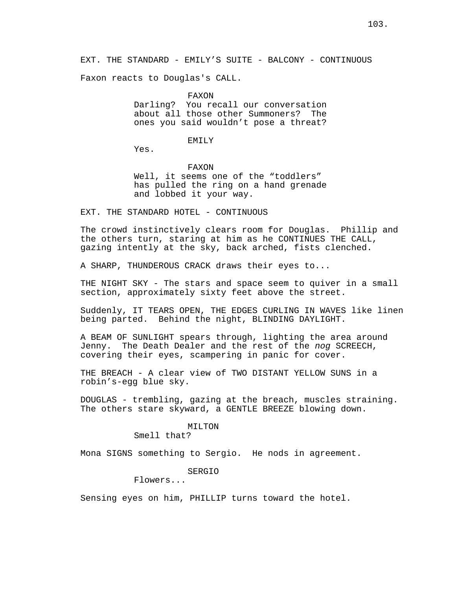EXT. THE STANDARD - EMILY'S SUITE - BALCONY - CONTINUOUS

Faxon reacts to Douglas's CALL.

FAXON

Darling? You recall our conversation about all those other Summoners? The ones you said wouldn't pose a threat?

# EMILY

Yes.

FAXON Well, it seems one of the "toddlers" has pulled the ring on a hand grenade and lobbed it your way.

EXT. THE STANDARD HOTEL - CONTINUOUS

The crowd instinctively clears room for Douglas. Phillip and the others turn, staring at him as he CONTINUES THE CALL, gazing intently at the sky, back arched, fists clenched.

A SHARP, THUNDEROUS CRACK draws their eyes to...

THE NIGHT SKY - The stars and space seem to quiver in a small section, approximately sixty feet above the street.

Suddenly, IT TEARS OPEN, THE EDGES CURLING IN WAVES like linen being parted. Behind the night, BLINDING DAYLIGHT.

A BEAM OF SUNLIGHT spears through, lighting the area around Jenny. The Death Dealer and the rest of the nog SCREECH, covering their eyes, scampering in panic for cover.

THE BREACH - A clear view of TWO DISTANT YELLOW SUNS in a robin's-egg blue sky.

DOUGLAS - trembling, gazing at the breach, muscles straining. The others stare skyward, a GENTLE BREEZE blowing down.

# MILTON

Smell that?

Mona SIGNS something to Sergio. He nods in agreement.

SERGIO

Flowers...

Sensing eyes on him, PHILLIP turns toward the hotel.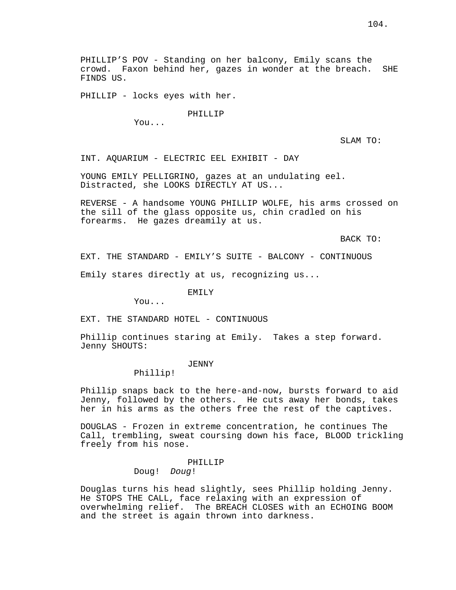PHILLIP'S POV - Standing on her balcony, Emily scans the crowd. Faxon behind her, gazes in wonder at the breach. SHE FINDS US.

PHILLIP - locks eyes with her.

#### PHILLIP

You...

SLAM TO:

INT. AQUARIUM - ELECTRIC EEL EXHIBIT - DAY

YOUNG EMILY PELLIGRINO, gazes at an undulating eel. Distracted, she LOOKS DIRECTLY AT US...

REVERSE - A handsome YOUNG PHILLIP WOLFE, his arms crossed on the sill of the glass opposite us, chin cradled on his forearms. He gazes dreamily at us.

BACK TO:

EXT. THE STANDARD - EMILY'S SUITE - BALCONY - CONTINUOUS

Emily stares directly at us, recognizing us...

EMILY

You...

EXT. THE STANDARD HOTEL - CONTINUOUS

Phillip continues staring at Emily. Takes a step forward. Jenny SHOUTS:

# JENNY

Phillip!

Phillip snaps back to the here-and-now, bursts forward to aid Jenny, followed by the others. He cuts away her bonds, takes her in his arms as the others free the rest of the captives.

DOUGLAS - Frozen in extreme concentration, he continues The Call, trembling, sweat coursing down his face, BLOOD trickling freely from his nose.

# PHILLIP

Doug! Doug!

Douglas turns his head slightly, sees Phillip holding Jenny. He STOPS THE CALL, face relaxing with an expression of overwhelming relief. The BREACH CLOSES with an ECHOING BOOM and the street is again thrown into darkness.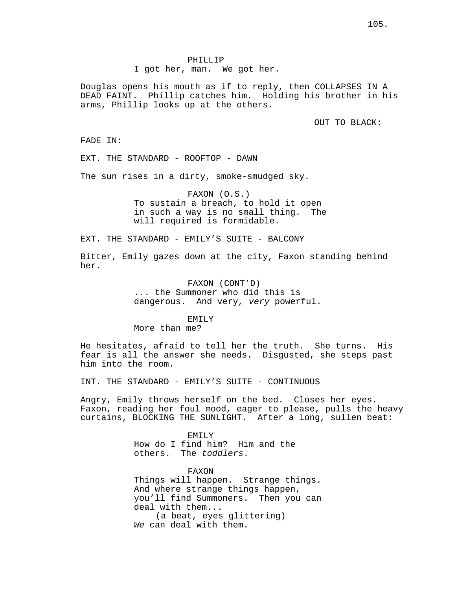PHILLIP

I got her, man. We got her.

Douglas opens his mouth as if to reply, then COLLAPSES IN A DEAD FAINT. Phillip catches him. Holding his brother in his arms, Phillip looks up at the others.

OUT TO BLACK:

FADE IN:

EXT. THE STANDARD - ROOFTOP - DAWN

The sun rises in a dirty, smoke-smudged sky.

FAXON (O.S.) To sustain a breach, to hold it open in such a way is no small thing. The will required is formidable.

EXT. THE STANDARD - EMILY'S SUITE - BALCONY

Bitter, Emily gazes down at the city, Faxon standing behind her.

> FAXON (CONT'D) ... the Summoner who did this is dangerous. And very, very powerful.

> > EMTI<sub>Y</sub>

More than me?

He hesitates, afraid to tell her the truth. She turns. His fear is all the answer she needs. Disgusted, she steps past him into the room.

INT. THE STANDARD - EMILY'S SUITE - CONTINUOUS

Angry, Emily throws herself on the bed. Closes her eyes. Faxon, reading her foul mood, eager to please, pulls the heavy curtains, BLOCKING THE SUNLIGHT. After a long, sullen beat:

> EMILY How do I find him? Him and the others. The toddlers.

FAXON Things will happen. Strange things. And where strange things happen, you'll find Summoners. Then you can deal with them... (a beat, eyes glittering) We can deal with them.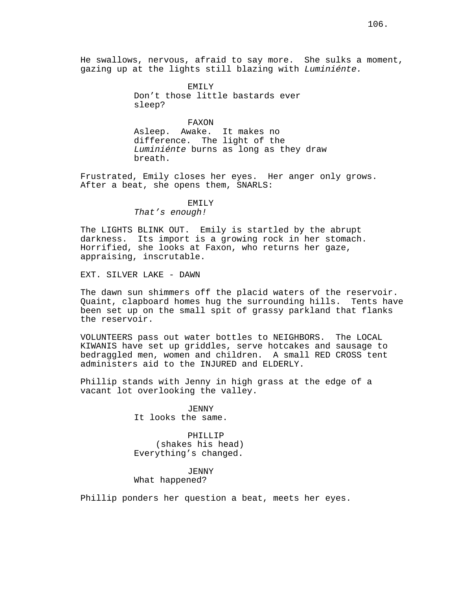He swallows, nervous, afraid to say more. She sulks a moment, gazing up at the lights still blazing with Luminiénte.

> EMILY Don't those little bastards ever sleep?

> > FAXON

Asleep. Awake. It makes no difference. The light of the Luminiénte burns as long as they draw breath.

Frustrated, Emily closes her eyes. Her anger only grows. After a beat, she opens them, SNARLS:

#### EMILY

That's enough!

The LIGHTS BLINK OUT. Emily is startled by the abrupt darkness. Its import is a growing rock in her stomach. Horrified, she looks at Faxon, who returns her gaze, appraising, inscrutable.

EXT. SILVER LAKE - DAWN

The dawn sun shimmers off the placid waters of the reservoir. Quaint, clapboard homes hug the surrounding hills. Tents have been set up on the small spit of grassy parkland that flanks the reservoir.

VOLUNTEERS pass out water bottles to NEIGHBORS. The LOCAL KIWANIS have set up griddles, serve hotcakes and sausage to bedraggled men, women and children. A small RED CROSS tent administers aid to the INJURED and ELDERLY.

Phillip stands with Jenny in high grass at the edge of a vacant lot overlooking the valley.

> JENNY It looks the same.

PHILLIP (shakes his head) Everything's changed.

JENNY What happened?

Phillip ponders her question a beat, meets her eyes.